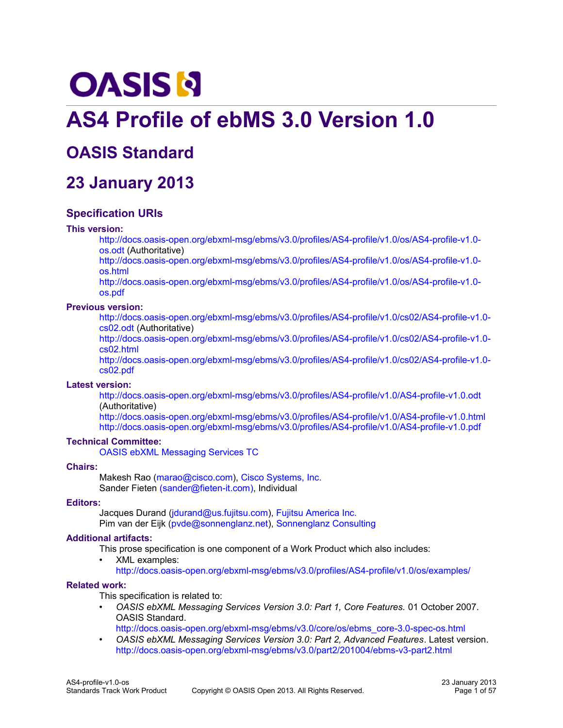# **OASIS N**

# **AS4 Profile of ebMS 3.0 Version 1.0**

# **OASIS Standard**

# **23 January 2013**

# **Specification URIs**

# **This version:**

[http://docs.oasis-open.org/ebxml-msg/ebms/v3.0/profiles/AS4-profile/v1.0/os/AS4-profile-v1.0](http://docs.oasis-open.org/ebxml-msg/ebms/v3.0/profiles/AS4-profile/v1.0/os/AS4-profile-v1.0-os.odt) [os.odt](http://docs.oasis-open.org/ebxml-msg/ebms/v3.0/profiles/AS4-profile/v1.0/os/AS4-profile-v1.0-os.odt) (Authoritative)

[http://docs.oasis-open.org/ebxml-msg/ebms/v3.0/profiles/AS4-profile/v1.0/os/AS4-profile-v1.0](http://docs.oasis-open.org/ebxml-msg/ebms/v3.0/profiles/AS4-profile/v1.0/os/AS4-profile-v1.0-os.html) [os.html](http://docs.oasis-open.org/ebxml-msg/ebms/v3.0/profiles/AS4-profile/v1.0/os/AS4-profile-v1.0-os.html)

[http://docs.oasis-open.org/ebxml-msg/ebms/v3.0/profiles/AS4-profile/v1.0/os/AS4-profile-v1.0](http://docs.oasis-open.org/ebxml-msg/ebms/v3.0/profiles/AS4-profile/v1.0/os/AS4-profile-v1.0-os.pdf) [os.pdf](http://docs.oasis-open.org/ebxml-msg/ebms/v3.0/profiles/AS4-profile/v1.0/os/AS4-profile-v1.0-os.pdf)

# **Previous version:**

[http://docs.oasis-open.org/ebxml-msg/ebms/v3.0/profiles/AS4-profile/v1.0/cs02/AS4-profile-v1.0](http://docs.oasis-open.org/ebxml-msg/ebms/v3.0/profiles/AS4-profile/v1.0/cs02/AS4-profile-v1.0-cs02.odt) [cs02.odt](http://docs.oasis-open.org/ebxml-msg/ebms/v3.0/profiles/AS4-profile/v1.0/cs02/AS4-profile-v1.0-cs02.odt) (Authoritative)

[http://docs.oasis-open.org/ebxml-msg/ebms/v3.0/profiles/AS4-profile/v1.0/cs02/AS4-profile-v1.0](http://docs.oasis-open.org/ebxml-msg/ebms/v3.0/profiles/AS4-profile/v1.0/cs02/AS4-profile-v1.0-cs02.html) [cs02.html](http://docs.oasis-open.org/ebxml-msg/ebms/v3.0/profiles/AS4-profile/v1.0/cs02/AS4-profile-v1.0-cs02.html)

[http://docs.oasis-open.org/ebxml-msg/ebms/v3.0/profiles/AS4-profile/v1.0/cs02/AS4-profile-v1.0](http://docs.oasis-open.org/ebxml-msg/ebms/v3.0/profiles/AS4-profile/v1.0/cs02/AS4-profile-v1.0-cs02.pdf) [cs02.pdf](http://docs.oasis-open.org/ebxml-msg/ebms/v3.0/profiles/AS4-profile/v1.0/cs02/AS4-profile-v1.0-cs02.pdf)

# **Latest version:**

<http://docs.oasis-open.org/ebxml-msg/ebms/v3.0/profiles/AS4-profile/v1.0/AS4-profile-v1.0.odt> (Authoritative)

<http://docs.oasis-open.org/ebxml-msg/ebms/v3.0/profiles/AS4-profile/v1.0/AS4-profile-v1.0.html> <http://docs.oasis-open.org/ebxml-msg/ebms/v3.0/profiles/AS4-profile/v1.0/AS4-profile-v1.0.pdf>

# **Technical Committee:**

[OASIS ebXML Messaging Services TC](http://www.oasis-open.org/committees/ebxml-msg/)

# **Chairs:**

Makesh Rao [\(marao@cisco.com\)](mailto:marao@cisco.com), [Cisco Systems, Inc.](http://www.cisco.com/) Sander Fieten [\(sander@fieten-it.com\)](mailto:sander@fieten-it.com), Individual

# **Editors:**

Jacques Durand [\(jdurand@us.fujitsu.com\)](mailto:jdurand@us.fujitsu.com), [Fujitsu America Inc.](http://us.fujitsu.com/) Pim van der Eijk [\(pvde@sonnenglanz.net\)](mailto:pvde@sonnenglanz.net), [Sonnenglanz Consulting](http://www.sonnenglanz.net/)

# **Additional artifacts:**

This prose specification is one component of a Work Product which also includes:

• XML examples: <http://docs.oasis-open.org/ebxml-msg/ebms/v3.0/profiles/AS4-profile/v1.0/os/examples/>

# **Related work:**

This specification is related to:

• *OASIS ebXML Messaging Services Version 3.0: Part 1, Core Features.* 01 October 2007. OASIS Standard.

[http://docs.oasis-open.org/ebxml-msg/ebms/v3.0/core/os/ebms\\_core-3.0-spec-os.html](http://docs.oasis-open.org/ebxml-msg/ebms/v3.0/core/os/ebms_core-3.0-spec-os.html)

• *OASIS ebXML Messaging Services Version 3.0: Part 2, Advanced Features*. Latest version. <http://docs.oasis-open.org/ebxml-msg/ebms/v3.0/part2/201004/ebms-v3-part2.html>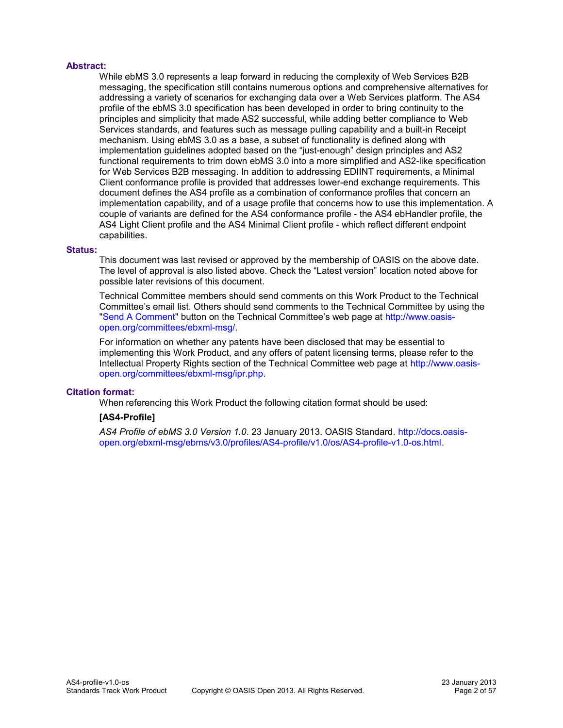# **Abstract:**

While ebMS 3.0 represents a leap forward in reducing the complexity of Web Services B2B messaging, the specification still contains numerous options and comprehensive alternatives for addressing a variety of scenarios for exchanging data over a Web Services platform. The AS4 profile of the ebMS 3.0 specification has been developed in order to bring continuity to the principles and simplicity that made AS2 successful, while adding better compliance to Web Services standards, and features such as message pulling capability and a built-in Receipt mechanism. Using ebMS 3.0 as a base, a subset of functionality is defined along with implementation guidelines adopted based on the "just-enough" design principles and AS2 functional requirements to trim down ebMS 3.0 into a more simplified and AS2-like specification for Web Services B2B messaging. In addition to addressing EDIINT requirements, a Minimal Client conformance profile is provided that addresses lower-end exchange requirements. This document defines the AS4 profile as a combination of conformance profiles that concern an implementation capability, and of a usage profile that concerns how to use this implementation. A couple of variants are defined for the AS4 conformance profile - the AS4 ebHandler profile, the AS4 Light Client profile and the AS4 Minimal Client profile - which reflect different endpoint capabilities.

# **Status:**

This document was last revised or approved by the membership of OASIS on the above date. The level of approval is also listed above. Check the "Latest version" location noted above for possible later revisions of this document.

Technical Committee members should send comments on this Work Product to the Technical Committee's email list. Others should send comments to the Technical Committee by using the ["Send A Comment"](http://www.oasis-open.org/committees/comments/index.php?wg_abbrev=ebxml-msg) button on the Technical Committee's web page at [http://www.oasis](http://www.oasis-open.org/committees/ebxml-msg/)[open.org/committees/ebxml-msg/.](http://www.oasis-open.org/committees/ebxml-msg/)

For information on whether any patents have been disclosed that may be essential to implementing this Work Product, and any offers of patent licensing terms, please refer to the Intellectual Property Rights section of the Technical Committee web page at [http://www.oasis](http://www.oasis-open.org/committees/ebxml-msg/ipr.php)[open.org/committees/ebxml-msg/ipr.php.](http://www.oasis-open.org/committees/ebxml-msg/ipr.php)

# **Citation format:**

When referencing this Work Product the following citation format should be used:

# **[AS4-Profile]**

*AS4 Profile of ebMS 3.0 Version 1.0*. 23 January 2013. OASIS Standard. [http://docs.oasis](http://docs.oasis-open.org/ebxml-msg/ebms/v3.0/profiles/AS4-profile/v1.0/os/AS4-profile-v1.0-os.html)[open.org/ebxml-msg/ebms/v3.0/profiles/AS4-profile/v1.0/os/AS4-profile-v1.0-os.html.](http://docs.oasis-open.org/ebxml-msg/ebms/v3.0/profiles/AS4-profile/v1.0/os/AS4-profile-v1.0-os.html)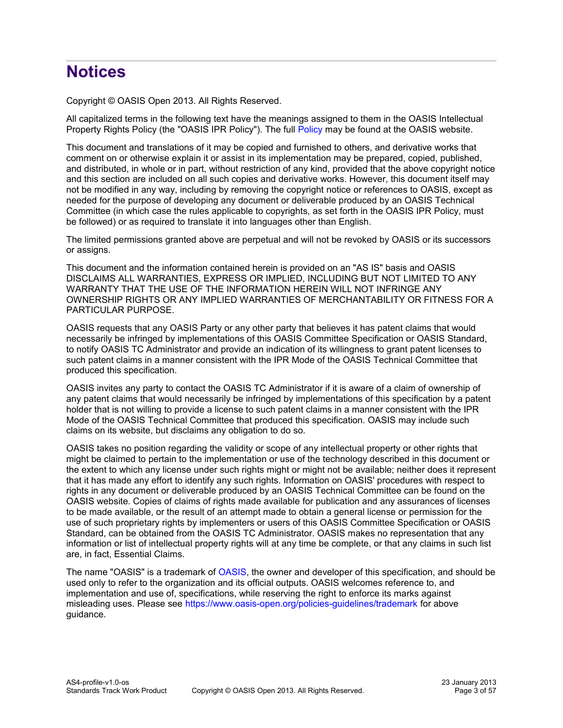# **Notices**

Copyright © OASIS Open 2013. All Rights Reserved.

All capitalized terms in the following text have the meanings assigned to them in the OASIS Intellectual Property Rights Policy (the "OASIS IPR Policy"). The full [Policy](https://www.oasis-open.org/policies-guidelines/ipr) may be found at the OASIS website.

This document and translations of it may be copied and furnished to others, and derivative works that comment on or otherwise explain it or assist in its implementation may be prepared, copied, published, and distributed, in whole or in part, without restriction of any kind, provided that the above copyright notice and this section are included on all such copies and derivative works. However, this document itself may not be modified in any way, including by removing the copyright notice or references to OASIS, except as needed for the purpose of developing any document or deliverable produced by an OASIS Technical Committee (in which case the rules applicable to copyrights, as set forth in the OASIS IPR Policy, must be followed) or as required to translate it into languages other than English.

The limited permissions granted above are perpetual and will not be revoked by OASIS or its successors or assigns.

This document and the information contained herein is provided on an "AS IS" basis and OASIS DISCLAIMS ALL WARRANTIES, EXPRESS OR IMPLIED, INCLUDING BUT NOT LIMITED TO ANY WARRANTY THAT THE USE OF THE INFORMATION HEREIN WILL NOT INFRINGE ANY OWNERSHIP RIGHTS OR ANY IMPLIED WARRANTIES OF MERCHANTABILITY OR FITNESS FOR A PARTICULAR PURPOSE.

OASIS requests that any OASIS Party or any other party that believes it has patent claims that would necessarily be infringed by implementations of this OASIS Committee Specification or OASIS Standard, to notify OASIS TC Administrator and provide an indication of its willingness to grant patent licenses to such patent claims in a manner consistent with the IPR Mode of the OASIS Technical Committee that produced this specification.

OASIS invites any party to contact the OASIS TC Administrator if it is aware of a claim of ownership of any patent claims that would necessarily be infringed by implementations of this specification by a patent holder that is not willing to provide a license to such patent claims in a manner consistent with the IPR Mode of the OASIS Technical Committee that produced this specification. OASIS may include such claims on its website, but disclaims any obligation to do so.

OASIS takes no position regarding the validity or scope of any intellectual property or other rights that might be claimed to pertain to the implementation or use of the technology described in this document or the extent to which any license under such rights might or might not be available; neither does it represent that it has made any effort to identify any such rights. Information on OASIS' procedures with respect to rights in any document or deliverable produced by an OASIS Technical Committee can be found on the OASIS website. Copies of claims of rights made available for publication and any assurances of licenses to be made available, or the result of an attempt made to obtain a general license or permission for the use of such proprietary rights by implementers or users of this OASIS Committee Specification or OASIS Standard, can be obtained from the OASIS TC Administrator. OASIS makes no representation that any information or list of intellectual property rights will at any time be complete, or that any claims in such list are, in fact, Essential Claims.

The name "OASIS" is a trademark of [OASIS,](http://www.oasis-open.org/) the owner and developer of this specification, and should be used only to refer to the organization and its official outputs. OASIS welcomes reference to, and implementation and use of, specifications, while reserving the right to enforce its marks against misleading uses. Please see<https://www.oasis-open.org/policies-guidelines/trademark>for above guidance.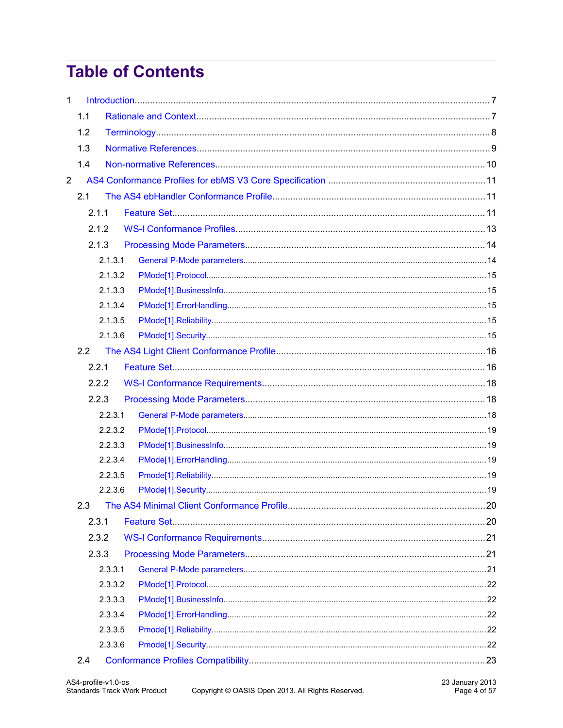# **Table of Contents**

| $\mathbf{1}$   |       |                    |  |  |
|----------------|-------|--------------------|--|--|
|                | 1.1   |                    |  |  |
|                | 1.2   |                    |  |  |
|                | 1.3   |                    |  |  |
|                | 1.4   |                    |  |  |
| $\overline{2}$ |       |                    |  |  |
|                | 2.1   |                    |  |  |
|                | 2.1.1 |                    |  |  |
|                | 2.1.2 |                    |  |  |
|                | 2.1.3 |                    |  |  |
|                |       | 2.1.3.1            |  |  |
|                |       | 2.1.3.2            |  |  |
|                |       | 2.1.3.3            |  |  |
|                |       | 2.1.3.4            |  |  |
|                |       | 2.1.3.5            |  |  |
|                |       | 2.1.3.6            |  |  |
|                | 2.2   |                    |  |  |
|                | 2.2.1 |                    |  |  |
|                | 2.2.2 |                    |  |  |
|                | 2.2.3 |                    |  |  |
|                |       | 2.2.3.1            |  |  |
|                |       | 2.2.3.2            |  |  |
|                |       | 2.2.3.3            |  |  |
|                |       | 2.2.3.4            |  |  |
|                |       | 2.2.3.5            |  |  |
|                |       | 2.2.3.6            |  |  |
|                | 2.3   |                    |  |  |
|                | 2.3.1 |                    |  |  |
|                | 2.3.2 |                    |  |  |
|                | 2.3.3 |                    |  |  |
|                |       | 2.3.3.1            |  |  |
|                |       | 2.3.3.2            |  |  |
|                |       | 2.3.3.3            |  |  |
|                |       | 2.3.3.4            |  |  |
|                |       | 2.3.3.5<br>2.3.3.6 |  |  |
|                | 2.4   |                    |  |  |
|                |       |                    |  |  |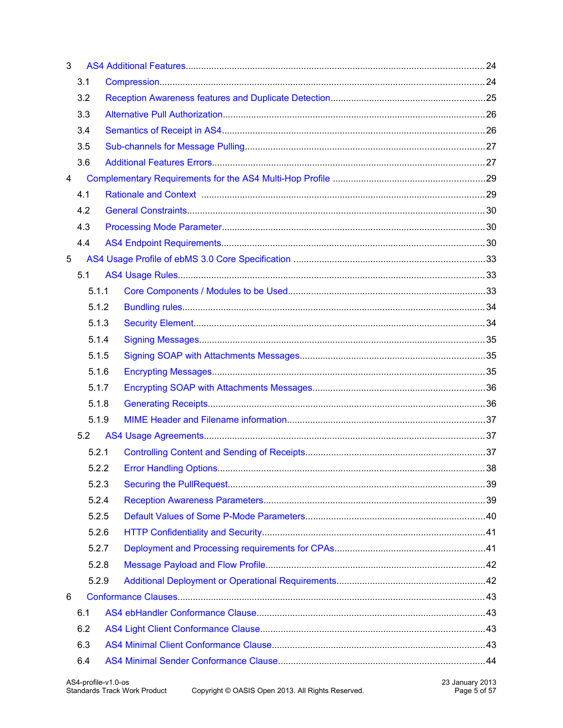| 3 |       |  |  |
|---|-------|--|--|
|   | 3.1   |  |  |
|   | 3.2   |  |  |
|   | 3.3   |  |  |
|   | 3.4   |  |  |
|   | 3.5   |  |  |
|   | 3.6   |  |  |
| 4 |       |  |  |
|   | 4.1   |  |  |
|   | 4.2   |  |  |
|   | 4.3   |  |  |
|   | 4.4   |  |  |
| 5 |       |  |  |
|   | 5.1   |  |  |
|   | 5.1.1 |  |  |
|   | 5.1.2 |  |  |
|   | 5.1.3 |  |  |
|   | 5.1.4 |  |  |
|   | 5.1.5 |  |  |
|   | 5.1.6 |  |  |
|   | 5.1.7 |  |  |
|   | 5.1.8 |  |  |
|   | 5.1.9 |  |  |
|   | 5.2   |  |  |
|   | 5.2.1 |  |  |
|   | 5.2.2 |  |  |
|   | 5.2.3 |  |  |
|   | 5.2.4 |  |  |
|   | 5.2.5 |  |  |
|   | 5.2.6 |  |  |
|   | 5.2.7 |  |  |
|   | 5.2.8 |  |  |
|   | 5.2.9 |  |  |
| 6 |       |  |  |
|   | 6.1   |  |  |
|   | 6.2   |  |  |
|   | 6.3   |  |  |
|   | 6.4   |  |  |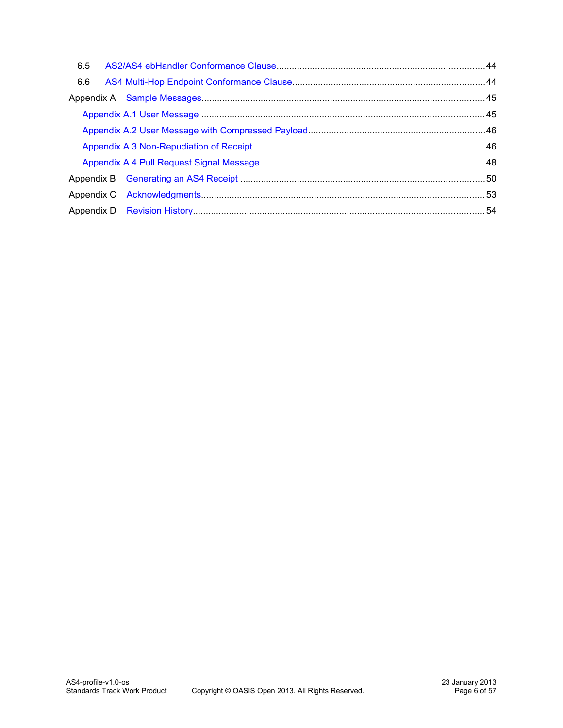| 6.5 |  |
|-----|--|
| 6.6 |  |
|     |  |
|     |  |
|     |  |
|     |  |
|     |  |
|     |  |
|     |  |
|     |  |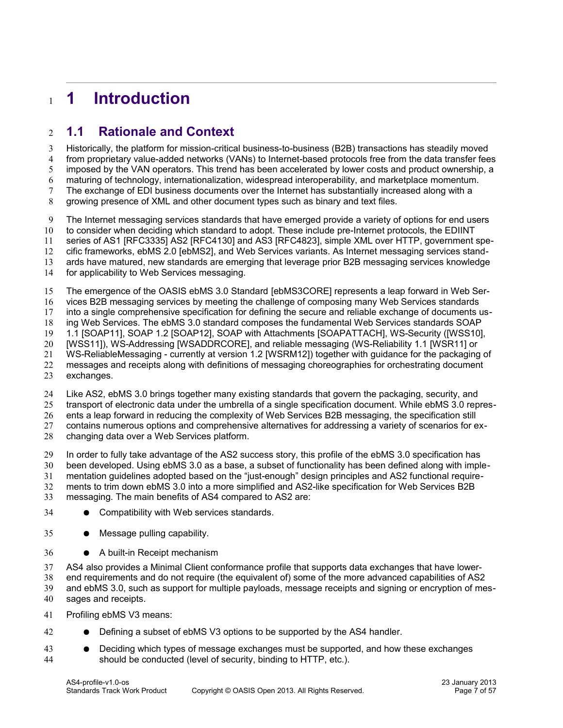# <span id="page-6-1"></span>**1 Introduction** 1

## <span id="page-6-0"></span>**1.1 Rationale and Context** 2

Historically, the platform for mission-critical business-to-business (B2B) transactions has steadily moved from proprietary value-added networks (VANs) to Internet-based protocols free from the data transfer fees imposed by the VAN operators. This trend has been accelerated by lower costs and product ownership, a maturing of technology, internationalization, widespread interoperability, and marketplace momentum. The exchange of EDI business documents over the Internet has substantially increased along with a growing presence of XML and other document types such as binary and text files. 3 4 5 6 7 8

The Internet messaging services standards that have emerged provide a variety of options for end users to consider when deciding which standard to adopt. These include pre-Internet protocols, the EDIINT series of AS1 [\[RFC3335\]](#page-9-1) AS2 [\[RFC4130\]](#page-9-8) and AS3 [\[RFC4823\],](#page-9-7) simple XML over HTTP, government spe-9 10 11

cific frameworks, ebMS 2.0 [\[ebMS2\],](#page-9-6) and Web Services variants. As Internet messaging services stand-12

ards have matured, new standards are emerging that leverage prior B2B messaging services knowledge 13

for applicability to Web Services messaging. 14

The emergence of the OASIS ebMS 3.0 Standard [\[ebMS3CORE\]](#page-8-5) represents a leap forward in Web Ser-15

vices B2B messaging services by meeting the challenge of composing many Web Services standards 16

into a single comprehensive specification for defining the secure and reliable exchange of documents us-17

ing Web Services. The ebMS 3.0 standard composes the fundamental Web Services standards SOAP 18

1.1 [\[SOAP11\],](#page-9-5) SOAP 1.2 [\[SOAP12\],](#page-8-4) SOAP with Attachments [\[SOAPATTACH\],](#page-8-3) WS-Security [\(\[WSS10\]](#page-9-4)[,](#page-8-2) [\[WSS11\]\)](#page-8-2), WS-Addressing [\[WSADDRCORE\],](#page-8-1) and reliable messaging (WS-Reliability 1.1 [\[WSR11\]](#page-9-3) or 19 20

WS-ReliableMessaging - currently at version 1.2 [\[WSRM12\]\)](#page-9-2) together with guidance for the packaging of 21

messages and receipts along with definitions of messaging choreographies for orchestrating document 22

exchanges. 23

Like AS2, ebMS 3.0 brings together many existing standards that govern the packaging, security, and 24

transport of electronic data under the umbrella of a single specification document. While ebMS 3.0 repres-25

ents a leap forward in reducing the complexity of Web Services B2B messaging, the specification still 26

contains numerous options and comprehensive alternatives for addressing a variety of scenarios for ex-27

changing data over a Web Services platform. 28

In order to fully take advantage of the AS2 success story, this profile of the ebMS 3.0 specification has 29

been developed. Using ebMS 3.0 as a base, a subset of functionality has been defined along with imple-30

mentation guidelines adopted based on the "just-enough" design principles and AS2 functional require-31

ments to trim down ebMS 3.0 into a more simplified and AS2-like specification for Web Services B2B 32

messaging. The main benefits of AS4 compared to AS2 are: 33

● Compatibility with Web services standards. 34

● Message pulling capability. 35

● A built-in Receipt mechanism 36

AS4 also provides a Minimal Client conformance profile that supports data exchanges that have lowerend requirements and do not require (the equivalent of) some of the more advanced capabilities of AS2 and ebMS 3.0, such as support for multiple payloads, message receipts and signing or encryption of messages and receipts. 37 38 39 40

Profiling ebMS V3 means: 41

- Defining a subset of ebMS V3 options to be supported by the AS4 handler. 42
- Deciding which types of message exchanges must be supported, and how these exchanges should be conducted (level of security, binding to HTTP, etc.). 43 44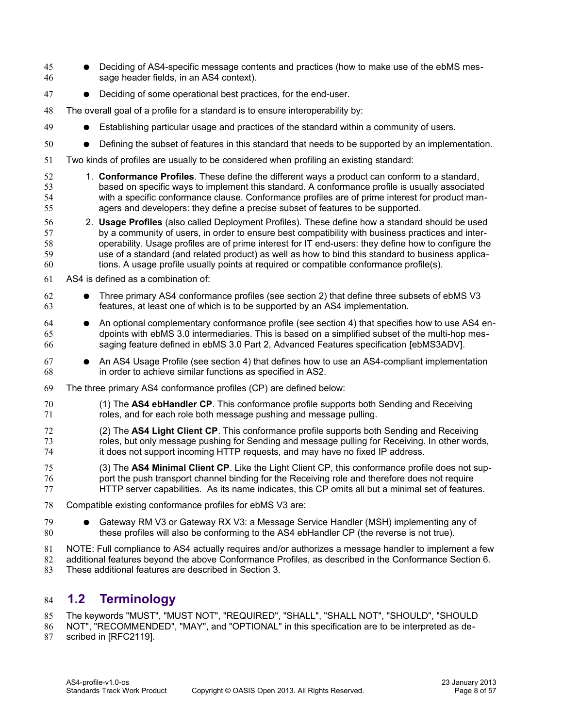- Deciding of AS4-specific message contents and practices (how to make use of the ebMS message header fields, in an AS4 context). 45 46
- Deciding of some operational best practices, for the end-user. 47
- The overall goal of a profile for a standard is to ensure interoperability by: 48
- Establishing particular usage and practices of the standard within a community of users. 49
- Defining the subset of features in this standard that needs to be supported by an implementation. 50
- Two kinds of profiles are usually to be considered when profiling an existing standard: 51
- 1. **Conformance Profiles**. These define the different ways a product can conform to a standard, based on specific ways to implement this standard. A conformance profile is usually associated with a specific conformance clause. Conformance profiles are of prime interest for product managers and developers: they define a precise subset of features to be supported. 52 53 54 55
- 2. **Usage Profiles** (also called Deployment Profiles). These define how a standard should be used by a community of users, in order to ensure best compatibility with business practices and interoperability. Usage profiles are of prime interest for IT end-users: they define how to configure the use of a standard (and related product) as well as how to bind this standard to business applications. A usage profile usually points at required or compatible conformance profile(s). 56 57 58 59 60
- AS4 is defined as a combination of: 61
- Three primary AS4 conformance profiles (see section 2) that define three subsets of ebMS V3 features, at least one of which is to be supported by an AS4 implementation. 62 63
- An optional complementary conformance profile (see section 4) that specifies how to use AS4 endpoints with ebMS 3.0 intermediaries. This is based on a simplified subset of the multi-hop messaging feature defined in ebMS 3.0 Part 2, Advanced Features specification [\[ebMS3ADV\].](#page-8-7) 64 65 66
- An AS4 Usage Profile (see section 4) that defines how to use an AS4-compliant implementation in order to achieve similar functions as specified in AS2. 67 68
- The three primary AS4 conformance profiles (CP) are defined below: 69
- (1) The **AS4 ebHandler CP**. This conformance profile supports both Sending and Receiving roles, and for each role both message pushing and message pulling. 70 71
- (2) The **AS4 Light Client CP**. This conformance profile supports both Sending and Receiving roles, but only message pushing for Sending and message pulling for Receiving. In other words, it does not support incoming HTTP requests, and may have no fixed IP address. 72 73 74
- (3) The **AS4 Minimal Client CP**. Like the Light Client CP, this conformance profile does not support the push transport channel binding for the Receiving role and therefore does not require HTTP server capabilities. As its name indicates, this CP omits all but a minimal set of features. 75 76 77
- Compatible existing conformance profiles for ebMS V3 are: 78
- Gateway RM V3 or Gateway RX V3: a Message Service Handler (MSH) implementing any of these profiles will also be conforming to the AS4 ebHandler CP (the reverse is not true). 79 80
- NOTE: Full compliance to AS4 actually requires and/or authorizes a message handler to implement a few additional features beyond the above Conformance Profiles, as described in the Conformance Section 6. 81 82
- These additional features are described in Section 3. 83

## <span id="page-7-0"></span>**1.2 Terminology** 84

The keywords "MUST", "MUST NOT", "REQUIRED", "SHALL", "SHALL NOT", "SHOULD", "SHOULD 85

- NOT", "RECOMMENDED", "MAY", and "OPTIONAL" in this specification are to be interpreted as de-86
- scribed in [\[RFC2119\].](#page-8-6) 87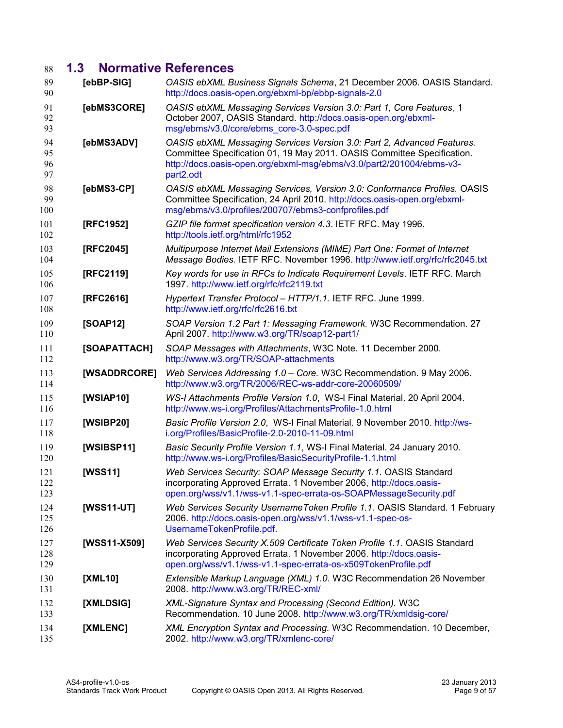# <span id="page-8-0"></span>**1.3 Normative References** 88

<span id="page-8-19"></span><span id="page-8-18"></span><span id="page-8-17"></span><span id="page-8-16"></span><span id="page-8-15"></span><span id="page-8-14"></span><span id="page-8-13"></span><span id="page-8-12"></span><span id="page-8-11"></span><span id="page-8-10"></span><span id="page-8-9"></span><span id="page-8-8"></span><span id="page-8-7"></span><span id="page-8-6"></span><span id="page-8-5"></span><span id="page-8-4"></span><span id="page-8-3"></span><span id="page-8-2"></span><span id="page-8-1"></span>

| 89<br>90             | [ebBP-SIG]   | OASIS ebXML Business Signals Schema, 21 December 2006. OASIS Standard.<br>http://docs.oasis-open.org/ebxml-bp/ebbp-signals-2.0                                                                                                         |
|----------------------|--------------|----------------------------------------------------------------------------------------------------------------------------------------------------------------------------------------------------------------------------------------|
| 91<br>92<br>93       | [ebMS3CORE]  | OASIS ebXML Messaging Services Version 3.0: Part 1, Core Features, 1<br>October 2007, OASIS Standard. http://docs.oasis-open.org/ebxml-<br>msg/ebms/v3.0/core/ebms_core-3.0-spec.pdf                                                   |
| 94<br>95<br>96<br>97 | [ebMS3ADV]   | OASIS ebXML Messaging Services Version 3.0: Part 2, Advanced Features.<br>Committee Specification 01, 19 May 2011. OASIS Committee Specification.<br>http://docs.oasis-open.org/ebxml-msg/ebms/v3.0/part2/201004/ebms-v3-<br>part2.odt |
| 98<br>99<br>100      | [ebMS3-CP]   | OASIS ebXML Messaging Services, Version 3.0: Conformance Profiles. OASIS<br>Committee Specification, 24 April 2010. http://docs.oasis-open.org/ebxml-<br>msg/ebms/v3.0/profiles/200707/ebms3-confprofiles.pdf                          |
| 101<br>102           | [RFC1952]    | GZIP file format specification version 4.3. IETF RFC. May 1996.<br>http://tools.ietf.org/html/rfc1952                                                                                                                                  |
| 103<br>104           | [RFC2045]    | Multipurpose Internet Mail Extensions (MIME) Part One: Format of Internet<br>Message Bodies. IETF RFC. November 1996. http://www.ietf.org/rfc/rfc2045.txt                                                                              |
| 105<br>106           | [RFC2119]    | Key words for use in RFCs to Indicate Requirement Levels. IETF RFC. March<br>1997. http://www.ietf.org/rfc/rfc2119.txt                                                                                                                 |
| 107<br>108           | [RFC2616]    | Hypertext Transfer Protocol - HTTP/1.1. IETF RFC. June 1999.<br>http://www.ietf.org/rfc/rfc2616.txt                                                                                                                                    |
| 109<br>110           | [SOAP12]     | SOAP Version 1.2 Part 1: Messaging Framework. W3C Recommendation. 27<br>April 2007. http://www.w3.org/TR/soap12-part1/                                                                                                                 |
| 111<br>112           | [SOAPATTACH] | SOAP Messages with Attachments, W3C Note. 11 December 2000.<br>http://www.w3.org/TR/SOAP-attachments                                                                                                                                   |
| 113<br>114           | [WSADDRCORE] | Web Services Addressing 1.0 - Core. W3C Recommendation. 9 May 2006.<br>http://www.w3.org/TR/2006/REC-ws-addr-core-20060509/                                                                                                            |
| 115<br>116           | [WSIAP10]    | WS-I Attachments Profile Version 1.0, WS-I Final Material. 20 April 2004.<br>http://www.ws-i.org/Profiles/AttachmentsProfile-1.0.html                                                                                                  |
| 117<br>118           | [WSIBP20]    | Basic Profile Version 2.0, WS-I Final Material. 9 November 2010. http://ws-<br>i.org/Profiles/BasicProfile-2.0-2010-11-09.html                                                                                                         |
| 119<br>120           | [WSIBSP11]   | Basic Security Profile Version 1.1, WS-I Final Material. 24 January 2010.<br>http://www.ws-i.org/Profiles/BasicSecurityProfile-1.1.html                                                                                                |
| 121<br>122<br>123    | [WSS11]      | Web Services Security: SOAP Message Security 1.1. OASIS Standard<br>incorporating Approved Errata. 1 November 2006, http://docs.oasis-<br>open.org/wss/v1.1/wss-v1.1-spec-errata-os-SOAPMessageSecurity.pdf                            |
| 124<br>125<br>126    | [WSS11-UT]   | Web Services Security Username Token Profile 1.1. OASIS Standard. 1 February<br>2006. http://docs.oasis-open.org/wss/v1.1/wss-v1.1-spec-os-<br>UsernameTokenProfile.pdf.                                                               |
| 127<br>128<br>129    | [WSS11-X509] | Web Services Security X.509 Certificate Token Profile 1.1. OASIS Standard<br>incorporating Approved Errata. 1 November 2006. http://docs.oasis-<br>open.org/wss/v1.1/wss-v1.1-spec-errata-os-x509TokenProfile.pdf                      |
| 130<br>131           | [XML10]      | Extensible Markup Language (XML) 1.0. W3C Recommendation 26 November<br>2008. http://www.w3.org/TR/REC-xml/                                                                                                                            |
| 132<br>133           | [XMLDSIG]    | XML-Signature Syntax and Processing (Second Edition). W3C<br>Recommendation. 10 June 2008. http://www.w3.org/TR/xmldsig-core/                                                                                                          |
| 134<br>135           | [XMLENC]     | XML Encryption Syntax and Processing. W3C Recommendation. 10 December,<br>2002. http://www.w3.org/TR/xmlenc-core/                                                                                                                      |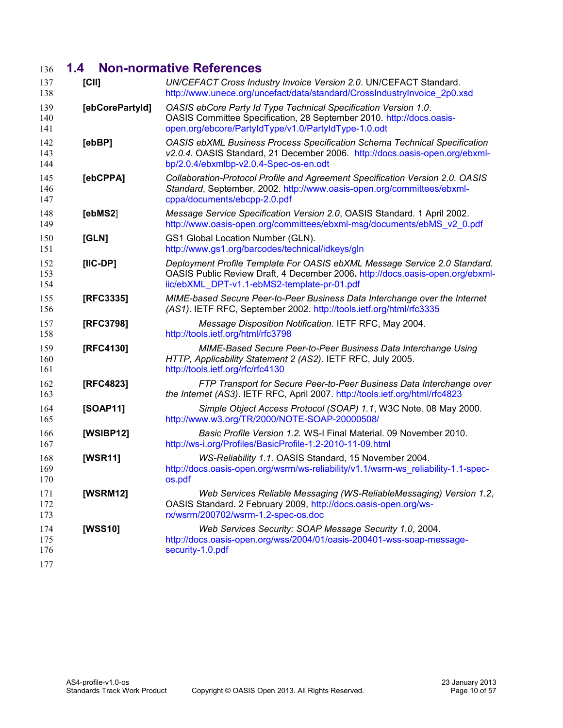# <span id="page-9-0"></span>**1.4 Non-normative References** 136

<span id="page-9-13"></span><span id="page-9-12"></span><span id="page-9-11"></span><span id="page-9-10"></span><span id="page-9-9"></span><span id="page-9-8"></span><span id="page-9-7"></span><span id="page-9-6"></span><span id="page-9-5"></span><span id="page-9-4"></span><span id="page-9-3"></span><span id="page-9-2"></span><span id="page-9-1"></span>

| 137<br>138        | [CII]           | UN/CEFACT Cross Industry Invoice Version 2.0. UN/CEFACT Standard.<br>http://www.unece.org/uncefact/data/standard/CrossIndustryInvoice_2p0.xsd                                                             |
|-------------------|-----------------|-----------------------------------------------------------------------------------------------------------------------------------------------------------------------------------------------------------|
| 139<br>140<br>141 | [ebCorePartyId] | OASIS ebCore Party Id Type Technical Specification Version 1.0.<br>OASIS Committee Specification, 28 September 2010. http://docs.oasis-<br>open.org/ebcore/PartyIdType/v1.0/PartyIdType-1.0.odt           |
| 142<br>143<br>144 | [ebBP]          | <b>OASIS ebXML Business Process Specification Schema Technical Specification</b><br>v2.0.4. OASIS Standard, 21 December 2006. http://docs.oasis-open.org/ebxml-<br>bp/2.0.4/ebxmlbp-v2.0.4-Spec-os-en.odt |
| 145<br>146<br>147 | [ebCPPA]        | Collaboration-Protocol Profile and Agreement Specification Version 2.0. OASIS<br>Standard, September, 2002. http://www.oasis-open.org/committees/ebxml-<br>cppa/documents/ebcpp-2.0.pdf                   |
| 148<br>149        | [ebMS2]         | Message Service Specification Version 2.0, OASIS Standard. 1 April 2002.<br>http://www.oasis-open.org/committees/ebxml-msg/documents/ebMS_v2_0.pdf                                                        |
| 150<br>151        | [GLN]           | GS1 Global Location Number (GLN).<br>http://www.gs1.org/barcodes/technical/idkeys/gln                                                                                                                     |
| 152<br>153<br>154 | $[IC-DP]$       | Deployment Profile Template For OASIS ebXML Message Service 2.0 Standard.<br>OASIS Public Review Draft, 4 December 2006. http://docs.oasis-open.org/ebxml-<br>iic/ebXML_DPT-v1.1-ebMS2-template-pr-01.pdf |
| 155<br>156        | [RFC3335]       | MIME-based Secure Peer-to-Peer Business Data Interchange over the Internet<br>(AS1). IETF RFC, September 2002. http://tools.ietf.org/html/rfc3335                                                         |
| 157<br>158        | [RFC3798]       | Message Disposition Notification. IETF RFC, May 2004.<br>http://tools.ietf.org/html/rfc3798                                                                                                               |
| 159<br>160<br>161 | [RFC4130]       | MIME-Based Secure Peer-to-Peer Business Data Interchange Using<br>HTTP, Applicability Statement 2 (AS2). IETF RFC, July 2005.<br>http://tools.ietf.org/rfc/rfc4130                                        |
| 162<br>163        | [RFC4823]       | FTP Transport for Secure Peer-to-Peer Business Data Interchange over<br>the Internet (AS3). IETF RFC, April 2007. http://tools.ietf.org/html/rfc4823                                                      |
| 164<br>165        | [SOAP11]        | Simple Object Access Protocol (SOAP) 1.1, W3C Note. 08 May 2000.<br>http://www.w3.org/TR/2000/NOTE-SOAP-20000508/                                                                                         |
| 166<br>167        | [WSIBP12]       | Basic Profile Version 1.2. WS-I Final Material. 09 November 2010.<br>http://ws-i.org/Profiles/BasicProfile-1.2-2010-11-09.html                                                                            |
| 168<br>169<br>170 | [WSR11]         | WS-Reliability 1.1. OASIS Standard, 15 November 2004.<br>http://docs.oasis-open.org/wsrm/ws-reliability/v1.1/wsrm-ws_reliability-1.1-spec-<br>os.pdf                                                      |
| 171<br>172<br>173 | [WSRM12]        | Web Services Reliable Messaging (WS-ReliableMessaging) Version 1.2,<br>OASIS Standard. 2 February 2009, http://docs.oasis-open.org/ws-<br>rx/wsrm/200702/wsrm-1.2-spec-os.doc                             |
| 174<br>175<br>176 | [WSS10]         | Web Services Security: SOAP Message Security 1.0, 2004.<br>http://docs.oasis-open.org/wss/2004/01/oasis-200401-wss-soap-message-<br>security-1.0.pdf                                                      |
| 177               |                 |                                                                                                                                                                                                           |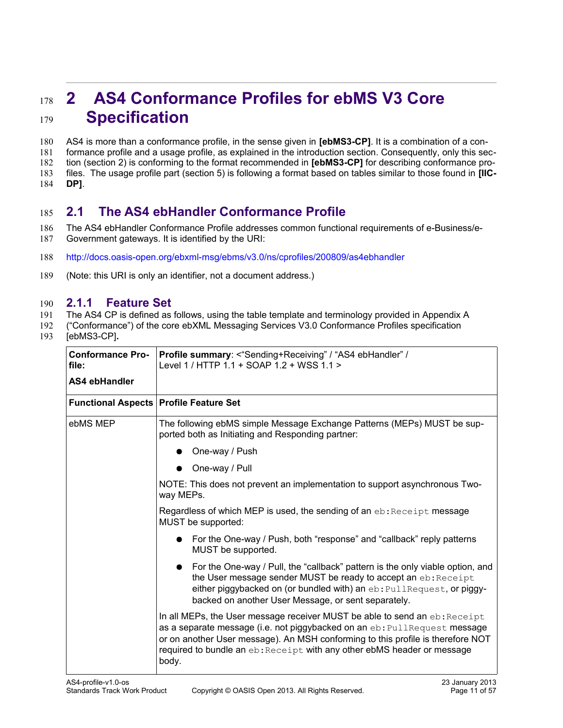# <span id="page-10-2"></span>**2 AS4 Conformance Profiles for ebMS V3 Core Specification**  178 179

AS4 is more than a conformance profile, in the sense given in **[ebMS3-CP]**. It is a combination of a conformance profile and a usage profile, as explained in the introduction section. Consequently, only this section (section 2) is conforming to the format recommended in **[ebMS3-CP]** for describing conformance profiles. The usage profile part (section 5) is following a format based on tables similar to those found in **[IIC-DP]**. 180 181 182 183 184

## <span id="page-10-1"></span>**2.1 The AS4 ebHandler Conformance Profile** 185

- The AS4 ebHandler Conformance Profile addresses common functional requirements of e-Business/e-Government gateways. It is identified by the URI: 186 187
- <http://docs.oasis-open.org/ebxml-msg/ebms/v3.0/ns/cprofiles/200809/as4ebhandler> 188
- (Note: this URI is only an identifier, not a document address.) 189

#### **2.1.1 Feature Set** 190

- The AS4 CP is defined as follows, using the table template and terminology provided in Appendix A 191
- ("Conformance") of the core ebXML Messaging Services V3.0 Conformance Profiles specificatio[n](#page-8-8) 192
- [\[ebMS3-CP\]](#page-8-8)**.** 193

<span id="page-10-0"></span>

| <b>Conformance Pro-</b><br>file:         | Profile summary: <"Sending+Receiving" / "AS4 ebHandler" /<br>Level 1 / HTTP 1.1 + SOAP 1.2 + WSS 1.1 >                                                                                                                                                                                                                         |
|------------------------------------------|--------------------------------------------------------------------------------------------------------------------------------------------------------------------------------------------------------------------------------------------------------------------------------------------------------------------------------|
| AS4 ebHandler                            |                                                                                                                                                                                                                                                                                                                                |
| Functional Aspects   Profile Feature Set |                                                                                                                                                                                                                                                                                                                                |
| ebMS MEP                                 | The following ebMS simple Message Exchange Patterns (MEPs) MUST be sup-<br>ported both as Initiating and Responding partner:                                                                                                                                                                                                   |
|                                          | One-way / Push                                                                                                                                                                                                                                                                                                                 |
|                                          | One-way / Pull                                                                                                                                                                                                                                                                                                                 |
|                                          | NOTE: This does not prevent an implementation to support asynchronous Two-<br>way MEPs.                                                                                                                                                                                                                                        |
|                                          | Regardless of which MEP is used, the sending of an eb: Receipt message<br>MUST be supported:                                                                                                                                                                                                                                   |
|                                          | • For the One-way / Push, both "response" and "callback" reply patterns<br>MUST be supported.                                                                                                                                                                                                                                  |
|                                          | For the One-way / Pull, the "callback" pattern is the only viable option, and<br>the User message sender MUST be ready to accept an eb: Receipt<br>either piggybacked on (or bundled with) an eb: PullRequest, or piggy-<br>backed on another User Message, or sent separately.                                                |
|                                          | In all MEPs, the User message receiver MUST be able to send an eb: Receipt<br>as a separate message (i.e. not piggybacked on an eb: PullRequest message<br>or on another User message). An MSH conforming to this profile is therefore NOT<br>required to bundle an eb: Receipt with any other ebMS header or message<br>body. |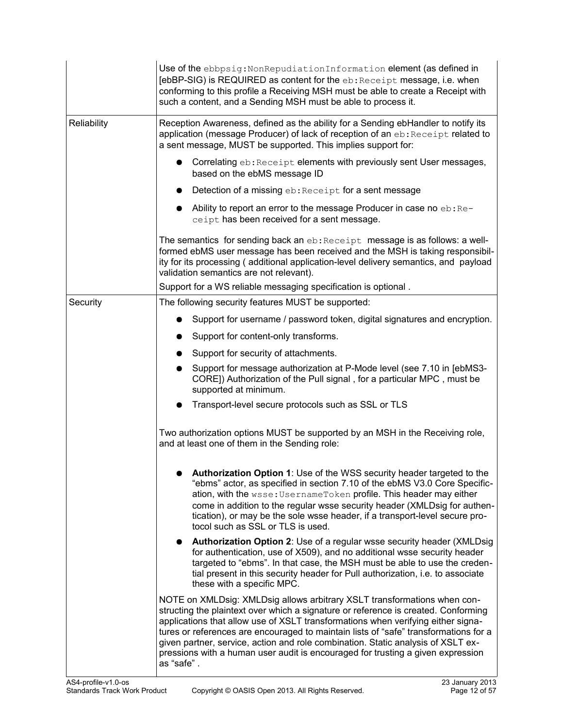|             | Use of the ebbpsig: Non Repudiation Information element (as defined in<br>[ebBP-SIG) is REQUIRED as content for the eb: Receipt message, i.e. when<br>conforming to this profile a Receiving MSH must be able to create a Receipt with<br>such a content, and a Sending MSH must be able to process it.                                                                                                                                                                                                                         |
|-------------|---------------------------------------------------------------------------------------------------------------------------------------------------------------------------------------------------------------------------------------------------------------------------------------------------------------------------------------------------------------------------------------------------------------------------------------------------------------------------------------------------------------------------------|
| Reliability | Reception Awareness, defined as the ability for a Sending ebHandler to notify its<br>application (message Producer) of lack of reception of an eb: Receipt related to<br>a sent message, MUST be supported. This implies support for:                                                                                                                                                                                                                                                                                           |
|             | Correlating eb: Receipt elements with previously sent User messages,<br>$\bullet$<br>based on the ebMS message ID                                                                                                                                                                                                                                                                                                                                                                                                               |
|             | Detection of a missing eb: Receipt for a sent message                                                                                                                                                                                                                                                                                                                                                                                                                                                                           |
|             | Ability to report an error to the message Producer in case no eb: Re-<br>ceipt has been received for a sent message.                                                                                                                                                                                                                                                                                                                                                                                                            |
|             | The semantics for sending back an eb: Receipt message is as follows: a well-<br>formed ebMS user message has been received and the MSH is taking responsibil-<br>ity for its processing (additional application-level delivery semantics, and payload<br>validation semantics are not relevant).                                                                                                                                                                                                                                |
|             | Support for a WS reliable messaging specification is optional.                                                                                                                                                                                                                                                                                                                                                                                                                                                                  |
| Security    | The following security features MUST be supported:                                                                                                                                                                                                                                                                                                                                                                                                                                                                              |
|             | Support for username / password token, digital signatures and encryption.                                                                                                                                                                                                                                                                                                                                                                                                                                                       |
|             | Support for content-only transforms.                                                                                                                                                                                                                                                                                                                                                                                                                                                                                            |
|             | Support for security of attachments.                                                                                                                                                                                                                                                                                                                                                                                                                                                                                            |
|             | Support for message authorization at P-Mode level (see 7.10 in [ebMS3-<br>CORE]) Authorization of the Pull signal, for a particular MPC, must be<br>supported at minimum.                                                                                                                                                                                                                                                                                                                                                       |
|             | Transport-level secure protocols such as SSL or TLS                                                                                                                                                                                                                                                                                                                                                                                                                                                                             |
|             | Two authorization options MUST be supported by an MSH in the Receiving role,<br>and at least one of them in the Sending role:                                                                                                                                                                                                                                                                                                                                                                                                   |
|             | Authorization Option 1: Use of the WSS security header targeted to the<br>"ebms" actor, as specified in section 7.10 of the ebMS V3.0 Core Specific-<br>ation, with the wsse: Username Token profile. This header may either<br>come in addition to the regular wsse security header (XMLDsig for authen-<br>tication), or may be the sole wsse header, if a transport-level secure pro-<br>tocol such as SSL or TLS is used.                                                                                                   |
|             | <b>Authorization Option 2: Use of a regular wsse security header (XMLDsig)</b><br>for authentication, use of X509), and no additional wsse security header<br>targeted to "ebms". In that case, the MSH must be able to use the creden-<br>tial present in this security header for Pull authorization, i.e. to associate<br>these with a specific MPC.                                                                                                                                                                         |
|             | NOTE on XMLDsig: XMLDsig allows arbitrary XSLT transformations when con-<br>structing the plaintext over which a signature or reference is created. Conforming<br>applications that allow use of XSLT transformations when verifying either signa-<br>tures or references are encouraged to maintain lists of "safe" transformations for a<br>given partner, service, action and role combination. Static analysis of XSLT ex-<br>pressions with a human user audit is encouraged for trusting a given expression<br>as "safe". |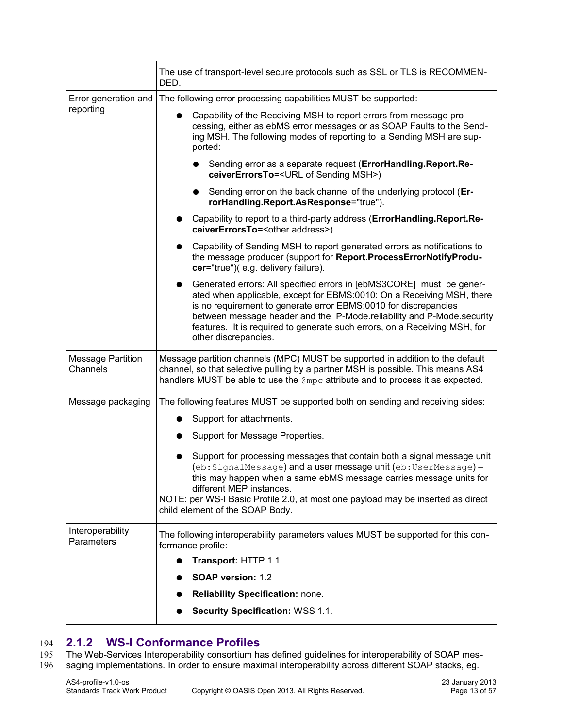|                                      | The use of transport-level secure protocols such as SSL or TLS is RECOMMEN-<br>DED.                                                                                                                                                                                                                                                                                                                         |
|--------------------------------------|-------------------------------------------------------------------------------------------------------------------------------------------------------------------------------------------------------------------------------------------------------------------------------------------------------------------------------------------------------------------------------------------------------------|
| Error generation and                 | The following error processing capabilities MUST be supported:                                                                                                                                                                                                                                                                                                                                              |
| reporting                            | Capability of the Receiving MSH to report errors from message pro-<br>cessing, either as ebMS error messages or as SOAP Faults to the Send-<br>ing MSH. The following modes of reporting to a Sending MSH are sup-<br>ported:                                                                                                                                                                               |
|                                      | Sending error as a separate request (ErrorHandling.Report.Re-<br>ceiverErrorsTo= <url msh="" of="" sending="">)</url>                                                                                                                                                                                                                                                                                       |
|                                      | Sending error on the back channel of the underlying protocol (Er-<br>$\bullet$<br>rorHandling.Report.AsResponse="true").                                                                                                                                                                                                                                                                                    |
|                                      | Capability to report to a third-party address (ErrorHandling.Report.Re-<br>ceiverErrorsTo= <other address="">).</other>                                                                                                                                                                                                                                                                                     |
|                                      | Capability of Sending MSH to report generated errors as notifications to<br>the message producer (support for Report.ProcessErrorNotifyProdu-<br>cer="true")(e.g. delivery failure).                                                                                                                                                                                                                        |
|                                      | Generated errors: All specified errors in [ebMS3CORE] must be gener-<br>$\bullet$<br>ated when applicable, except for EBMS:0010: On a Receiving MSH, there<br>is no requirement to generate error EBMS:0010 for discrepancies<br>between message header and the P-Mode.reliability and P-Mode.security<br>features. It is required to generate such errors, on a Receiving MSH, for<br>other discrepancies. |
| <b>Message Partition</b><br>Channels | Message partition channels (MPC) MUST be supported in addition to the default<br>channel, so that selective pulling by a partner MSH is possible. This means AS4<br>handlers MUST be able to use the $QmpC$ attribute and to process it as expected.                                                                                                                                                        |
| Message packaging                    | The following features MUST be supported both on sending and receiving sides:                                                                                                                                                                                                                                                                                                                               |
|                                      | Support for attachments.<br>$\bullet$                                                                                                                                                                                                                                                                                                                                                                       |
|                                      | Support for Message Properties.                                                                                                                                                                                                                                                                                                                                                                             |
|                                      | Support for processing messages that contain both a signal message unit<br>(eb:SignalMessage) and a user message unit (eb:UserMessage) -<br>this may happen when a same ebMS message carries message units for<br>different MEP instances.<br>NOTE: per WS-I Basic Profile 2.0, at most one payload may be inserted as direct<br>child element of the SOAP Body.                                            |
| Interoperability<br>Parameters       | The following interoperability parameters values MUST be supported for this con-<br>formance profile:                                                                                                                                                                                                                                                                                                       |
|                                      | Transport: HTTP 1.1                                                                                                                                                                                                                                                                                                                                                                                         |
|                                      | SOAP version: 1.2                                                                                                                                                                                                                                                                                                                                                                                           |
|                                      | <b>Reliability Specification: none.</b>                                                                                                                                                                                                                                                                                                                                                                     |
|                                      | <b>Security Specification: WSS 1.1.</b>                                                                                                                                                                                                                                                                                                                                                                     |

## <span id="page-12-0"></span>**2.1.2 WS-I Conformance Profiles** 194

The Web-Services Interoperability consortium has defined guidelines for interoperability of SOAP messaging implementations. In order to ensure maximal interoperability across different SOAP stacks, eg. 195 196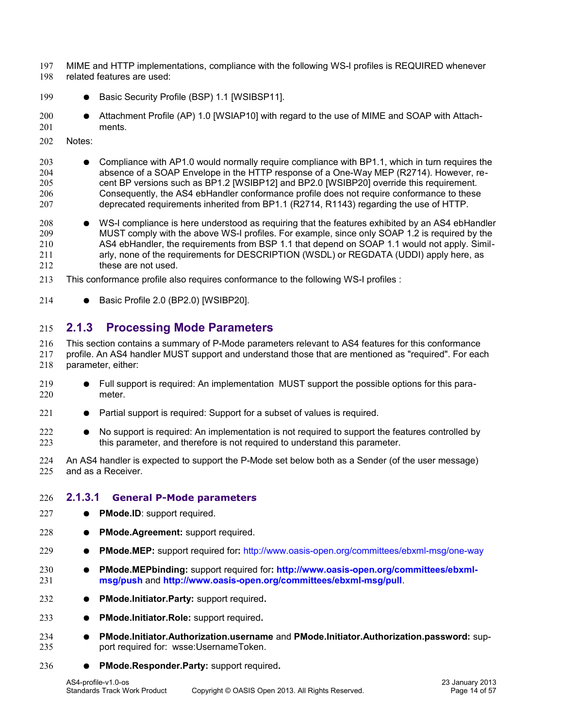- MIME and HTTP implementations, compliance with the following WS-I profiles is REQUIRED whenever related features are used: 197 198
- Basic Security Profile (BSP) 1.1 [\[WSIBSP11\].](#page-8-12) 199
- Attachment Profile (AP) 1.0 [\[WSIAP10\]](#page-8-11) with regard to the use of MIME and SOAP with Attachments. 200 201
- Notes: 202
- Compliance with AP1.0 would normally require compliance with BP1.1, which in turn requires the absence of a SOAP Envelope in the HTTP response of a One-Way MEP (R2714). However, recent BP versions such as BP1.2 [\[WSIBP12\]](#page-9-9) and BP2.0 [\[WSIBP20\]](#page-8-10) override this requirement. Consequently, the AS4 ebHandler conformance profile does not require conformance to these deprecated requirements inherited from BP1.1 (R2714, R1143) regarding the use of HTTP. 203 204 205 206 207
- WS-I compliance is here understood as requiring that the features exhibited by an AS4 ebHandler MUST comply with the above WS-I profiles. For example, since only SOAP 1.2 is required by the AS4 ebHandler, the requirements from BSP 1.1 that depend on SOAP 1.1 would not apply. Similarly, none of the requirements for DESCRIPTION (WSDL) or REGDATA (UDDI) apply here, as these are not used. 208 209 210 211 212
- This conformance profile also requires conformance to the following WS-I profiles : 213
- Basic Profile 2.0 (BP2.0) [\[WSIBP20\].](#page-8-10) 214

### <span id="page-13-1"></span>**2.1.3 Processing Mode Parameters** 215

This section contains a summary of P-Mode parameters relevant to AS4 features for this conformance profile. An AS4 handler MUST support and understand those that are mentioned as "required". For each parameter, either: 216 217 218

- Full support is required: An implementation MUST support the possible options for this parameter. 219 220
- Partial support is required: Support for a subset of values is required. 221
- No support is required: An implementation is not required to support the features controlled by this parameter, and therefore is not required to understand this parameter. 222 223
- An AS4 handler is expected to support the P-Mode set below both as a Sender (of the user message) and as a Receiver. 224 225

#### <span id="page-13-0"></span>**2.1.3.1 General P-Mode parameters** 226

- **PMode.ID**: support required. 227
- **PMode.Agreement:** support required. 228
- **PMode.MEP:** support required for**:** http://www.oasis-open.org/committees/ebxml-msg/one-way 229
- **PMode.MEPbinding:** support required for**: [http://www.oasis-open.org/committees/ebxml](http://www.oasis-open.org/committees/ebxml-msg/push)[msg/push](http://www.oasis-open.org/committees/ebxml-msg/push)** and **<http://www.oasis-open.org/committees/ebxml-msg/pull>**. 230 231
- **PMode.Initiator.Party:** support required**.** 232
- **PMode.Initiator.Role:** support required**.**  233
- **PMode.Initiator.Authorization.username** and **PMode.Initiator.Authorization.password:** support required for: wsse:UsernameToken. 234 235
- **PMode.Responder.Party:** support required**.** 236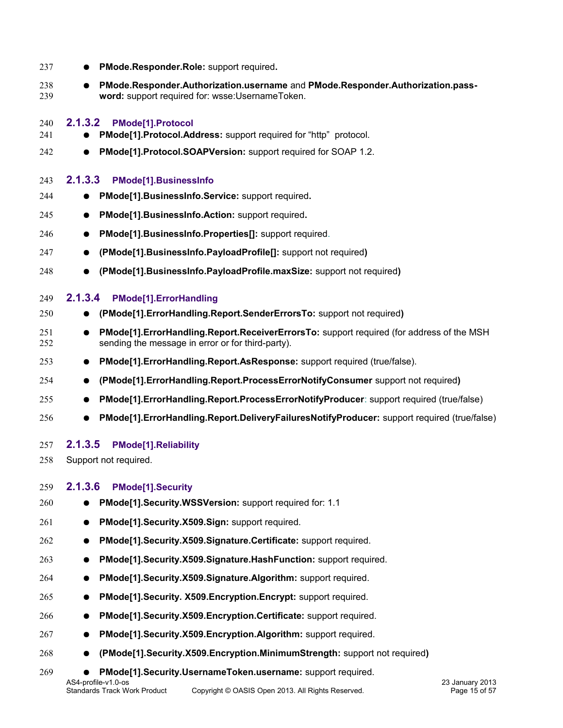<span id="page-14-4"></span><span id="page-14-3"></span><span id="page-14-2"></span><span id="page-14-1"></span><span id="page-14-0"></span>

| 237        | PMode.Responder.Role: support required.                                                                                                                          |
|------------|------------------------------------------------------------------------------------------------------------------------------------------------------------------|
| 238<br>239 | PMode.Responder.Authorization.username and PMode.Responder.Authorization.pass-<br>$\bullet$<br>word: support required for: wsse: Username Token.                 |
| 240        | 2.1.3.2<br><b>PMode[1].Protocol</b>                                                                                                                              |
| 241        | PMode[1].Protocol.Address: support required for "http" protocol.                                                                                                 |
| 242        | PMode[1].Protocol.SOAPVersion: support required for SOAP 1.2.<br>$\bullet$                                                                                       |
| 243        | 2.1.3.3<br><b>PMode[1].BusinessInfo</b>                                                                                                                          |
| 244        | PMode[1].BusinessInfo.Service: support required.                                                                                                                 |
| 245        | PMode[1].BusinessInfo.Action: support required.<br>$\bullet$                                                                                                     |
| 246        | PMode[1].BusinessInfo.Properties[]: support required.<br>$\bullet$                                                                                               |
| 247        | (PMode[1].BusinessInfo.PayloadProfile[]: support not required)<br>$\bullet$                                                                                      |
| 248        | (PMode[1].BusinessInfo.PayloadProfile.maxSize: support not required)                                                                                             |
| 249        | 2.1.3.4<br>PMode[1].ErrorHandling                                                                                                                                |
| 250        | (PMode[1].ErrorHandling.Report.SenderErrorsTo: support not required)                                                                                             |
| 251<br>252 | PMode[1]. Error Handling. Report. Receiver Errors To: support required (for address of the MSH<br>$\bullet$<br>sending the message in error or for third-party). |
| 253        | PMode[1].ErrorHandling.Report.AsResponse: support required (true/false).<br>$\bullet$                                                                            |
| 254        | (PMode[1]. Error Handling. Report. Process Error Notify Consumer support not required)<br>$\bullet$                                                              |
| 255        | PMode[1].ErrorHandling.Report.ProcessErrorNotifyProducer: support required (true/false)<br>$\bullet$                                                             |
| 256        | PMode[1].ErrorHandling.Report.DeliveryFailuresNotifyProducer: support required (true/false)                                                                      |
| 257        | 2.1.3.5<br><b>PMode[1].Reliability</b>                                                                                                                           |
| 258        | Support not required.                                                                                                                                            |
| 259        | 2.1.3.6<br><b>PMode[1].Security</b>                                                                                                                              |
| 260        | PMode[1].Security.WSSVersion: support required for: 1.1                                                                                                          |
| 261        | PMode[1].Security.X509.Sign: support required.<br>$\bullet$                                                                                                      |
| 262        | PMode[1].Security.X509.Signature.Certificate: support required.                                                                                                  |
| 263        | PMode[1].Security.X509.Signature.HashFunction: support required.                                                                                                 |
| 264        | PMode[1].Security.X509.Signature.Algorithm: support required.<br>$\bullet$                                                                                       |
| 265        | PMode[1].Security. X509.Encryption.Encrypt: support required.                                                                                                    |
| 266        | PMode[1].Security.X509.Encryption.Certificate: support required.                                                                                                 |
| 267        | PMode[1].Security.X509.Encryption.Algorithm: support required.                                                                                                   |
| 268        | (PMode[1].Security.X509.Encryption.MinimumStrength: support not required)                                                                                        |
| 269        | PMode[1].Security.UsernameToken.username: support required.<br>$\bullet$                                                                                         |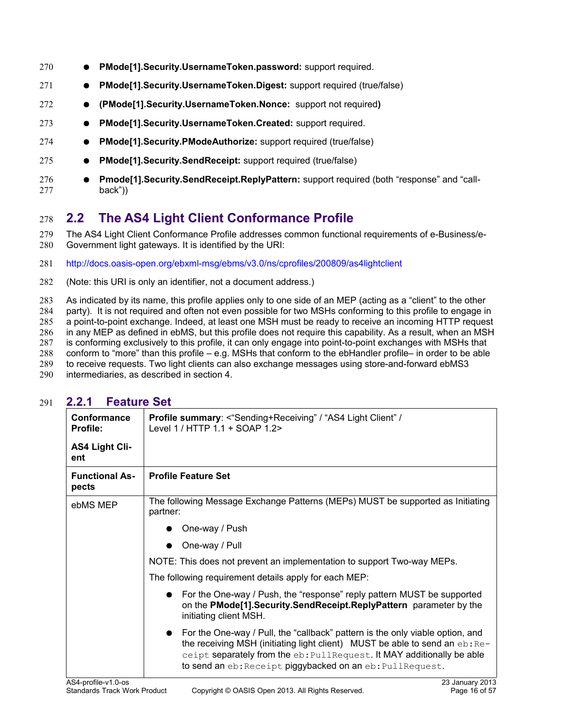- **PMode[1].Security.UsernameToken.password:** support required. 270
- **PMode[1].Security.UsernameToken.Digest:** support required (true/false) 271
- **(PMode[1].Security.UsernameToken.Nonce:** support not required**)** 272
- **PMode[1].Security.UsernameToken.Created:** support required. 273
- **PMode[1].Security.PModeAuthorize:** support required (true/false) 274
- **PMode[1].Security.SendReceipt:** support required (true/false) 275
- **Pmode[1].Security.SendReceipt.ReplyPattern:** support required (both "response" and "callback")) 276 277

## <span id="page-15-1"></span>**2.2 The AS4 Light Client Conformance Profile** 278

The AS4 Light Client Conformance Profile addresses common functional requirements of e-Business/e-Government light gateways. It is identified by the URI: 279 280

- <http://docs.oasis-open.org/ebxml-msg/ebms/v3.0/ns/cprofiles/200809/as4lightclient> 281
- (Note: this URI is only an identifier, not a document address.) 282

As indicated by its name, this profile applies only to one side of an MEP (acting as a "client" to the other 283

party). It is not required and often not even possible for two MSHs conforming to this profile to engage in 284

a point-to-point exchange. Indeed, at least one MSH must be ready to receive an incoming HTTP request 285

in any MEP as defined in ebMS, but this profile does not require this capability. As a result, when an MSH 286 287

is conforming exclusively to this profile, it can only engage into point-to-point exchanges with MSHs that conform to "more" than this profile – e.g. MSHs that conform to the ebHandler profile– in order to be able 288

to receive requests. Two light clients can also exchange messages using store-and-forward ebMS3

- 289
- intermediaries, as described in section 4. 290

<span id="page-15-0"></span>

| Conformance<br><b>Profile:</b> | <b>Profile summary: &lt; "Sending+Receiving" / "AS4 Light Client" /</b><br>Level 1 / HTTP 1.1 + SOAP 1.2>                                                                                                                                                                                                         |
|--------------------------------|-------------------------------------------------------------------------------------------------------------------------------------------------------------------------------------------------------------------------------------------------------------------------------------------------------------------|
| <b>AS4 Light Cli-</b><br>ent   |                                                                                                                                                                                                                                                                                                                   |
| <b>Functional As-</b><br>pects | <b>Profile Feature Set</b>                                                                                                                                                                                                                                                                                        |
| ebMS MEP                       | The following Message Exchange Patterns (MEPs) MUST be supported as Initiating<br>partner:                                                                                                                                                                                                                        |
|                                | One-way / Push                                                                                                                                                                                                                                                                                                    |
|                                | One-way / Pull                                                                                                                                                                                                                                                                                                    |
|                                | NOTE: This does not prevent an implementation to support Two-way MEPs.                                                                                                                                                                                                                                            |
|                                | The following requirement details apply for each MEP:                                                                                                                                                                                                                                                             |
|                                | For the One-way / Push, the "response" reply pattern MUST be supported<br>on the PMode[1]. Security. Send Receipt. Reply Pattern parameter by the<br>initiating client MSH.                                                                                                                                       |
|                                | For the One-way / Pull, the "callback" pattern is the only viable option, and<br>$\bullet$<br>the receiving MSH (initiating light client) MUST be able to send an $eb:Re-$<br>ceipt separately from the eb: PullRequest. It MAY additionally be able<br>to send an eb: Receipt piggybacked on an eb: PullRequest. |

#### **2.2.1 Feature Set** 291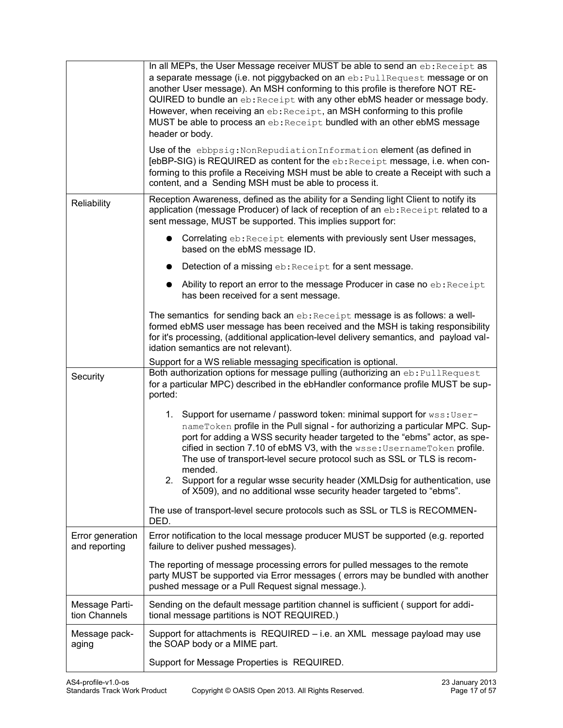|                                   | In all MEPs, the User Message receiver MUST be able to send an eb: Receipt as<br>a separate message (i.e. not piggybacked on an eb: PullRequest message or on<br>another User message). An MSH conforming to this profile is therefore NOT RE-<br>QUIRED to bundle an eb: Receipt with any other ebMS header or message body.<br>However, when receiving an eb: Receipt, an MSH conforming to this profile<br>MUST be able to process an eb: Receipt bundled with an other ebMS message<br>header or body.<br>Use of the ebbpsig: NonRepudiationInformation element (as defined in<br>[ebBP-SIG) is REQUIRED as content for the eb: Receipt message, i.e. when con-<br>forming to this profile a Receiving MSH must be able to create a Receipt with such a<br>content, and a Sending MSH must be able to process it. |
|-----------------------------------|-----------------------------------------------------------------------------------------------------------------------------------------------------------------------------------------------------------------------------------------------------------------------------------------------------------------------------------------------------------------------------------------------------------------------------------------------------------------------------------------------------------------------------------------------------------------------------------------------------------------------------------------------------------------------------------------------------------------------------------------------------------------------------------------------------------------------|
| Reliability                       | Reception Awareness, defined as the ability for a Sending light Client to notify its<br>application (message Producer) of lack of reception of an eb: Receipt related to a<br>sent message, MUST be supported. This implies support for:                                                                                                                                                                                                                                                                                                                                                                                                                                                                                                                                                                              |
|                                   | Correlating eb: Receipt elements with previously sent User messages,<br>based on the ebMS message ID.                                                                                                                                                                                                                                                                                                                                                                                                                                                                                                                                                                                                                                                                                                                 |
|                                   | Detection of a missing eb: Receipt for a sent message.                                                                                                                                                                                                                                                                                                                                                                                                                                                                                                                                                                                                                                                                                                                                                                |
|                                   | Ability to report an error to the message Producer in case no eb: Receipt<br>has been received for a sent message.                                                                                                                                                                                                                                                                                                                                                                                                                                                                                                                                                                                                                                                                                                    |
|                                   | The semantics for sending back an eb: Receipt message is as follows: a well-<br>formed ebMS user message has been received and the MSH is taking responsibility<br>for it's processing, (additional application-level delivery semantics, and payload val-<br>idation semantics are not relevant).                                                                                                                                                                                                                                                                                                                                                                                                                                                                                                                    |
| Security                          | Support for a WS reliable messaging specification is optional.<br>Both authorization options for message pulling (authorizing an eb: PullRequest<br>for a particular MPC) described in the ebHandler conformance profile MUST be sup-<br>ported:                                                                                                                                                                                                                                                                                                                                                                                                                                                                                                                                                                      |
|                                   | 1. Support for username / password token: minimal support for wss: User-<br>nameToken profile in the Pull signal - for authorizing a particular MPC. Sup-<br>port for adding a WSS security header targeted to the "ebms" actor, as spe-<br>cified in section 7.10 of ebMS V3, with the wsse: Username Token profile.<br>The use of transport-level secure protocol such as SSL or TLS is recom-<br>mended.<br>2. Support for a regular wsse security header (XMLDsig for authentication, use                                                                                                                                                                                                                                                                                                                         |
|                                   | of X509), and no additional wsse security header targeted to "ebms".                                                                                                                                                                                                                                                                                                                                                                                                                                                                                                                                                                                                                                                                                                                                                  |
|                                   | The use of transport-level secure protocols such as SSL or TLS is RECOMMEN-<br>DED.                                                                                                                                                                                                                                                                                                                                                                                                                                                                                                                                                                                                                                                                                                                                   |
| Error generation<br>and reporting | Error notification to the local message producer MUST be supported (e.g. reported<br>failure to deliver pushed messages).                                                                                                                                                                                                                                                                                                                                                                                                                                                                                                                                                                                                                                                                                             |
|                                   | The reporting of message processing errors for pulled messages to the remote<br>party MUST be supported via Error messages (errors may be bundled with another<br>pushed message or a Pull Request signal message.).                                                                                                                                                                                                                                                                                                                                                                                                                                                                                                                                                                                                  |
| Message Parti-<br>tion Channels   | Sending on the default message partition channel is sufficient (support for addi-<br>tional message partitions is NOT REQUIRED.)                                                                                                                                                                                                                                                                                                                                                                                                                                                                                                                                                                                                                                                                                      |
| Message pack-<br>aging            | Support for attachments is REQUIRED – i.e. an XML message payload may use<br>the SOAP body or a MIME part.                                                                                                                                                                                                                                                                                                                                                                                                                                                                                                                                                                                                                                                                                                            |
|                                   | Support for Message Properties is REQUIRED.                                                                                                                                                                                                                                                                                                                                                                                                                                                                                                                                                                                                                                                                                                                                                                           |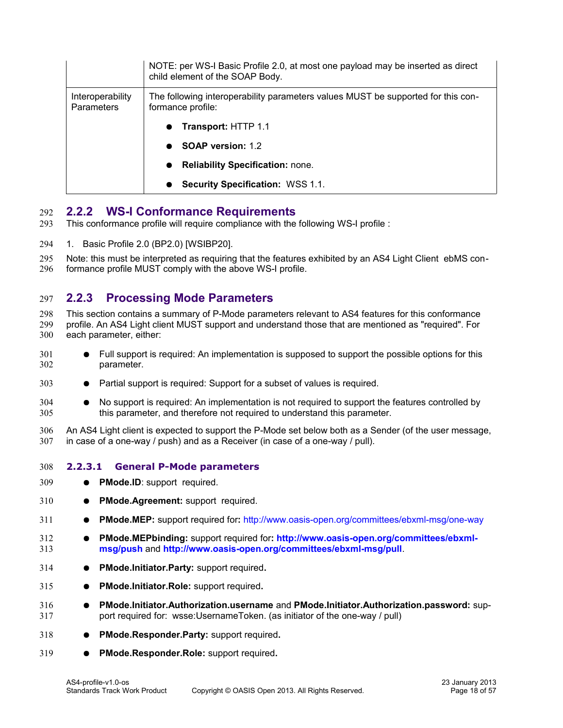|                                       | NOTE: per WS-I Basic Profile 2.0, at most one payload may be inserted as direct<br>child element of the SOAP Body. |
|---------------------------------------|--------------------------------------------------------------------------------------------------------------------|
| Interoperability<br><b>Parameters</b> | The following interoperability parameters values MUST be supported for this con-<br>formance profile:              |
|                                       | <b>Transport: HTTP 1.1</b>                                                                                         |
|                                       | <b>SOAP version: 1.2</b>                                                                                           |
|                                       | <b>Reliability Specification: none.</b>                                                                            |
|                                       | <b>Security Specification: WSS 1.1.</b>                                                                            |

#### <span id="page-17-2"></span>**2.2.2 WS-I Conformance Requirements** 292

- This conformance profile will require compliance with the following WS-I profile : 293
- 1. Basic Profile 2.0 (BP2.0) [\[WSIBP20\].](#page-8-10) 294

Note: this must be interpreted as requiring that the features exhibited by an AS4 Light Client ebMS conformance profile MUST comply with the above WS-I profile. 295 296

### <span id="page-17-1"></span>**2.2.3 Processing Mode Parameters** 297

This section contains a summary of P-Mode parameters relevant to AS4 features for this conformance profile. An AS4 Light client MUST support and understand those that are mentioned as "required". For each parameter, either: 298 299 300

- Full support is required: An implementation is supposed to support the possible options for this parameter. 301 302
- Partial support is required: Support for a subset of values is required. 303
- No support is required: An implementation is not required to support the features controlled by this parameter, and therefore not required to understand this parameter. 304 305

An AS4 Light client is expected to support the P-Mode set below both as a Sender (of the user message, in case of a one-way / push) and as a Receiver (in case of a one-way / pull). 306 307

#### <span id="page-17-0"></span>**2.2.3.1 General P-Mode parameters** 308

- **PMode.ID**: support required. 309
- **PMode.Agreement:** support required. 310
- **PMode.MEP:** support required for**:** http://www.oasis-open.org/committees/ebxml-msg/one-way 311
- **PMode.MEPbinding:** support required for**: [http://www.oasis-open.org/committees/ebxml](http://www.oasis-open.org/committees/ebxml-msg/push)[msg/push](http://www.oasis-open.org/committees/ebxml-msg/push)** and **<http://www.oasis-open.org/committees/ebxml-msg/pull>**. 312 313
- **PMode.Initiator.Party:** support required**.** 314
- **PMode.Initiator.Role:** support required**.**  315
- **PMode.Initiator.Authorization.username** and **PMode.Initiator.Authorization.password:** support required for: wsse:UsernameToken. (as initiator of the one-way / pull) 316 317
- **PMode.Responder.Party:** support required**.** 318
- **PMode.Responder.Role:** support required**.**  319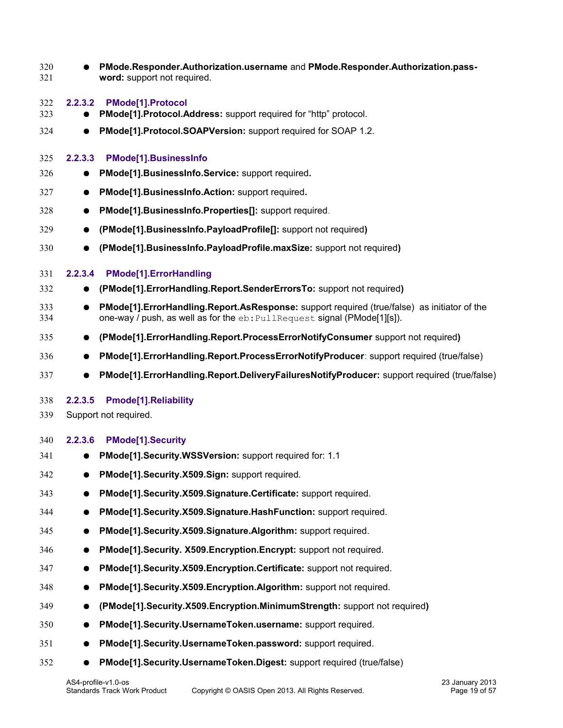<span id="page-18-4"></span><span id="page-18-3"></span><span id="page-18-2"></span><span id="page-18-1"></span><span id="page-18-0"></span>

| 320<br>321 |           | PMode.Responder.Authorization.username and PMode.Responder.Authorization.pass-<br>word: support not required.                                                                |
|------------|-----------|------------------------------------------------------------------------------------------------------------------------------------------------------------------------------|
| 322        | 2.2.3.2   | <b>PMode[1].Protocol</b>                                                                                                                                                     |
| 323        |           | PMode[1].Protocol.Address: support required for "http" protocol.                                                                                                             |
| 324        | $\bullet$ | PMode[1].Protocol.SOAPVersion: support required for SOAP 1.2.                                                                                                                |
| 325        | 2.2.3.3   | PMode[1].BusinessInfo                                                                                                                                                        |
| 326        |           | PMode[1].BusinessInfo.Service: support required.                                                                                                                             |
| 327        | $\bullet$ | PMode[1].BusinessInfo.Action: support required.                                                                                                                              |
| 328        | $\bullet$ | PMode[1].BusinessInfo.Properties[]: support required.                                                                                                                        |
| 329        | $\bullet$ | (PMode[1].BusinessInfo.PayloadProfile[]: support not required)                                                                                                               |
| 330        |           | (PMode[1].BusinessInfo.PayloadProfile.maxSize: support not required)                                                                                                         |
| 331        | 2.2.3.4   | <b>PMode[1].ErrorHandling</b>                                                                                                                                                |
| 332        |           | (PMode[1].ErrorHandling.Report.SenderErrorsTo: support not required)                                                                                                         |
| 333<br>334 | $\bullet$ | PMode[1]. Error Handling. Report. As Response: support required (true/false) as initiator of the<br>one-way / push, as well as for the eb: PullRequest signal (PMode[1][s]). |
| 335        | $\bullet$ | (PMode[1].ErrorHandling.Report.ProcessErrorNotifyConsumer support not required)                                                                                              |
| 336        | $\bullet$ | PMode[1].ErrorHandling.Report.ProcessErrorNotifyProducer: support required (true/false)                                                                                      |
| 337        |           | PMode[1].ErrorHandling.Report.DeliveryFailuresNotifyProducer: support required (true/false)                                                                                  |
| 338        | 2.2.3.5   | <b>Pmode[1].Reliability</b>                                                                                                                                                  |
| 339        |           | Support not required.                                                                                                                                                        |
| 340        | 2.2.3.6   | <b>PMode[1].Security</b>                                                                                                                                                     |
| 341        |           | PMode[1].Security.WSSVersion: support required for: 1.1                                                                                                                      |
| 342        |           | PMode[1].Security.X509.Sign: support required.                                                                                                                               |
| 343        |           | PMode[1].Security.X509.Signature.Certificate: support required.                                                                                                              |
| 344        |           | PMode[1].Security.X509.Signature.HashFunction: support required.                                                                                                             |
| 345        |           | PMode[1].Security.X509.Signature.Algorithm: support required.                                                                                                                |
| 346        |           | PMode[1].Security. X509.Encryption.Encrypt: support not required.                                                                                                            |
| 347        | $\bullet$ | PMode[1].Security.X509.Encryption.Certificate: support not required.                                                                                                         |
| 348        |           | PMode[1].Security.X509.Encryption.Algorithm: support not required.                                                                                                           |
| 349        |           | (PMode[1].Security.X509.Encryption.MinimumStrength: support not required)                                                                                                    |
| 350        |           | PMode[1].Security.UsernameToken.username: support required.                                                                                                                  |
| 351        |           | PMode[1].Security.UsernameToken.password: support required.                                                                                                                  |
| 352        |           | PMode[1].Security.UsernameToken.Digest: support required (true/false)                                                                                                        |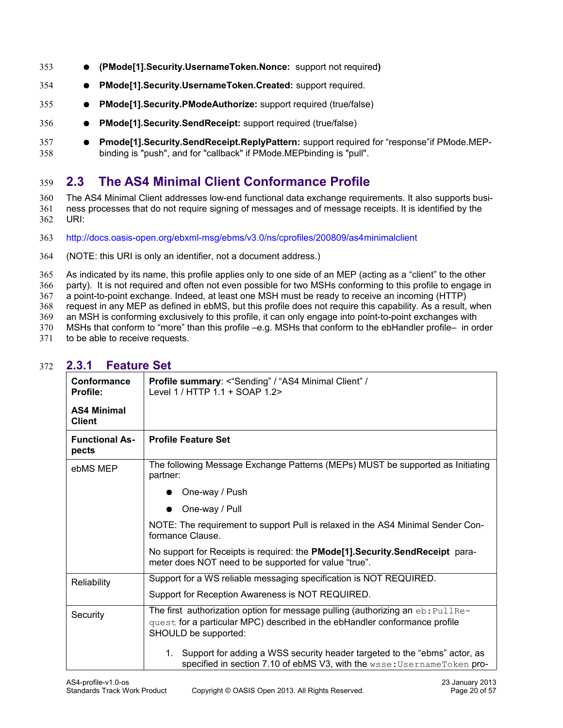- **(PMode[1].Security.UsernameToken.Nonce:** support not required**)** 353
- **PMode[1].Security.UsernameToken.Created:** support required. 354
- **PMode[1].Security.PModeAuthorize:** support required (true/false) 355
- **PMode[1].Security.SendReceipt:** support required (true/false) 356
- **Pmode[1].Security.SendReceipt.ReplyPattern:** support required for "response"if PMode.MEPbinding is "push", and for "callback" if PMode.MEPbinding is "pull". 357 358

## <span id="page-19-1"></span>**2.3 The AS4 Minimal Client Conformance Profile** 359

The AS4 Minimal Client addresses low-end functional data exchange requirements. It also supports business processes that do not require signing of messages and of message receipts. It is identified by the URI: 360 361 362

- [http://docs.oasis-open.org/ebxml-msg/ebms/v3.0/ns/cprofiles/200809/as4minimalclient](http://docs.oasis-open.org/ebxml-msg/ebms/v3.0/ns/cprofiles/200809/as4lightclient) 363
- (NOTE: this URI is only an identifier, not a document address.) 364

As indicated by its name, this profile applies only to one side of an MEP (acting as a "client" to the other party). It is not required and often not even possible for two MSHs conforming to this profile to engage in 365 366

a point-to-point exchange. Indeed, at least one MSH must be ready to receive an incoming (HTTP) 367

request in any MEP as defined in ebMS, but this profile does not require this capability. As a result, when 368

an MSH is conforming exclusively to this profile, it can only engage into point-to-point exchanges with 369

MSHs that conform to "more" than this profile –e.g. MSHs that conform to the ebHandler profile– in order 370

to be able to receive requests. 371

<span id="page-19-0"></span>

| Conformance<br>Profile:             | Profile summary: <"Sending" / "AS4 Minimal Client" /<br>Level 1 / HTTP 1.1 + SOAP 1.2>                                                                                                  |
|-------------------------------------|-----------------------------------------------------------------------------------------------------------------------------------------------------------------------------------------|
| <b>AS4 Minimal</b><br><b>Client</b> |                                                                                                                                                                                         |
| <b>Functional As-</b><br>pects      | <b>Profile Feature Set</b>                                                                                                                                                              |
| ebMS MEP                            | The following Message Exchange Patterns (MEPs) MUST be supported as Initiating<br>partner:                                                                                              |
|                                     | One-way / Push                                                                                                                                                                          |
|                                     | One-way / Pull                                                                                                                                                                          |
|                                     | NOTE: The requirement to support Pull is relaxed in the AS4 Minimal Sender Con-<br>formance Clause.                                                                                     |
|                                     | No support for Receipts is required: the <b>PMode[1]. Security. Send Receipt</b> para-<br>meter does NOT need to be supported for value "true".                                         |
| Reliability                         | Support for a WS reliable messaging specification is NOT REQUIRED.                                                                                                                      |
|                                     | Support for Reception Awareness is NOT REQUIRED.                                                                                                                                        |
| Security                            | The first authorization option for message pulling (authorizing an $eb$ : PullRe-<br>quest for a particular MPC) described in the ebHandler conformance profile<br>SHOULD be supported: |
|                                     | Support for adding a WSS security header targeted to the "ebms" actor, as<br>$1_{-}$<br>specified in section 7.10 of ebMS V3, with the wsse: Username Token pro-                        |

#### **2.3.1 Feature Set** 372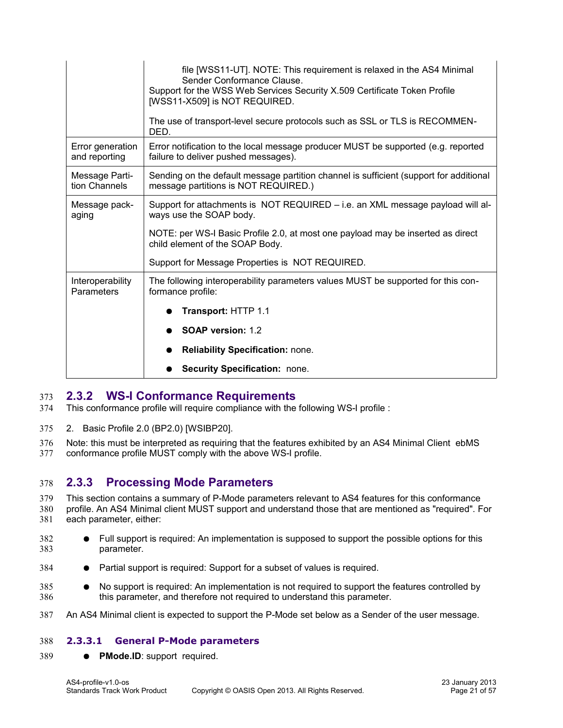|                                   | file [WSS11-UT]. NOTE: This requirement is relaxed in the AS4 Minimal<br>Sender Conformance Clause.<br>Support for the WSS Web Services Security X.509 Certificate Token Profile<br>[WSS11-X509] is NOT REQUIRED.<br>The use of transport-level secure protocols such as SSL or TLS is RECOMMEN-<br>DED. |
|-----------------------------------|----------------------------------------------------------------------------------------------------------------------------------------------------------------------------------------------------------------------------------------------------------------------------------------------------------|
| Error generation<br>and reporting | Error notification to the local message producer MUST be supported (e.g. reported<br>failure to deliver pushed messages).                                                                                                                                                                                |
| Message Parti-<br>tion Channels   | Sending on the default message partition channel is sufficient (support for additional<br>message partitions is NOT REQUIRED.)                                                                                                                                                                           |
| Message pack-<br>aging            | Support for attachments is NOT REQUIRED – i.e. an XML message payload will al-<br>ways use the SOAP body.                                                                                                                                                                                                |
|                                   | NOTE: per WS-I Basic Profile 2.0, at most one payload may be inserted as direct<br>child element of the SOAP Body.                                                                                                                                                                                       |
|                                   | Support for Message Properties is NOT REQUIRED.                                                                                                                                                                                                                                                          |
| Interoperability<br>Parameters    | The following interoperability parameters values MUST be supported for this con-<br>formance profile:                                                                                                                                                                                                    |
|                                   | Transport: HTTP 1.1                                                                                                                                                                                                                                                                                      |
|                                   | <b>SOAP version: 1.2</b>                                                                                                                                                                                                                                                                                 |
|                                   | <b>Reliability Specification: none.</b>                                                                                                                                                                                                                                                                  |
|                                   | Security Specification: none.                                                                                                                                                                                                                                                                            |

#### <span id="page-20-2"></span>**2.3.2 WS-I Conformance Requirements** 373

This conformance profile will require compliance with the following WS-I profile : 374

2. Basic Profile 2.0 (BP2.0) [\[WSIBP20\].](#page-8-10) 375

Note: this must be interpreted as requiring that the features exhibited by an AS4 Minimal Client ebMS conformance profile MUST comply with the above WS-I profile. 376 377

#### <span id="page-20-1"></span>**2.3.3 Processing Mode Parameters** 378

This section contains a summary of P-Mode parameters relevant to AS4 features for this conformance profile. An AS4 Minimal client MUST support and understand those that are mentioned as "required". For each parameter, either: 379 380 381

- Full support is required: An implementation is supposed to support the possible options for this parameter. 382 383
- Partial support is required: Support for a subset of values is required. 384
- No support is required: An implementation is not required to support the features controlled by this parameter, and therefore not required to understand this parameter. 385 386
- An AS4 Minimal client is expected to support the P-Mode set below as a Sender of the user message. 387

#### <span id="page-20-0"></span>**2.3.3.1 General P-Mode parameters** 388

● **PMode.ID**: support required. 389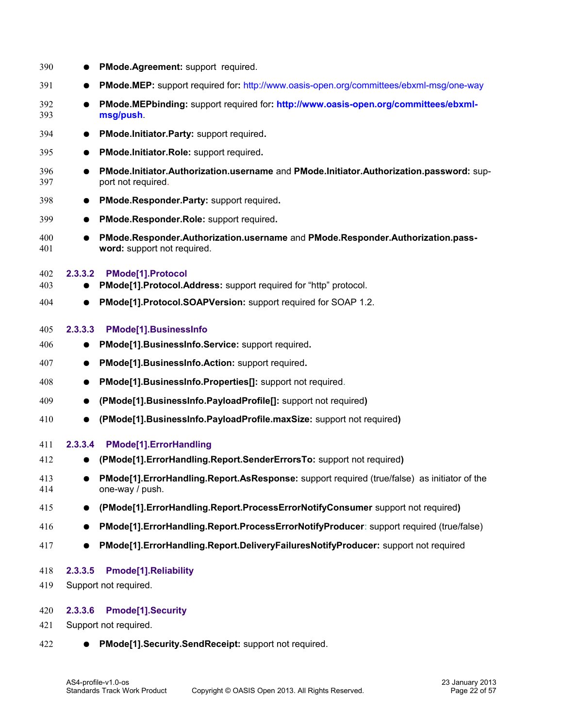<span id="page-21-4"></span><span id="page-21-3"></span>

| 390        | $\bullet$ | PMode.Agreement: support required.                                                                             |
|------------|-----------|----------------------------------------------------------------------------------------------------------------|
| 391        |           | PMode.MEP: support required for: http://www.oasis-open.org/committees/ebxml-msg/one-way                        |
| 392<br>393 |           | PMode.MEPbinding: support required for: http://www.oasis-open.org/committees/ebxml-<br>msg/push.               |
| 394        | $\bullet$ | PMode.Initiator.Party: support required.                                                                       |
| 395        | $\bullet$ | PMode.Initiator.Role: support required.                                                                        |
| 396<br>397 |           | PMode.Initiator.Authorization.username and PMode.Initiator.Authorization.password: sup-<br>port not required.  |
| 398        |           | PMode.Responder.Party: support required.                                                                       |
| 399        | $\bullet$ | PMode.Responder.Role: support required.                                                                        |
| 400<br>401 |           | PMode.Responder.Authorization.username and PMode.Responder.Authorization.pass-<br>word: support not required.  |
| 402<br>403 | 2.3.3.2   | PMode[1].Protocol<br>PMode[1].Protocol.Address: support required for "http" protocol.                          |
| 404        | $\bullet$ | PMode[1].Protocol.SOAPVersion: support required for SOAP 1.2.                                                  |
| 405        | 2.3.3.3   | <b>PMode[1].BusinessInfo</b>                                                                                   |
| 406        |           | PMode[1].BusinessInfo.Service: support required.                                                               |
| 407        | $\bullet$ | PMode[1].BusinessInfo.Action: support required.                                                                |
| 408        | $\bullet$ | PMode[1].BusinessInfo.Properties[]: support not required.                                                      |
| 409        | $\bullet$ | (PMode[1].BusinessInfo.PayloadProfile[]: support not required)                                                 |
| 410        | $\bullet$ | (PMode[1].BusinessInfo.PayloadProfile.maxSize: support not required)                                           |
| 411        | 2.3.3.4   | PMode[1].ErrorHandling                                                                                         |
| 412        |           | (PMode[1].ErrorHandling.Report.SenderErrorsTo: support not required)                                           |
| 413<br>414 |           | PMode[1].ErrorHandling.Report.AsResponse: support required (true/false) as initiator of the<br>one-way / push. |
| 415        | $\bullet$ | (PMode[1].ErrorHandling.Report.ProcessErrorNotifyConsumer support not required)                                |
| 416        |           | PMode[1].ErrorHandling.Report.ProcessErrorNotifyProducer: support required (true/false)                        |
| 417        |           | PMode[1].ErrorHandling.Report.DeliveryFailuresNotifyProducer: support not required                             |
| 418<br>419 | 2.3.3.5   | Pmode[1].Reliability<br>Support not required.                                                                  |
| 420        | 2.3.3.6   | <b>Pmode[1].Security</b>                                                                                       |
| 421        |           | Support not required.                                                                                          |

<span id="page-21-2"></span><span id="page-21-1"></span><span id="page-21-0"></span>● **PMode[1].Security.SendReceipt:** support not required. 422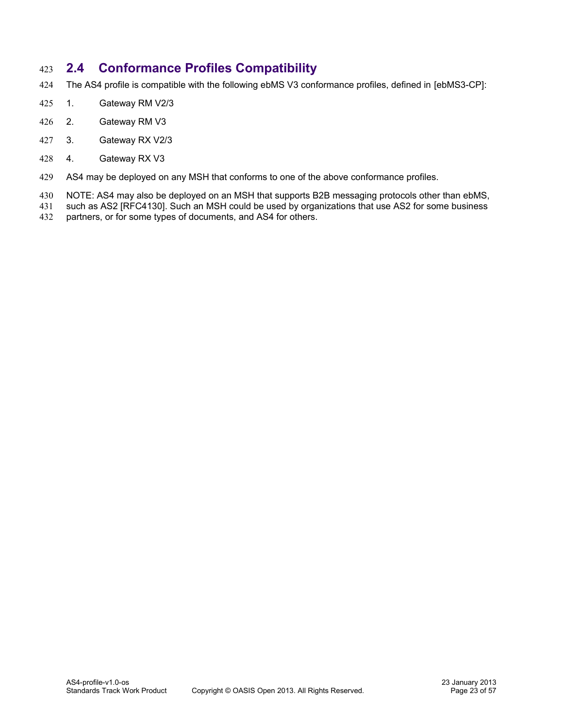## <span id="page-22-0"></span>**2.4 Conformance Profiles Compatibility** 423

- The AS4 profile is compatible with the following ebMS V3 conformance profiles, defined in [\[ebMS3-CP\]:](#page-8-8) 424
- 1. Gateway RM V2/3 425
- 2. Gateway RM V3 426
- 3. Gateway RX V2/3 427
- 4. Gateway RX V3 428
- AS4 may be deployed on any MSH that conforms to one of the above conformance profiles. 429
- NOTE: AS4 may also be deployed on an MSH that supports B2B messaging protocols other than ebMS, 430
- such as AS2 [\[RFC4130\].](#page-9-8) Such an MSH could be used by organizations that use AS2 for some business 431
- partners, or for some types of documents, and AS4 for others. 432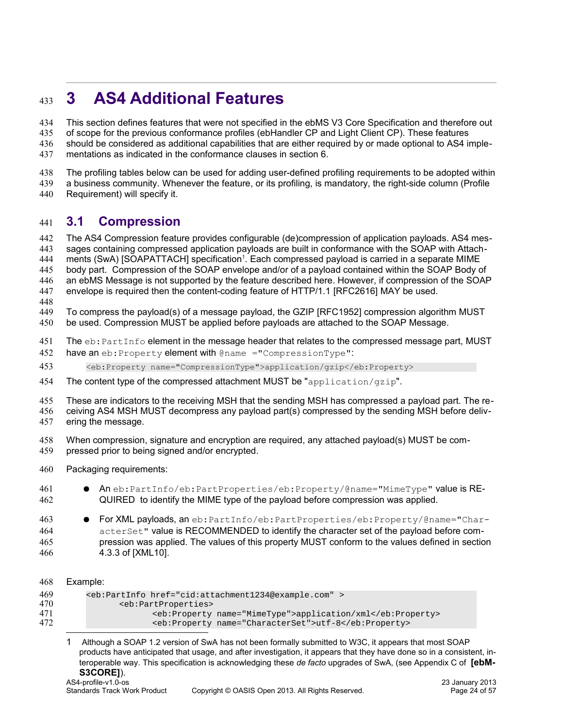# <span id="page-23-1"></span>**3 AS4 Additional Features** 433

This section defines features that were not specified in the ebMS V3 Core Specification and therefore out 434

- of scope for the previous conformance profiles (ebHandler CP and Light Client CP). These features 435
- should be considered as additional capabilities that are either required by or made optional to AS4 imple-436
- mentations as indicated in the conformance clauses in section 6. 437
- The profiling tables below can be used for adding user-defined profiling requirements to be adopted within 438
- a business community. Whenever the feature, or its profiling, is mandatory, the right-side column (Profile 439
- Requirement) will specify it. 440

#### <span id="page-23-0"></span>**3.1 Compression** 441

The AS4 Compression feature provides configurable (de)compression of application payloads. AS4 mes-442

- sages containing compressed application payloads are built in conformance with the SOAP with Attach-443
- ments (SwA) [\[SOAPATTACH\]](#page-8-3) specification<sup>[1](#page-23-2)</sup>. Each compressed payload is carried in a separate MIME 444
- body part. Compression of the SOAP envelope and/or of a payload contained within the SOAP Body of 445
- an ebMS Message is not supported by the feature described here. However, if compression of the SOAP envelope is required then the content-coding feature of HTTP/1.1 [\[RFC2616\]](#page-8-17) MAY be used. 446 447
- 448
- To compress the payload(s) of a message payload, the GZIP [\[RFC1952\]](#page-8-16) compression algorithm MUST 449
- be used. Compression MUST be applied before payloads are attached to the SOAP Message. 450
- The  $eb:PartInfo$  element in the message header that relates to the compressed message part, MUST 451
- have an eb:Property element with @name ="CompressionType": 452
- <eb:Property name="CompressionType">application/gzip</eb:Property> 453
- The content type of the compressed attachment MUST be "application/gzip". 454
- These are indicators to the receiving MSH that the sending MSH has compressed a payload part. The re-455
- ceiving AS4 MSH MUST decompress any payload part(s) compressed by the sending MSH before deliv-456
- ering the message. 457
- When compression, signature and encryption are required, any attached payload(s) MUST be com-458
- pressed prior to being signed and/or encrypted. 459
- Packaging requirements: 460

| 461 | • An eb: PartInfo/eb: PartProperties/eb: Property/@name="MimeType" value is RE- |
|-----|---------------------------------------------------------------------------------|
| 462 | QUIRED to identify the MIME type of the payload before compression was applied. |

- For XML payloads, an eb: PartInfo/eb: PartProperties/eb: Property/@name="CharacterSet" value is RECOMMENDED to identify the character set of the payload before compression was applied. The values of this property MUST conform to the values defined in section 4.3.3 of [\[XML10\].](#page-8-15) 463 464 465 466
- Example: <eb:PartInfo href=["cid:attachment1234@example.com"](file:///C:/Users/Paul%20Knight/Documents/OASIS-TC/ebXML/AS4/os/Documents%20and%20Settings/jdurand/Local%20Settings/Temporary%20Internet%20Files/Content.Outlook/VGMF53KF/cid=foo@example.com) > <eb:PartProperties> <eb:Property name="MimeType">application/xml</eb:Property> <eb:Property name="CharacterSet">utf-8</eb:Property> 468 469 470 471 472
	- 1 Although a SOAP 1.2 version of SwA has not been formally submitted to W3C, it appears that most SOAP products have anticipated that usage, and after investigation, it appears that they have done so in a consistent, interoperable way. This specification is acknowledging these *de facto* upgrades of SwA, (see Appendix C of **[ebM-**

# <span id="page-23-2"></span>**S3CORE]**).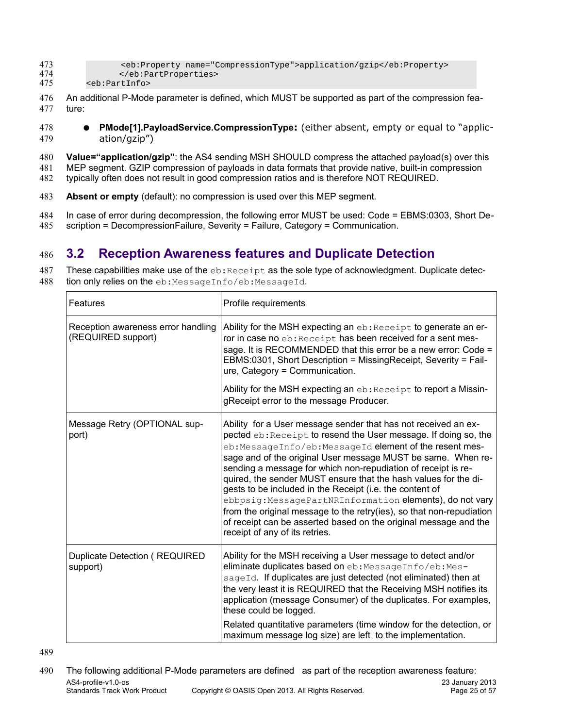| 473 | <eb:property name="CompressionType">application/qzip</eb:property> |
|-----|--------------------------------------------------------------------|
| 474 |                                                                    |
| 475 | <eb:partinfo></eb:partinfo>                                        |

- An additional P-Mode parameter is defined, which MUST be supported as part of the compression feature: 476 477
- **PMode[1].PayloadService.CompressionType:** (either absent, empty or equal to "application/gzip") 478 479
- **Value="application/gzip"**: the AS4 sending MSH SHOULD compress the attached payload(s) over this MEP segment. GZIP compression of payloads in data formats that provide native, built-in compression typically often does not result in good compression ratios and is therefore NOT REQUIRED. 480 481 482
- **Absent or empty** (default): no compression is used over this MEP segment. 483
- In case of error during decompression, the following error MUST be used: Code = EBMS:0303, Short Description = DecompressionFailure, Severity = Failure, Category = Communication. 484 485

## <span id="page-24-0"></span>**3.2 Reception Awareness features and Duplicate Detection** 486

These capabilities make use of the  $eb:Receipt$  as the sole type of acknowledgment. Duplicate detec-487

tion only relies on the eb:MessageInfo/eb:MessageId. 488

| Features                                                 | Profile requirements                                                                                                                                                                                                                                                                                                                                                                                                                                                                                                                                                                                                                                                                                    |
|----------------------------------------------------------|---------------------------------------------------------------------------------------------------------------------------------------------------------------------------------------------------------------------------------------------------------------------------------------------------------------------------------------------------------------------------------------------------------------------------------------------------------------------------------------------------------------------------------------------------------------------------------------------------------------------------------------------------------------------------------------------------------|
| Reception awareness error handling<br>(REQUIRED support) | Ability for the MSH expecting an eb: Receipt to generate an er-<br>ror in case no eb: Receipt has been received for a sent mes-<br>sage. It is RECOMMENDED that this error be a new error: Code =<br>EBMS:0301, Short Description = MissingReceipt, Severity = Fail-<br>ure, Category = Communication.<br>Ability for the MSH expecting an eb: Receipt to report a Missin-<br>gReceipt error to the message Producer.                                                                                                                                                                                                                                                                                   |
| Message Retry (OPTIONAL sup-<br>port)                    | Ability for a User message sender that has not received an ex-<br>pected eb: Receipt to resend the User message. If doing so, the<br>eb: MessageInfo/eb: MessageId element of the resent mes-<br>sage and of the original User message MUST be same. When re-<br>sending a message for which non-repudiation of receipt is re-<br>quired, the sender MUST ensure that the hash values for the di-<br>gests to be included in the Receipt (i.e. the content of<br>ebbpsig: MessagePartNRInformation elements), do not vary<br>from the original message to the retry(ies), so that non-repudiation<br>of receipt can be asserted based on the original message and the<br>receipt of any of its retries. |
| <b>Duplicate Detection ( REQUIRED</b><br>support)        | Ability for the MSH receiving a User message to detect and/or<br>eliminate duplicates based on eb: MessageInfo/eb: Mes-<br>sageId. If duplicates are just detected (not eliminated) then at<br>the very least it is REQUIRED that the Receiving MSH notifies its<br>application (message Consumer) of the duplicates. For examples,<br>these could be logged.<br>Related quantitative parameters (time window for the detection, or<br>maximum message log size) are left to the implementation.                                                                                                                                                                                                        |

489

The following additional P-Mode parameters are defined as part of the reception awareness feature: AS4-profile-v1.0-os 23 January 2013<br>Standards Track Work Product Copyright © OASIS Open 2013. All Rights Reserved. 2013 2013 Copyright © OASIS Open 2013. All Rights Reserved. 490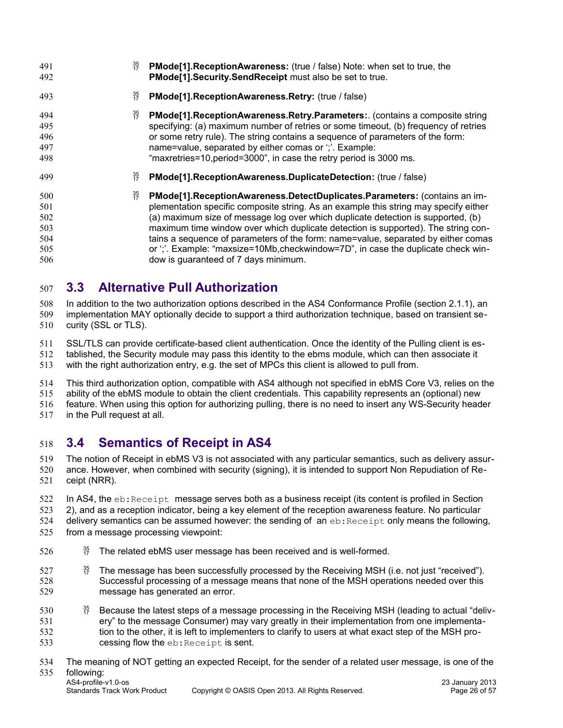| 491<br>492                                    | 35<br>17<br><b>PMode[1]. Reception Awareness:</b> (true / false) Note: when set to true, the<br>PMode[1].Security.SendReceipt must also be set to true.                                                                                                                                                                                                                                                                                                                                                                                                                                                      |
|-----------------------------------------------|--------------------------------------------------------------------------------------------------------------------------------------------------------------------------------------------------------------------------------------------------------------------------------------------------------------------------------------------------------------------------------------------------------------------------------------------------------------------------------------------------------------------------------------------------------------------------------------------------------------|
| 493                                           | $\frac{35}{17}$<br>PMode[1].ReceptionAwareness.Retry: (true / false)                                                                                                                                                                                                                                                                                                                                                                                                                                                                                                                                         |
| 494<br>495<br>496<br>497<br>498               | 35<br>17<br>PMode[1]. Reception Awareness. Retry. Parameters: (contains a composite string<br>specifying: (a) maximum number of retries or some timeout, (b) frequency of retries<br>or some retry rule). The string contains a sequence of parameters of the form:<br>name=value, separated by either comas or ";". Example:<br>"maxretries=10, period=3000", in case the retry period is 3000 ms.                                                                                                                                                                                                          |
| 499                                           | $\begin{array}{c} 35 \\ 17 \end{array}$<br>PMode[1].ReceptionAwareness.DuplicateDetection: (true / false)                                                                                                                                                                                                                                                                                                                                                                                                                                                                                                    |
| 500<br>501<br>502<br>503<br>504<br>505<br>506 | $\begin{array}{c} 35 \\ 17 \end{array}$<br>PMode[1]. Reception Awareness. Detect Duplicates. Parameters: (contains an im-<br>plementation specific composite string. As an example this string may specify either<br>(a) maximum size of message log over which duplicate detection is supported, (b)<br>maximum time window over which duplicate detection is supported). The string con-<br>tains a sequence of parameters of the form: name=value, separated by either comas<br>or ';'. Example: "maxsize=10Mb, checkwindow=7D", in case the duplicate check win-<br>dow is guaranteed of 7 days minimum. |

# <span id="page-25-1"></span>**3.3 Alternative Pull Authorization** 507

In addition to the two authorization options described in the AS4 Conformance Profile (section 2.1.1), an implementation MAY optionally decide to support a third authorization technique, based on transient security (SSL or TLS). 508 509 510

SSL/TLS can provide certificate-based client authentication. Once the identity of the Pulling client is es-511

tablished, the Security module may pass this identity to the ebms module, which can then associate it 512

with the right authorization entry, e.g. the set of MPCs this client is allowed to pull from. 513

This third authorization option, compatible with AS4 although not specified in ebMS Core V3, relies on the 514

ability of the ebMS module to obtain the client credentials. This capability represents an (optional) new 515

feature. When using this option for authorizing pulling, there is no need to insert any WS-Security header 516

in the Pull request at all. 517

# <span id="page-25-0"></span>**3.4 Semantics of Receipt in AS4** 518

The notion of Receipt in ebMS V3 is not associated with any particular semantics, such as delivery assurance. However, when combined with security (signing), it is intended to support Non Repudiation of Receipt (NRR). 519 520 521

In AS4, the  $eb:Receipt$  message serves both as a business receipt (its content is profiled in Section 522

2), and as a reception indicator, being a key element of the reception awareness feature. No particular 523

delivery semantics can be assumed however: the sending of an eb: Receipt only means the following, 524

from a message processing viewpoint: 525

- $^{35}_{17}$  The related ebMS user message has been received and is well-formed. 526
- $\frac{35}{7}$  The message has been successfully processed by the Receiving MSH (i.e. not just "received"). Successful processing of a message means that none of the MSH operations needed over this message has generated an error. 527 528 529
- $\frac{35}{17}$  Because the latest steps of a message processing in the Receiving MSH (leading to actual "delivery" to the message Consumer) may vary greatly in their implementation from one implementation to the other, it is left to implementers to clarify to users at what exact step of the MSH processing flow the eb: Receipt is sent. 530 531 532 533
- The meaning of NOT getting an expected Receipt, for the sender of a related user message, is one of the 534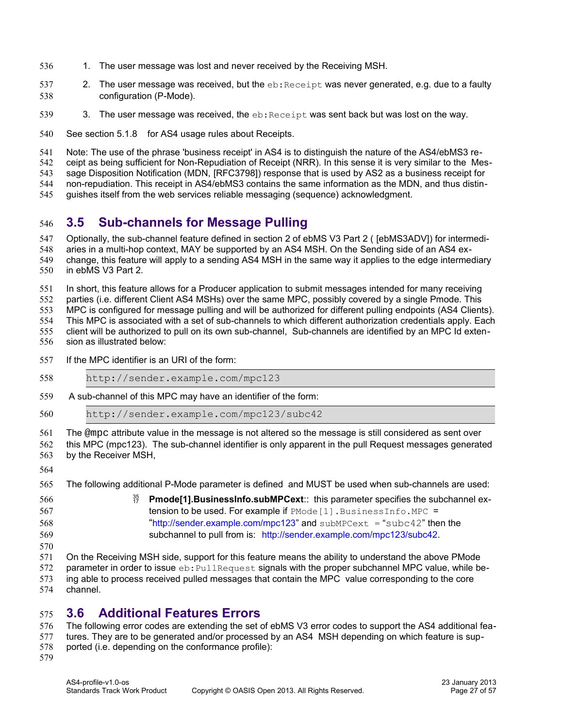- 1. The user message was lost and never received by the Receiving MSH. 536
- 2. The user message was received, but the  $eb:Receipt$  was never generated, e.g. due to a faulty configuration (P-Mode). 537 538
- 3. The user message was received, the  $eb:Receipt$  was sent back but was lost on the way. 539
- See section [5.1.8 f](#page-35-0)or AS4 usage rules about Receipts. 540
- Note: The use of the phrase 'business receipt' in AS4 is to distinguish the nature of the AS4/ebMS3 re-541
- ceipt as being sufficient for Non-Repudiation of Receipt (NRR). In this sense it is very similar to the Mes-542
- sage Disposition Notification (MDN, [\[RFC3798\]\)](#page-9-10) response that is used by AS2 as a business receipt for 543
- non-repudiation. This receipt in AS4/ebMS3 contains the same information as the MDN, and thus distin-544
- guishes itself from the web services reliable messaging (sequence) acknowledgment. 545

### <span id="page-26-1"></span>**3.5 Sub-channels for Message Pulling** 546

- Optionally, the sub-channel feature defined in section 2 of ebMS V3 Part 2 ( [\[ebMS3ADV\]\)](#page-8-7) for intermedi-547
- aries in a multi-hop context, MAY be supported by an AS4 MSH. On the Sending side of an AS4 ex-548
- change, this feature will apply to a sending AS4 MSH in the same way it applies to the edge intermediary in ebMS V3 Part 2. 549 550
- In short, this feature allows for a Producer application to submit messages intended for many receiving 551
- parties (i.e. different Client AS4 MSHs) over the same MPC, possibly covered by a single Pmode. This 552
- MPC is configured for message pulling and will be authorized for different pulling endpoints (AS4 Clients). 553
- This MPC is associated with a set of sub-channels to which different authorization credentials apply. Each 554
- client will be authorized to pull on its own sub-channel, Sub-channels are identified by an MPC Id extension as illustrated below: 555 556
- If the MPC identifier is an URI of the form: 557

| 558                             | http://sender.example.com/mpc123                                                                                                                                                                                                                                                                                       |
|---------------------------------|------------------------------------------------------------------------------------------------------------------------------------------------------------------------------------------------------------------------------------------------------------------------------------------------------------------------|
| 559                             | A sub-channel of this MPC may have an identifier of the form:                                                                                                                                                                                                                                                          |
| 560                             | http://sender.example.com/mpc123/subc42                                                                                                                                                                                                                                                                                |
| 561<br>562<br>563               | The @mpc attribute value in the message is not altered so the message is still considered as sent over<br>this MPC (mpc123). The sub-channel identifier is only apparent in the pull Request messages generated<br>by the Receiver MSH,                                                                                |
| 564                             |                                                                                                                                                                                                                                                                                                                        |
| 565                             | The following additional P-Mode parameter is defined and MUST be used when sub-channels are used:                                                                                                                                                                                                                      |
| 566<br>567<br>568<br>569<br>570 | $\frac{35}{17}$<br>Pmode[1]. BusinessInfo.subMPCext:: this parameter specifies the subchannel ex-<br>tension to be used. For example if PMode [1]. BusinessInfo. MPC =<br>"http://sender.example.com/mpc123" and subMPCext = "subc42" then the<br>subchannel to pull from is: http://sender.example.com/mpc123/subc42. |
| 571                             | On the Pecciving MCH side, support for this feature means the ability to understand the above PMede                                                                                                                                                                                                                    |

- On the Receiving MSH side, support for this feature means the ability to understand the above PMode 571
- parameter in order to issue  $eb:FullRequest$  signals with the proper subchannel MPC value, while be-572
- ing able to process received pulled messages that contain the MPC value corresponding to the core 573
- channel. 574

#### <span id="page-26-0"></span>**3.6 Additional Features Errors** 575

The following error codes are extending the set of ebMS V3 error codes to support the AS4 additional features. They are to be generated and/or processed by an AS4 MSH depending on which feature is supported (i.e. depending on the conformance profile): 576 577 578 579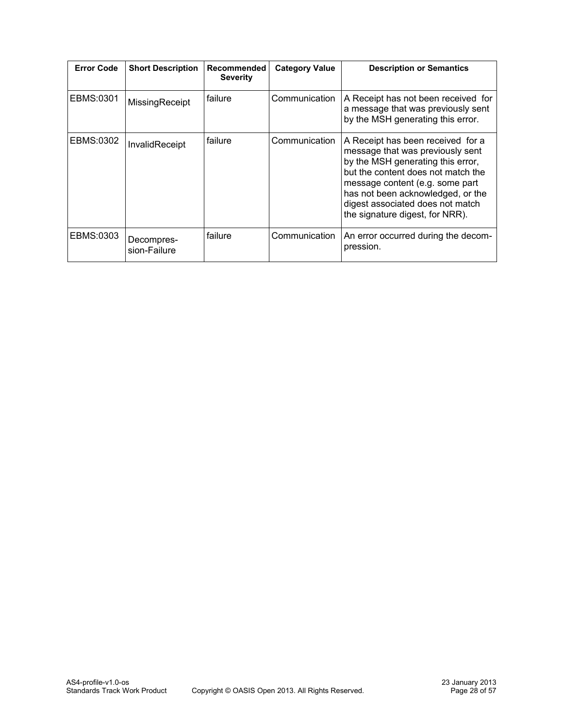| <b>Error Code</b> | <b>Short Description</b>   | Recommended<br><b>Severity</b> | <b>Category Value</b> | <b>Description or Semantics</b>                                                                                                                                                                                                                                                                 |
|-------------------|----------------------------|--------------------------------|-----------------------|-------------------------------------------------------------------------------------------------------------------------------------------------------------------------------------------------------------------------------------------------------------------------------------------------|
| EBMS:0301         | MissingReceipt             | failure                        | Communication         | A Receipt has not been received for<br>a message that was previously sent<br>by the MSH generating this error.                                                                                                                                                                                  |
| EBMS:0302         | InvalidReceipt             | failure                        | Communication         | A Receipt has been received for a<br>message that was previously sent<br>by the MSH generating this error,<br>but the content does not match the<br>message content (e.g. some part<br>has not been acknowledged, or the<br>digest associated does not match<br>the signature digest, for NRR). |
| EBMS:0303         | Decompres-<br>sion-Failure | failure                        | Communication         | An error occurred during the decom-<br>pression.                                                                                                                                                                                                                                                |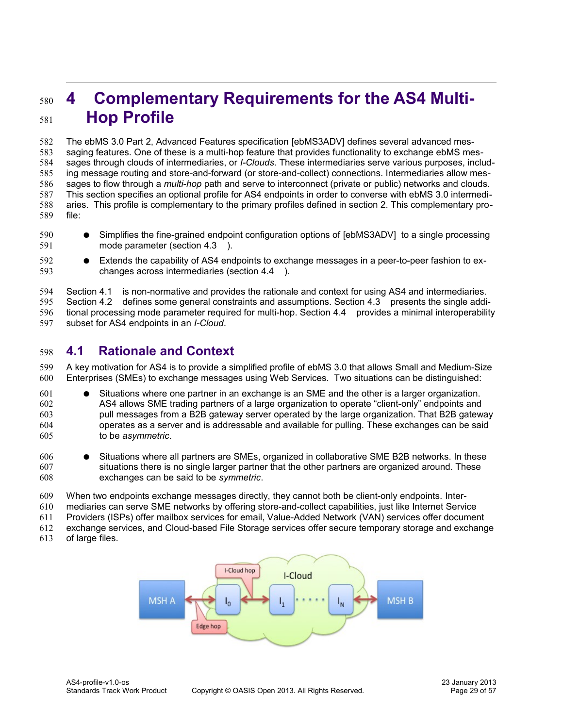# <span id="page-28-1"></span>**4 Complementary Requirements for the AS4 Multi-Hop Profile**  580 581

The ebMS 3.0 Part 2, Advanced Features specification [\[ebMS3ADV\]](#page-8-7) defines several advanced messaging features. One of these is a multi-hop feature that provides functionality to exchange ebMS messages through clouds of intermediaries, or *I-Clouds*. These intermediaries serve various purposes, including message routing and store-and-forward (or store-and-collect) connections. Intermediaries allow messages to flow through a *multi-hop* path and serve to interconnect (private or public) networks and clouds. This section specifies an optional profile for AS4 endpoints in order to converse with ebMS 3.0 intermediaries. This profile is complementary to the primary profiles defined in section 2. This complementary profile: 582 583 584 585 586 587 588 589

- Simplifies the fine-grained endpoint configuration options of [\[ebMS3ADV\]](#page-8-7) to a single processing mode parameter (section [4.3 \)](#page-29-1). 590 591
- Extends the capability of AS4 endpoints to exchange messages in a peer-to-peer fashion to exchanges across intermediaries (section [4.4 \)](#page-29-0). 592 593

Section [4.1 i](#page-28-0)s non-normative and provides the rationale and context for using AS4 and intermediaries. Section [4.2 d](#page-29-2)efines some general constraints and assumptions. Section [4.3 p](#page-29-1)resents the single additional processing mode parameter required for multi-hop. Section [4.4 p](#page-29-0)rovides a minimal interoperability subset for AS4 endpoints in an *I-Cloud*. 594 595 596 597

## <span id="page-28-0"></span>**4.1 Rationale and Context**  598

A key motivation for AS4 is to provide a simplified profile of ebMS 3.0 that allows Small and Medium-Size Enterprises (SMEs) to exchange messages using Web Services. Two situations can be distinguished: 599 600

Situations where one partner in an exchange is an SME and the other is a larger organization. AS4 allows SME trading partners of a large organization to operate "client-only" endpoints and pull messages from a B2B gateway server operated by the large organization. That B2B gateway operates as a server and is addressable and available for pulling. These exchanges can be said to be *asymmetric*. 601 602 603 604 605

Situations where all partners are SMEs, organized in collaborative SME B2B networks. In these situations there is no single larger partner that the other partners are organized around. These exchanges can be said to be *symmetric*. 606 607 608

- When two endpoints exchange messages directly, they cannot both be client-only endpoints. Inter-609
- mediaries can serve SME networks by offering store-and-collect capabilities, just like Internet Service 610
- Providers (ISPs) offer mailbox services for email, Value-Added Network (VAN) services offer document 611

exchange services, and Cloud-based File Storage services offer secure temporary storage and exchange 612

of large files. 613

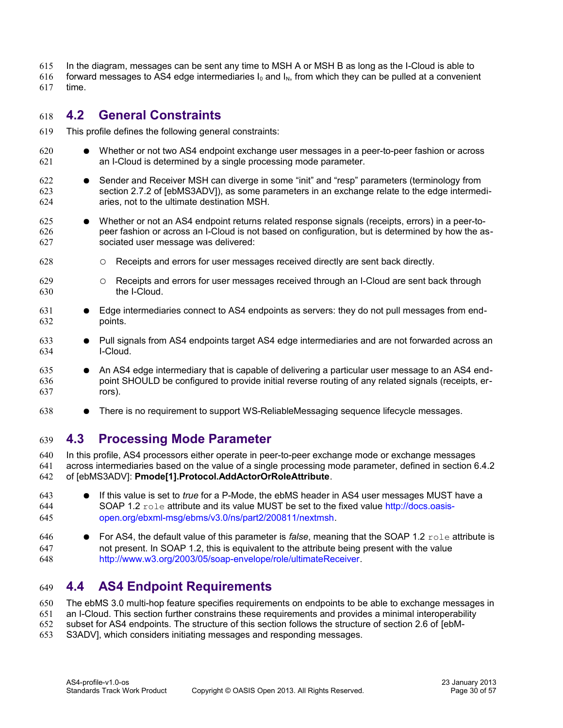- In the diagram, messages can be sent any time to MSH A or MSH B as long as the I-Cloud is able to 615
- forward messages to AS4 edge intermediaries  $I_0$  and  $I_N$ , from which they can be pulled at a convenient time. 616 617

### <span id="page-29-2"></span>**4.2 General Constraints** 618

- This profile defines the following general constraints: 619
- Whether or not two AS4 endpoint exchange user messages in a peer-to-peer fashion or across an I-Cloud is determined by a single processing mode parameter. 620 621
- Sender and Receiver MSH can diverge in some "init" and "resp" parameters (terminology from section 2.7.2 of [\[ebMS3ADV\]\)](#page-8-7), as some parameters in an exchange relate to the edge intermediaries, not to the ultimate destination MSH. 622 623 624
- Whether or not an AS4 endpoint returns related response signals (receipts, errors) in a peer-topeer fashion or across an I-Cloud is not based on configuration, but is determined by how the associated user message was delivered: 625 626 627
- Receipts and errors for user messages received directly are sent back directly. 628
- Receipts and errors for user messages received through an I-Cloud are sent back through the I-Cloud. 629 630
- Edge intermediaries connect to AS4 endpoints as servers: they do not pull messages from endpoints. 631 632
- Pull signals from AS4 endpoints target AS4 edge intermediaries and are not forwarded across an I-Cloud. 633 634
- An AS4 edge intermediary that is capable of delivering a particular user message to an AS4 endpoint SHOULD be configured to provide initial reverse routing of any related signals (receipts, errors). 635 636 637
- There is no requirement to support WS-ReliableMessaging sequence lifecycle messages. 638

#### <span id="page-29-1"></span>**4.3 Processing Mode Parameter** 639

In this profile, AS4 processors either operate in peer-to-peer exchange mode or exchange messages across intermediaries based on the value of a single processing mode parameter, defined in section 6.4.2 of [\[ebMS3ADV\]:](#page-8-7) **Pmode[1].Protocol.AddActorOrRoleAttribute**. 640 641 642

- If this value is set to *true* for a P-Mode, the ebMS header in AS4 user messages MUST have a SOAP 1.2 role attribute and its value MUST be set to the fixed value [http://docs.oasis](http://docs.oasis-open.org/ebxml-msg/ebms/v3.0/ns/part2/200811/nextmsh)[open.org/ebxml-msg/ebms/v3.0/ns/part2/200811/nextmsh.](http://docs.oasis-open.org/ebxml-msg/ebms/v3.0/ns/part2/200811/nextmsh) 643 644 645
- For AS4, the default value of this parameter is *false*, meaning that the SOAP 1.2 role attribute is not present. In SOAP 1.2, this is equivalent to the attribute being present with the value [http://www.w3.org/2003/05/soap-envelope/role/ultimateReceiver.](http://www.w3.org/2003/05/soap-envelope/role/ultimateReceiver) 646 647 648

#### <span id="page-29-0"></span>**4.4 AS4 Endpoint Requirements** 649

The ebMS 3.0 multi-hop feature specifies requirements on endpoints to be able to exchange messages in 650

an I-Cloud. This section further constrains these requirements and provides a minimal interoperability 651

- subset for AS4 endpoints. The structure of this section follows the structure of section 2.6 of [\[ebM-](#page-8-7)652
- [S3ADV\],](#page-8-7) which considers initiating messages and responding messages. 653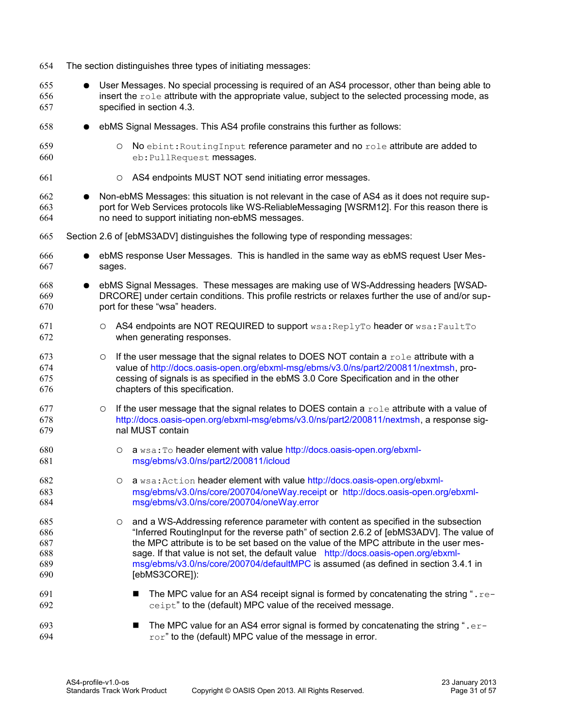User Messages. No special processing is required of an AS4 processor, other than being able to insert the role attribute with the appropriate value, subject to the selected processing mode, as specified in section 4.3. ebMS Signal Messages. This AS4 profile constrains this further as follows: ○ No ebint:RoutingInput reference parameter and no role attribute are added to eb:PullRequest messages. ○ AS4 endpoints MUST NOT send initiating error messages. Non-ebMS Messages: this situation is not relevant in the case of AS4 as it does not require support for Web Services protocols like WS-ReliableMessaging [\[WSRM12\].](#page-9-2) For this reason there is no need to support initiating non-ebMS messages. Section 2.6 of [\[ebMS3ADV\]](#page-8-7) distinguishes the following type of responding messages: ebMS response User Messages. This is handled in the same way as ebMS request User Messages. ebMS Signal Messages. These messages are making use of WS-Addressing headers [\[WSAD-](#page-8-1)[DRCORE\]](#page-8-1) under certain conditions. This profile restricts or relaxes further the use of and/or support for these "wsa" headers. O AS4 endpoints are NOT REQUIRED to support wsa: ReplyTo header or wsa: FaultTo when generating responses.  $\circ$  If the user message that the signal relates to DOES NOT contain a  $\text{role}$  attribute with a value of [http://docs.oasis-open.org/ebxml-msg/ebms/v3.0/ns/part2/200811/nextmsh,](http://docs.oasis-open.org/ebxml-msg/ebms/v3.0/ns/part2/200811/nextmsh) processing of signals is as specified in the ebMS 3.0 Core Specification and in the other chapters of this specification.  $\circ$  If the user message that the signal relates to DOES contain a  $\text{role}$  attribute with a value of [http://docs.oasis-open.org/ebxml-msg/ebms/v3.0/ns/part2/200811/nextmsh,](http://docs.oasis-open.org/ebxml-msg/ebms/v3.0/ns/part2/200811/nextmsh) a response signal MUST contain ○ a wsa:To header element with value [http://docs.oasis-open.org/ebxml](http://docs.oasis-open.org/ebxml-msg/ebms/v3.0/ns/part2/200811/icloud)[msg/ebms/v3.0/ns/part2/200811/icloud](http://docs.oasis-open.org/ebxml-msg/ebms/v3.0/ns/part2/200811/icloud) ○ a wsa:Action header element with value [http://docs.oasis-open.org/ebxml](http://docs.oasis-open.org/ebxml-msg/ebms/v3.0/ns/core/200704/oneWay.receipt)[msg/ebms/v3.0/ns/core/200704/oneWay.receipt](http://docs.oasis-open.org/ebxml-msg/ebms/v3.0/ns/core/200704/oneWay.receipt) or [http://docs.oasis-open.org/ebxml](http://docs.oasis-open.org/ebxml-msg/ebms/v3.0/ns/core/200704/oneWay.error)[msg/ebms/v3.0/ns/core/200704/oneWay.error](http://docs.oasis-open.org/ebxml-msg/ebms/v3.0/ns/core/200704/oneWay.error) ○ and a WS-Addressing reference parameter with content as specified in the subsection "Inferred RoutingInput for the reverse path" of section 2.6.2 of [\[ebMS3ADV\].](#page-8-7) The value of the MPC attribute is to be set based on the value of the MPC attribute in the user message. If that value is not set, the default value [http://docs.oasis-open.org/ebxml](http://docs.oasis-open.org/ebxml-msg/ebms/v3.0/ns/core/200704/defaultMPC)[msg/ebms/v3.0/ns/core/200704/defaultMPC](http://docs.oasis-open.org/ebxml-msg/ebms/v3.0/ns/core/200704/defaultMPC) is assumed (as defined in section 3.4.1 i[n](#page-8-5) [\[ebMS3CORE\]\)](#page-8-5): **■** The MPC value for an AS4 receipt signal is formed by concatenating the string ".  $re$ ceipt" to the (default) MPC value of the received message. **■** The MPC value for an AS4 error signal is formed by concatenating the string ".  $er$ ror" to the (default) MPC value of the message in error. 655 656 657 658 659 660 661 662 663 664 665 666 667 668 669 670 671 672 673 674 675 676 677 678 679 680 681 682 683 684 685 686 687 688 689 690 691 692 693 694

The section distinguishes three types of initiating messages:

654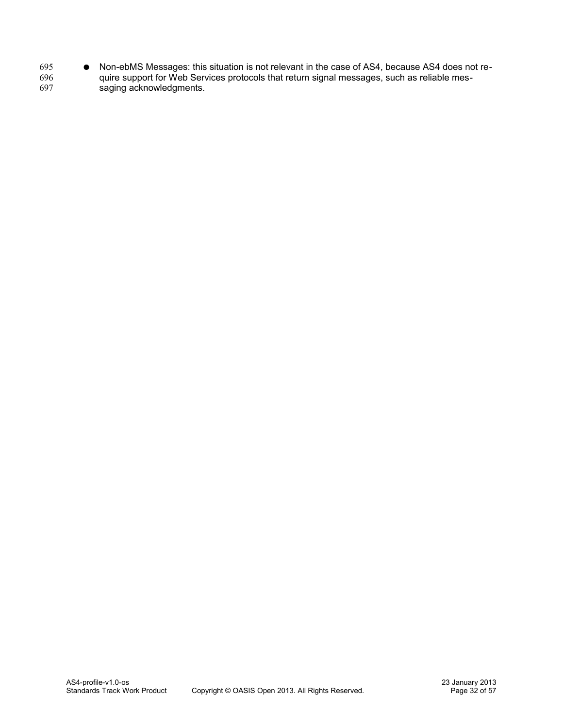● Non-ebMS Messages: this situation is not relevant in the case of AS4, because AS4 does not require support for Web Services protocols that return signal messages, such as reliable messaging acknowledgments. 695 696 697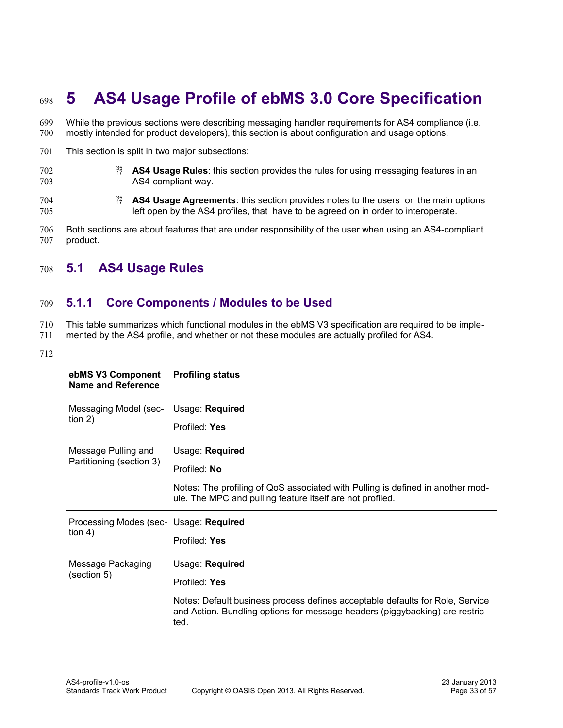# <span id="page-32-2"></span>**5 AS4 Usage Profile of ebMS 3.0 Core Specification**  698

While the previous sections were describing messaging handler requirements for AS4 compliance (i.e. mostly intended for product developers), this section is about configuration and usage options. 699 700

- This section is split in two major subsections: 701
- <sup>35</sup> AS4 Usage Rules: this section provides the rules for using messaging features in an AS4-compliant way. 702 703
- **AS4 Usage Agreements**: this section provides notes to the users on the main options left open by the AS4 profiles, that have to be agreed on in order to interoperate. 704 705

Both sections are about features that are under responsibility of the user when using an AS4-compliant product. 706 707

### <span id="page-32-1"></span>**5.1 AS4 Usage Rules** 708

#### <span id="page-32-0"></span>**5.1.1 Core Components / Modules to be Used** 709

This table summarizes which functional modules in the ebMS V3 specification are required to be imple-710

- mented by the AS4 profile, and whether or not these modules are actually profiled for AS4. 711
- 712

| ebMS V3 Component<br><b>Name and Reference</b>  | <b>Profiling status</b>                                                                                                                                                                                   |
|-------------------------------------------------|-----------------------------------------------------------------------------------------------------------------------------------------------------------------------------------------------------------|
| Messaging Model (sec-<br>tion $2)$              | Usage: Required<br>Profiled: Yes                                                                                                                                                                          |
| Message Pulling and<br>Partitioning (section 3) | Usage: Required<br>Profiled: No<br>Notes: The profiling of QoS associated with Pulling is defined in another mod-<br>ule. The MPC and pulling feature itself are not profiled.                            |
| Processing Modes (sec-<br>tion 4)               | Usage: Required<br>Profiled: Yes                                                                                                                                                                          |
| Message Packaging<br>(section 5)                | Usage: Required<br>Profiled: Yes<br>Notes: Default business process defines acceptable defaults for Role, Service<br>and Action. Bundling options for message headers (piggybacking) are restric-<br>ted. |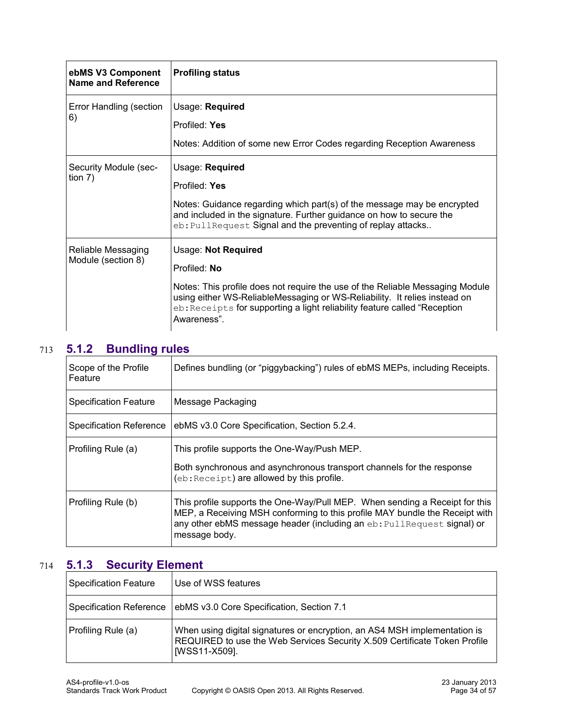| ebMS V3 Component<br>Name and Reference  | <b>Profiling status</b>                                                                                                                                                                                                                                                                       |
|------------------------------------------|-----------------------------------------------------------------------------------------------------------------------------------------------------------------------------------------------------------------------------------------------------------------------------------------------|
| Error Handling (section<br>6)            | Usage: Required<br>Profiled: Yes<br>Notes: Addition of some new Error Codes regarding Reception Awareness                                                                                                                                                                                     |
| Security Module (sec-<br>tion $7)$       | Usage: Required<br>Profiled: Yes<br>Notes: Guidance regarding which part(s) of the message may be encrypted<br>and included in the signature. Further guidance on how to secure the<br>eb: PullRequest Signal and the preventing of replay attacks                                            |
| Reliable Messaging<br>Module (section 8) | Usage: Not Required<br>Profiled: No<br>Notes: This profile does not require the use of the Reliable Messaging Module<br>using either WS-ReliableMessaging or WS-Reliability. It relies instead on<br>eb: Receipts for supporting a light reliability feature called "Reception<br>Awareness". |

# **5.1.2 Bundling rules** 713

<span id="page-33-1"></span>

| Scope of the Profile<br>Feature | Defines bundling (or "piggybacking") rules of ebMS MEPs, including Receipts.                                                                                                                                                                          |
|---------------------------------|-------------------------------------------------------------------------------------------------------------------------------------------------------------------------------------------------------------------------------------------------------|
| <b>Specification Feature</b>    | Message Packaging                                                                                                                                                                                                                                     |
| <b>Specification Reference</b>  | ebMS v3.0 Core Specification, Section 5.2.4.                                                                                                                                                                                                          |
| Profiling Rule (a)              | This profile supports the One-Way/Push MEP.                                                                                                                                                                                                           |
|                                 | Both synchronous and asynchronous transport channels for the response<br>(eb: Receipt) are allowed by this profile.                                                                                                                                   |
| Profiling Rule (b)              | This profile supports the One-Way/Pull MEP. When sending a Receipt for this<br>MEP, a Receiving MSH conforming to this profile MAY bundle the Receipt with<br>any other ebMS message header (including an eb: PullRequest signal) or<br>message body. |

# **5.1.3 Security Element** 714

<span id="page-33-0"></span>

| Specification Feature   | Use of WSS features                                                                                                                                                     |
|-------------------------|-------------------------------------------------------------------------------------------------------------------------------------------------------------------------|
| Specification Reference | ebMS v3.0 Core Specification, Section 7.1                                                                                                                               |
| Profiling Rule (a)      | When using digital signatures or encryption, an AS4 MSH implementation is<br>REQUIRED to use the Web Services Security X.509 Certificate Token Profile<br>[WSS11-X509]. |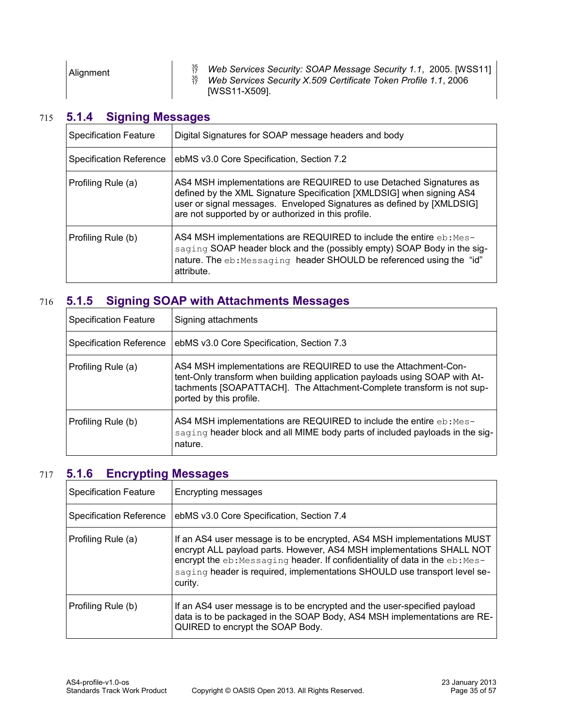# **5.1.4 Signing Messages** 715

<span id="page-34-2"></span>

| <b>Specification Feature</b>   | Digital Signatures for SOAP message headers and body                                                                                                                                                                                                                        |
|--------------------------------|-----------------------------------------------------------------------------------------------------------------------------------------------------------------------------------------------------------------------------------------------------------------------------|
| <b>Specification Reference</b> | ebMS v3.0 Core Specification, Section 7.2                                                                                                                                                                                                                                   |
| Profiling Rule (a)             | AS4 MSH implementations are REQUIRED to use Detached Signatures as<br>defined by the XML Signature Specification [XMLDSIG] when signing AS4<br>user or signal messages. Enveloped Signatures as defined by [XMLDSIG]<br>are not supported by or authorized in this profile. |
| Profiling Rule (b)             | AS4 MSH implementations are REQUIRED to include the entire eb: Mes-<br>saging SOAP header block and the (possibly empty) SOAP Body in the sig-<br>nature. The eb: Messaging header SHOULD be referenced using the "id"<br>attribute.                                        |

# **5.1.5 Signing SOAP with Attachments Messages** 716

<span id="page-34-1"></span>

| <b>Specification Feature</b>   | Signing attachments                                                                                                                                                                                                                               |
|--------------------------------|---------------------------------------------------------------------------------------------------------------------------------------------------------------------------------------------------------------------------------------------------|
| <b>Specification Reference</b> | ebMS v3.0 Core Specification, Section 7.3                                                                                                                                                                                                         |
| Profiling Rule (a)             | AS4 MSH implementations are REQUIRED to use the Attachment-Con-<br>tent-Only transform when building application payloads using SOAP with At-<br>tachments [SOAPATTACH]. The Attachment-Complete transform is not sup-<br>ported by this profile. |
| Profiling Rule (b)             | AS4 MSH implementations are REQUIRED to include the entire eb: Mes-<br>saging header block and all MIME body parts of included payloads in the sig-<br>nature.                                                                                    |

# **5.1.6 Encrypting Messages** 717

<span id="page-34-0"></span>

| <b>Specification Feature</b>   | Encrypting messages                                                                                                                                                                                                                                                                                                      |
|--------------------------------|--------------------------------------------------------------------------------------------------------------------------------------------------------------------------------------------------------------------------------------------------------------------------------------------------------------------------|
| <b>Specification Reference</b> | ebMS v3.0 Core Specification, Section 7.4                                                                                                                                                                                                                                                                                |
| Profiling Rule (a)             | If an AS4 user message is to be encrypted, AS4 MSH implementations MUST<br>encrypt ALL payload parts. However, AS4 MSH implementations SHALL NOT<br>encrypt the eb: Messaging header. If confidentiality of data in the eb: Mes-<br>saging header is required, implementations SHOULD use transport level se-<br>curity. |
| Profiling Rule (b)             | If an AS4 user message is to be encrypted and the user-specified payload<br>data is to be packaged in the SOAP Body, AS4 MSH implementations are RE-<br>QUIRED to encrypt the SOAP Body.                                                                                                                                 |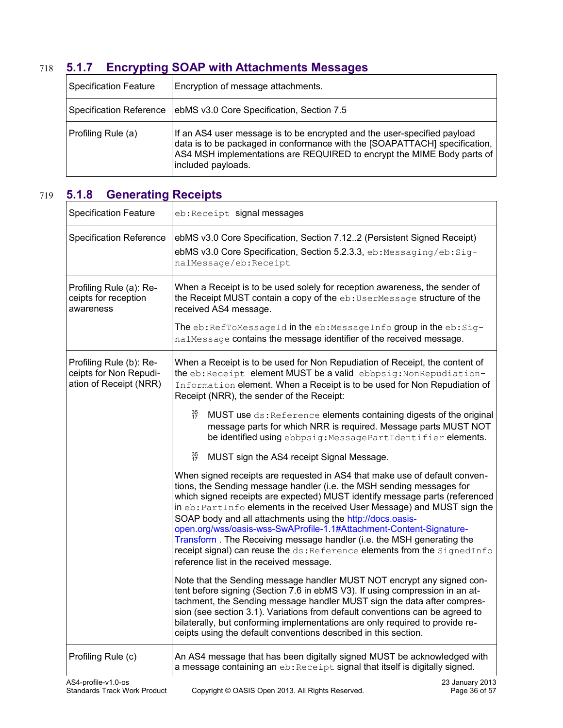# **5.1.7 Encrypting SOAP with Attachments Messages** 718

<span id="page-35-1"></span>

| Specification Feature   | Encryption of message attachments.                                                                                                                                                                                                                       |
|-------------------------|----------------------------------------------------------------------------------------------------------------------------------------------------------------------------------------------------------------------------------------------------------|
| Specification Reference | ebMS v3.0 Core Specification, Section 7.5                                                                                                                                                                                                                |
| Profiling Rule (a)      | If an AS4 user message is to be encrypted and the user-specified payload<br>data is to be packaged in conformance with the [SOAPATTACH] specification,  <br>AS4 MSH implementations are REQUIRED to encrypt the MIME Body parts of<br>included payloads. |

# **5.1.8 Generating Receipts** 719

<span id="page-35-0"></span>

| <b>Specification Feature</b>                                                | eb:Receipt signal messages                                                                                                                                                                                                                                                                                                                                                                                                                                                                                                                                                                                                                          |
|-----------------------------------------------------------------------------|-----------------------------------------------------------------------------------------------------------------------------------------------------------------------------------------------------------------------------------------------------------------------------------------------------------------------------------------------------------------------------------------------------------------------------------------------------------------------------------------------------------------------------------------------------------------------------------------------------------------------------------------------------|
| <b>Specification Reference</b>                                              | ebMS v3.0 Core Specification, Section 7.122 (Persistent Signed Receipt)<br>ebMS v3.0 Core Specification, Section 5.2.3.3, eb: Messaging/eb: Sig-<br>nalMessage/eb:Receipt                                                                                                                                                                                                                                                                                                                                                                                                                                                                           |
| Profiling Rule (a): Re-<br>ceipts for reception<br>awareness                | When a Receipt is to be used solely for reception awareness, the sender of<br>the Receipt MUST contain a copy of the eb: UserMessage structure of the<br>received AS4 message.                                                                                                                                                                                                                                                                                                                                                                                                                                                                      |
|                                                                             | The $eb$ : RefToMessageId in the $eb$ : MessageInfo group in the $eb$ : Sig-<br>nalMessage contains the message identifier of the received message.                                                                                                                                                                                                                                                                                                                                                                                                                                                                                                 |
| Profiling Rule (b): Re-<br>ceipts for Non Repudi-<br>ation of Receipt (NRR) | When a Receipt is to be used for Non Repudiation of Receipt, the content of<br>the eb: Receipt element MUST be a valid ebbpsig: NonRepudiation-<br>Information element. When a Receipt is to be used for Non Repudiation of<br>Receipt (NRR), the sender of the Receipt:                                                                                                                                                                                                                                                                                                                                                                            |
|                                                                             | 35<br>17<br>MUST use ds: Reference elements containing digests of the original<br>message parts for which NRR is required. Message parts MUST NOT<br>be identified using ebbpsig: Message PartIdentifier elements.                                                                                                                                                                                                                                                                                                                                                                                                                                  |
|                                                                             | $\frac{35}{17}$<br>MUST sign the AS4 receipt Signal Message.                                                                                                                                                                                                                                                                                                                                                                                                                                                                                                                                                                                        |
|                                                                             | When signed receipts are requested in AS4 that make use of default conven-<br>tions, the Sending message handler (i.e. the MSH sending messages for<br>which signed receipts are expected) MUST identify message parts (referenced<br>in eb: PartInfo elements in the received User Message) and MUST sign the<br>SOAP body and all attachments using the http://docs.oasis-<br>open.org/wss/oasis-wss-SwAProfile-1.1#Attachment-Content-Signature-<br>Transform. The Receiving message handler (i.e. the MSH generating the<br>receipt signal) can reuse the ds: Reference elements from the SignedInfo<br>reference list in the received message. |
|                                                                             | Note that the Sending message handler MUST NOT encrypt any signed con-<br>tent before signing (Section 7.6 in ebMS V3). If using compression in an at-<br>tachment, the Sending message handler MUST sign the data after compres-<br>sion (see section 3.1). Variations from default conventions can be agreed to<br>bilaterally, but conforming implementations are only required to provide re-<br>ceipts using the default conventions described in this section.                                                                                                                                                                                |
| Profiling Rule (c)                                                          | An AS4 message that has been digitally signed MUST be acknowledged with<br>a message containing an eb: Receipt signal that itself is digitally signed.                                                                                                                                                                                                                                                                                                                                                                                                                                                                                              |
| AS4-profile-v1.0-os<br><b>Standards Track Work Product</b>                  | 23 January 2013<br>Copyright © OASIS Open 2013. All Rights Reserved.<br>Page 36 of 57                                                                                                                                                                                                                                                                                                                                                                                                                                                                                                                                                               |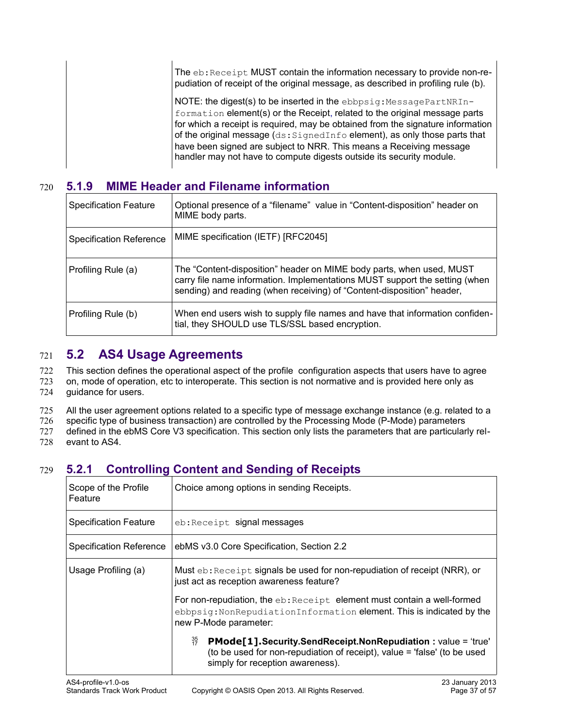| The eb: Receipt MUST contain the information necessary to provide non-re-<br>pudiation of receipt of the original message, as described in profiling rule (b).                                                                                                                                                                                                                                                                                                    |
|-------------------------------------------------------------------------------------------------------------------------------------------------------------------------------------------------------------------------------------------------------------------------------------------------------------------------------------------------------------------------------------------------------------------------------------------------------------------|
| NOTE: the digest(s) to be inserted in the ebbpsig: MessagePartNRIn-<br>formation element(s) or the Receipt, related to the original message parts<br>for which a receipt is required, may be obtained from the signature information<br>of the original message (ds: SignedInfo element), as only those parts that<br>have been signed are subject to NRR. This means a Receiving message<br>handler may not have to compute digests outside its security module. |

## **5.1.9 MIME Header and Filename information** 720

<span id="page-36-2"></span>

| <b>Specification Feature</b>   | Optional presence of a "filename" value in "Content-disposition" header on<br>MIME body parts.                                                                                                                                |
|--------------------------------|-------------------------------------------------------------------------------------------------------------------------------------------------------------------------------------------------------------------------------|
| <b>Specification Reference</b> | MIME specification (IETF) [RFC2045]                                                                                                                                                                                           |
| Profiling Rule (a)             | The "Content-disposition" header on MIME body parts, when used, MUST<br>carry file name information. Implementations MUST support the setting (when<br>sending) and reading (when receiving) of "Content-disposition" header, |
| Profiling Rule (b)             | When end users wish to supply file names and have that information confiden-<br>tial, they SHOULD use TLS/SSL based encryption.                                                                                               |

## <span id="page-36-1"></span>**5.2 AS4 Usage Agreements** 721

This section defines the operational aspect of the profile configuration aspects that users have to agree 722

on, mode of operation, etc to interoperate. This section is not normative and is provided here only as guidance for users. 723 724

All the user agreement options related to a specific type of message exchange instance (e.g. related to a 725

specific type of business transaction) are controlled by the Processing Mode (P-Mode) parameters 726

defined in the ebMS Core V3 specification. This section only lists the parameters that are particularly relevant to AS4. 727 728

# **5.2.1 Controlling Content and Sending of Receipts** 729

<span id="page-36-0"></span>

| Scope of the Profile<br>Feature | Choice among options in sending Receipts.                                                                                                                                                |
|---------------------------------|------------------------------------------------------------------------------------------------------------------------------------------------------------------------------------------|
| <b>Specification Feature</b>    | eb: Receipt signal messages                                                                                                                                                              |
| <b>Specification Reference</b>  | ebMS v3.0 Core Specification, Section 2.2                                                                                                                                                |
| Usage Profiling (a)             | Must eb: Receipt signals be used for non-repudiation of receipt (NRR), or<br>just act as reception awareness feature?                                                                    |
|                                 | For non-repudiation, the eb: Receipt element must contain a well-formed<br>ebbpsig: NonRepudiationInformation element. This is indicated by the<br>new P-Mode parameter:                 |
|                                 | 35<br>17<br>PMode[1].Security.SendReceipt.NonRepudiation: value = 'true'<br>(to be used for non-repudiation of receipt), value = 'false' (to be used<br>simply for reception awareness). |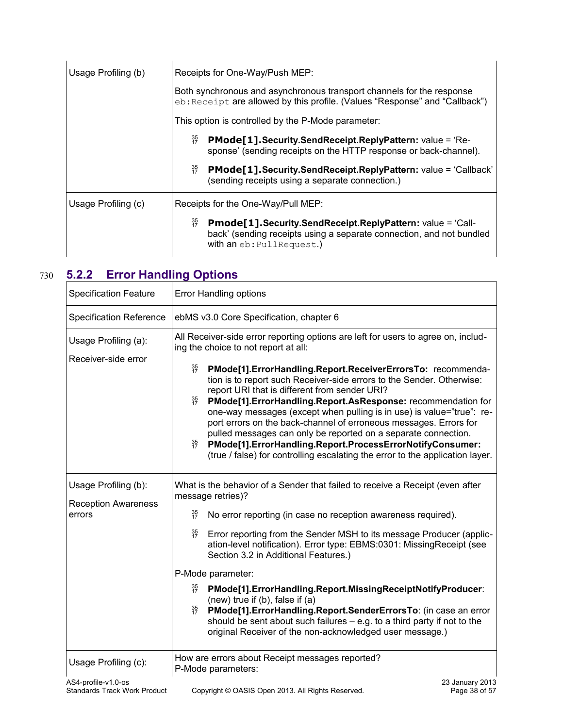| Usage Profiling (b) | Receipts for One-Way/Push MEP:                                                                                                                                                                 |
|---------------------|------------------------------------------------------------------------------------------------------------------------------------------------------------------------------------------------|
|                     | Both synchronous and asynchronous transport channels for the response<br>eb: Receipt are allowed by this profile. (Values "Response" and "Callback")                                           |
|                     | This option is controlled by the P-Mode parameter:                                                                                                                                             |
|                     | $\frac{35}{17}$<br><b>PMode[1]. Security. Send Receipt. ReplyPattern: value = 'Re-</b><br>sponse' (sending receipts on the HTTP response or back-channel).                                     |
|                     | $\frac{35}{17}$<br>PMode[1].Security.SendReceipt.ReplyPattern: value = 'Callback'<br>(sending receipts using a separate connection.)                                                           |
| Usage Profiling (c) | Receipts for the One-Way/Pull MEP:                                                                                                                                                             |
|                     | $\frac{35}{17}$<br><b>Pmode[1]. Security. Send Receipt. Reply Pattern: value = 'Call-</b><br>back' (sending receipts using a separate connection, and not bundled<br>with an eb: PullRequest.) |

# **5.2.2 Error Handling Options** 730

<span id="page-37-0"></span>

| <b>Specification Feature</b>                                                | <b>Error Handling options</b>                                                                                                                                                                                                                                                                                                                                                                                                                                                                                                                                                                                                                                                                                                                                                               |
|-----------------------------------------------------------------------------|---------------------------------------------------------------------------------------------------------------------------------------------------------------------------------------------------------------------------------------------------------------------------------------------------------------------------------------------------------------------------------------------------------------------------------------------------------------------------------------------------------------------------------------------------------------------------------------------------------------------------------------------------------------------------------------------------------------------------------------------------------------------------------------------|
| <b>Specification Reference</b>                                              | ebMS v3.0 Core Specification, chapter 6                                                                                                                                                                                                                                                                                                                                                                                                                                                                                                                                                                                                                                                                                                                                                     |
| Usage Profiling (a):<br>Receiver-side error                                 | All Receiver-side error reporting options are left for users to agree on, includ-<br>ing the choice to not report at all:<br>35<br>17<br>PMode[1].ErrorHandling.Report.ReceiverErrorsTo: recommenda-<br>tion is to report such Receiver-side errors to the Sender. Otherwise:<br>report URI that is different from sender URI?<br>$\frac{35}{17}$<br>PMode[1].ErrorHandling.Report.AsResponse: recommendation for<br>one-way messages (except when pulling is in use) is value="true": re-<br>port errors on the back-channel of erroneous messages. Errors for<br>pulled messages can only be reported on a separate connection.<br>35<br>17<br>PMode[1].ErrorHandling.Report.ProcessErrorNotifyConsumer:<br>(true / false) for controlling escalating the error to the application layer. |
| Usage Profiling (b):<br><b>Reception Awareness</b><br>errors                | What is the behavior of a Sender that failed to receive a Receipt (even after<br>message retries)?<br>$\frac{35}{17}$<br>No error reporting (in case no reception awareness required).<br>$\frac{35}{17}$<br>Error reporting from the Sender MSH to its message Producer (applic-<br>ation-level notification). Error type: EBMS:0301: MissingReceipt (see<br>Section 3.2 in Additional Features.)<br>P-Mode parameter:<br>35<br>17<br>PMode[1].ErrorHandling.Report.MissingReceiptNotifyProducer:<br>(new) true if $(b)$ , false if $(a)$<br>$\frac{35}{17}$<br>PMode[1]. Error Handling. Report. Sender Errors To: (in case an error<br>should be sent about such failures $-$ e.g. to a third party if not to the<br>original Receiver of the non-acknowledged user message.)            |
| Usage Profiling (c):                                                        | How are errors about Receipt messages reported?<br>P-Mode parameters:                                                                                                                                                                                                                                                                                                                                                                                                                                                                                                                                                                                                                                                                                                                       |
| $\triangle$ S <sub>1-</sub> profile $\vee$ 1 $\triangle$<br>23 January 2013 |                                                                                                                                                                                                                                                                                                                                                                                                                                                                                                                                                                                                                                                                                                                                                                                             |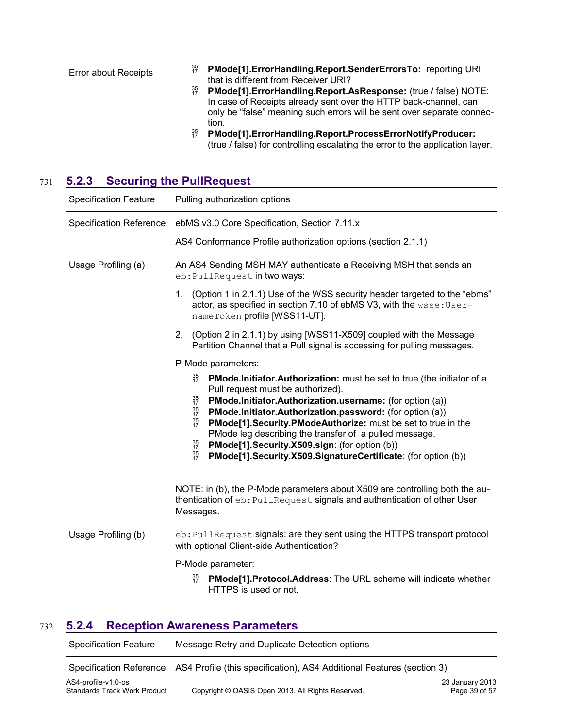| <b>Error about Receipts</b> | $\frac{35}{17}$<br>$\frac{35}{17}$<br>$\frac{35}{17}$ | PMode[1].ErrorHandling.Report.SenderErrorsTo: reporting URI<br>that is different from Receiver URI?<br>PMode[1].ErrorHandling.Report.AsResponse: (true / false) NOTE:<br>In case of Receipts already sent over the HTTP back-channel, can<br>only be "false" meaning such errors will be sent over separate connec-<br>tion.<br>PMode[1].ErrorHandling.Report.ProcessErrorNotifyProducer:<br>(true / false) for controlling escalating the error to the application layer. |
|-----------------------------|-------------------------------------------------------|----------------------------------------------------------------------------------------------------------------------------------------------------------------------------------------------------------------------------------------------------------------------------------------------------------------------------------------------------------------------------------------------------------------------------------------------------------------------------|
|-----------------------------|-------------------------------------------------------|----------------------------------------------------------------------------------------------------------------------------------------------------------------------------------------------------------------------------------------------------------------------------------------------------------------------------------------------------------------------------------------------------------------------------------------------------------------------------|

## **5.2.3 Securing the PullRequest** 731

<span id="page-38-1"></span>

| <b>Specification Feature</b>   | Pulling authorization options                                                                                                                                                                                                                                                                                                                                                                                                                                                                                                                                                         |
|--------------------------------|---------------------------------------------------------------------------------------------------------------------------------------------------------------------------------------------------------------------------------------------------------------------------------------------------------------------------------------------------------------------------------------------------------------------------------------------------------------------------------------------------------------------------------------------------------------------------------------|
| <b>Specification Reference</b> | ebMS v3.0 Core Specification, Section 7.11.x                                                                                                                                                                                                                                                                                                                                                                                                                                                                                                                                          |
|                                | AS4 Conformance Profile authorization options (section 2.1.1)                                                                                                                                                                                                                                                                                                                                                                                                                                                                                                                         |
| Usage Profiling (a)            | An AS4 Sending MSH MAY authenticate a Receiving MSH that sends an<br>eb: PullRequest in two ways:                                                                                                                                                                                                                                                                                                                                                                                                                                                                                     |
|                                | (Option 1 in 2.1.1) Use of the WSS security header targeted to the "ebms"<br>1.<br>actor, as specified in section 7.10 of ebMS V3, with the wsse: User-<br>nameToken profile [WSS11-UT].                                                                                                                                                                                                                                                                                                                                                                                              |
|                                | 2.<br>(Option 2 in 2.1.1) by using [WSS11-X509] coupled with the Message<br>Partition Channel that a Pull signal is accessing for pulling messages.                                                                                                                                                                                                                                                                                                                                                                                                                                   |
|                                | P-Mode parameters:                                                                                                                                                                                                                                                                                                                                                                                                                                                                                                                                                                    |
|                                | 35<br>17<br>PMode.Initiator.Authorization: must be set to true (the initiator of a<br>Pull request must be authorized).<br>$\frac{35}{17}$<br>PMode.Initiator.Authorization.username: (for option (a))<br>$\frac{35}{17}$<br>PMode.Initiator.Authorization.password: (for option (a))<br>$\frac{35}{17}$<br>PMode[1]. Security. PModeAuthorize: must be set to true in the<br>PMode leg describing the transfer of a pulled message.<br>35<br>17<br>PMode[1].Security.X509.sign: (for option (b))<br>$\frac{35}{17}$<br>PMode[1].Security.X509.SignatureCertificate: (for option (b)) |
|                                | NOTE: in (b), the P-Mode parameters about X509 are controlling both the au-<br>thentication of eb: PullRequest signals and authentication of other User<br>Messages.                                                                                                                                                                                                                                                                                                                                                                                                                  |
| Usage Profiling (b)            | eb: PullRequest signals: are they sent using the HTTPS transport protocol<br>with optional Client-side Authentication?                                                                                                                                                                                                                                                                                                                                                                                                                                                                |
|                                | P-Mode parameter:                                                                                                                                                                                                                                                                                                                                                                                                                                                                                                                                                                     |
|                                | $\frac{35}{17}$<br>PMode[1].Protocol.Address: The URL scheme will indicate whether<br>HTTPS is used or not.                                                                                                                                                                                                                                                                                                                                                                                                                                                                           |

# **5.2.4 Reception Awareness Parameters** 732

<span id="page-38-0"></span>

| Specification Feature                                      | Message Retry and Duplicate Detection options                                                   |                                  |
|------------------------------------------------------------|-------------------------------------------------------------------------------------------------|----------------------------------|
|                                                            | Specification Reference   AS4 Profile (this specification), AS4 Additional Features (section 3) |                                  |
| AS4-profile-v1.0-os<br><b>Standards Track Work Product</b> | Copyright © OASIS Open 2013. All Rights Reserved.                                               | 23 January 2013<br>Page 39 of 57 |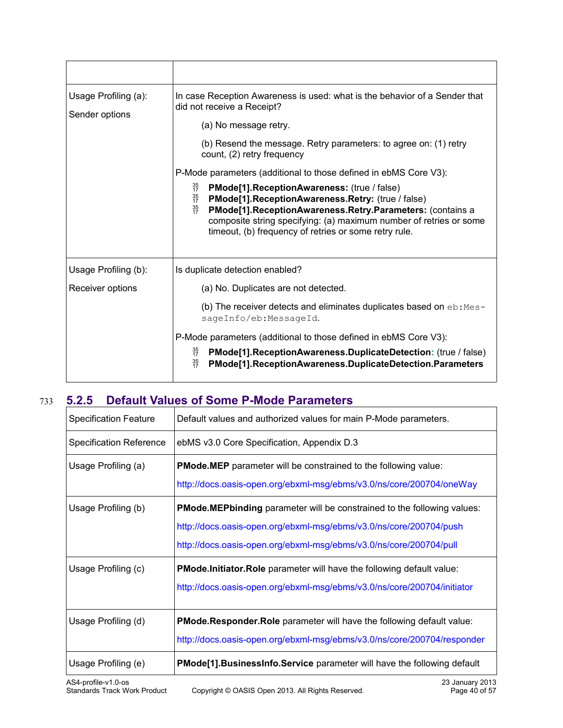| Usage Profiling (a):<br>Sender options | In case Reception Awareness is used: what is the behavior of a Sender that<br>did not receive a Receipt?                                                                                                                                                                                                                                |
|----------------------------------------|-----------------------------------------------------------------------------------------------------------------------------------------------------------------------------------------------------------------------------------------------------------------------------------------------------------------------------------------|
|                                        | (a) No message retry.                                                                                                                                                                                                                                                                                                                   |
|                                        | (b) Resend the message. Retry parameters: to agree on: (1) retry<br>count, (2) retry frequency                                                                                                                                                                                                                                          |
|                                        | P-Mode parameters (additional to those defined in ebMS Core V3):                                                                                                                                                                                                                                                                        |
|                                        | 35<br>17<br>PMode[1].ReceptionAwareness: (true / false)<br>35<br>17<br>PMode[1].ReceptionAwareness.Retry: (true / false)<br>$\frac{35}{17}$<br>PMode[1].ReceptionAwareness.Retry.Parameters: (contains a<br>composite string specifying: (a) maximum number of retries or some<br>timeout, (b) frequency of retries or some retry rule. |
| Usage Profiling (b):                   | Is duplicate detection enabled?                                                                                                                                                                                                                                                                                                         |
| Receiver options                       | (a) No. Duplicates are not detected.                                                                                                                                                                                                                                                                                                    |
|                                        | (b) The receiver detects and eliminates duplicates based on $eb:$ Mes-<br>sageInfo/eb:MessageId.                                                                                                                                                                                                                                        |
|                                        | P-Mode parameters (additional to those defined in ebMS Core V3):                                                                                                                                                                                                                                                                        |
|                                        | 35<br>17<br>PMode[1].ReceptionAwareness.DuplicateDetection: (true / false)<br>$\frac{35}{17}$<br>PMode[1].ReceptionAwareness.DuplicateDetection.Parameters                                                                                                                                                                              |

# **5.2.5 Default Values of Some P-Mode Parameters** 733

<span id="page-39-0"></span>

| <b>Specification Feature</b>                               | Default values and authorized values for main P-Mode parameters.                      |
|------------------------------------------------------------|---------------------------------------------------------------------------------------|
| <b>Specification Reference</b>                             | ebMS v3.0 Core Specification, Appendix D.3                                            |
| Usage Profiling (a)                                        | <b>PMode.MEP</b> parameter will be constrained to the following value:                |
|                                                            | http://docs.oasis-open.org/ebxml-msg/ebms/v3.0/ns/core/200704/oneWay                  |
| Usage Profiling (b)                                        | PMode.MEPbinding parameter will be constrained to the following values:               |
|                                                            | http://docs.oasis-open.org/ebxml-msg/ebms/v3.0/ns/core/200704/push                    |
|                                                            | http://docs.oasis-open.org/ebxml-msg/ebms/v3.0/ns/core/200704/pull                    |
| Usage Profiling (c)                                        | PMode. Initiator. Role parameter will have the following default value:               |
|                                                            | http://docs.oasis-open.org/ebxml-msg/ebms/v3.0/ns/core/200704/initiator               |
| Usage Profiling (d)                                        | <b>PMode.Responder.Role</b> parameter will have the following default value:          |
|                                                            | http://docs.oasis-open.org/ebxml-msg/ebms/v3.0/ns/core/200704/responder               |
| Usage Profiling (e)                                        | PMode[1]. BusinessInfo. Service parameter will have the following default             |
| AS4-profile-v1.0-os<br><b>Standards Track Work Product</b> | 23 January 2013<br>Copyright © OASIS Open 2013. All Rights Reserved.<br>Page 40 of 57 |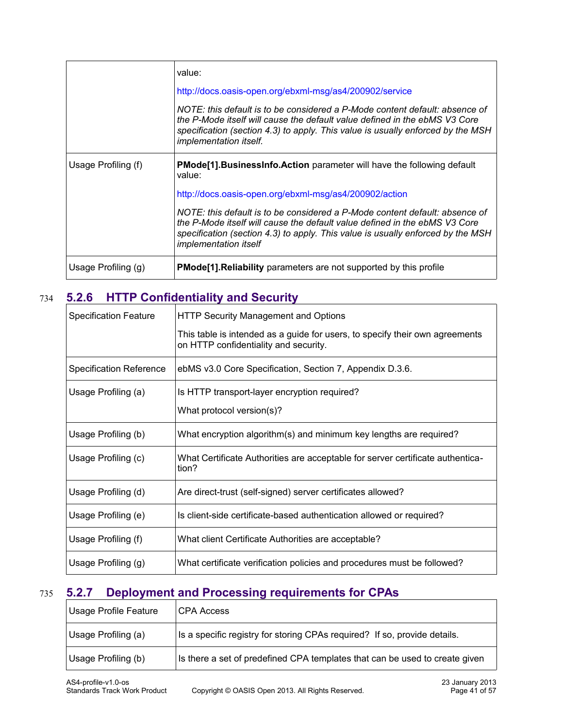|                     | value:                                                                                                                                                                                                                                                                       |
|---------------------|------------------------------------------------------------------------------------------------------------------------------------------------------------------------------------------------------------------------------------------------------------------------------|
|                     | http://docs.oasis-open.org/ebxml-msg/as4/200902/service                                                                                                                                                                                                                      |
|                     | NOTE: this default is to be considered a P-Mode content default: absence of<br>the P-Mode itself will cause the default value defined in the ebMS V3 Core<br>specification (section 4.3) to apply. This value is usually enforced by the MSH<br>implementation itself.       |
| Usage Profiling (f) | <b>PMode[1].BusinessInfo.Action</b> parameter will have the following default<br>value:                                                                                                                                                                                      |
|                     | http://docs.oasis-open.org/ebxml-msg/as4/200902/action                                                                                                                                                                                                                       |
|                     | NOTE: this default is to be considered a P-Mode content default: absence of<br>the P-Mode itself will cause the default value defined in the ebMS V3 Core<br>specification (section 4.3) to apply. This value is usually enforced by the MSH<br><i>implementation itself</i> |
| Usage Profiling (g) | <b>PMode</b> [1]. Reliability parameters are not supported by this profile                                                                                                                                                                                                   |

## **5.2.6 HTTP Confidentiality and Security** 734

<span id="page-40-1"></span>

| <b>Specification Feature</b>   | <b>HTTP Security Management and Options</b>                                                                           |
|--------------------------------|-----------------------------------------------------------------------------------------------------------------------|
|                                | This table is intended as a guide for users, to specify their own agreements<br>on HTTP confidentiality and security. |
| <b>Specification Reference</b> | ebMS v3.0 Core Specification, Section 7, Appendix D.3.6.                                                              |
| Usage Profiling (a)            | Is HTTP transport-layer encryption required?                                                                          |
|                                | What protocol version(s)?                                                                                             |
| Usage Profiling (b)            | What encryption algorithm(s) and minimum key lengths are required?                                                    |
| Usage Profiling (c)            | What Certificate Authorities are acceptable for server certificate authentica-<br>tion?                               |
| Usage Profiling (d)            | Are direct-trust (self-signed) server certificates allowed?                                                           |
| Usage Profiling (e)            | Is client-side certificate-based authentication allowed or required?                                                  |
| Usage Profiling (f)            | What client Certificate Authorities are acceptable?                                                                   |
| Usage Profiling (g)            | What certificate verification policies and procedures must be followed?                                               |

# **5.2.7 Deployment and Processing requirements for CPAs** 735

<span id="page-40-0"></span>

| <b>Usage Profile Feature</b> | CPA Access                                                                  |
|------------------------------|-----------------------------------------------------------------------------|
| Usage Profiling (a)          | Is a specific registry for storing CPAs required? If so, provide details.   |
| Usage Profiling (b)          | Is there a set of predefined CPA templates that can be used to create given |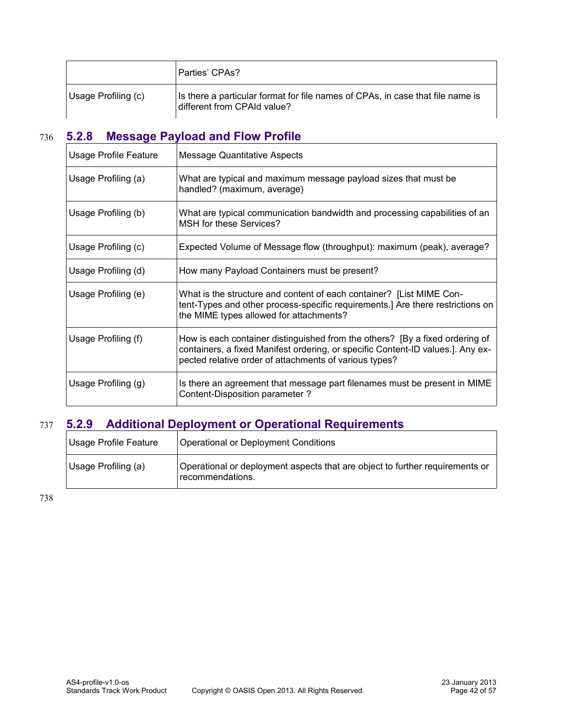|                     | Parties' CPAs?                                                                                                |
|---------------------|---------------------------------------------------------------------------------------------------------------|
| Usage Profiling (c) | Is there a particular format for file names of CPAs, in case that file name is<br>different from CPAId value? |

# **5.2.8 Message Payload and Flow Profile** 736

<span id="page-41-1"></span>

| Usage Profile Feature | <b>Message Quantitative Aspects</b>                                                                                                                                                                                       |
|-----------------------|---------------------------------------------------------------------------------------------------------------------------------------------------------------------------------------------------------------------------|
| Usage Profiling (a)   | What are typical and maximum message payload sizes that must be<br>handled? (maximum, average)                                                                                                                            |
| Usage Profiling (b)   | What are typical communication bandwidth and processing capabilities of an<br>MSH for these Services?                                                                                                                     |
| Usage Profiling (c)   | Expected Volume of Message flow (throughput): maximum (peak), average?                                                                                                                                                    |
| Usage Profiling (d)   | How many Payload Containers must be present?                                                                                                                                                                              |
| Usage Profiling (e)   | What is the structure and content of each container? [List MIME Con-<br>tent-Types and other process-specific requirements.] Are there restrictions on<br>the MIME types allowed for attachments?                         |
| Usage Profiling (f)   | How is each container distinguished from the others? [By a fixed ordering of<br>containers, a fixed Manifest ordering, or specific Content-ID values.]. Any ex-<br>pected relative order of attachments of various types? |
| Usage Profiling (g)   | Is there an agreement that message part filenames must be present in MIME<br>Content-Disposition parameter?                                                                                                               |

# **5.2.9 Additional Deployment or Operational Requirements** 737

<span id="page-41-0"></span>

| <b>Usage Profile Feature</b> | Operational or Deployment Conditions                                                             |
|------------------------------|--------------------------------------------------------------------------------------------------|
| Usage Profiling (a)          | Operational or deployment aspects that are object to further requirements or<br>recommendations. |

738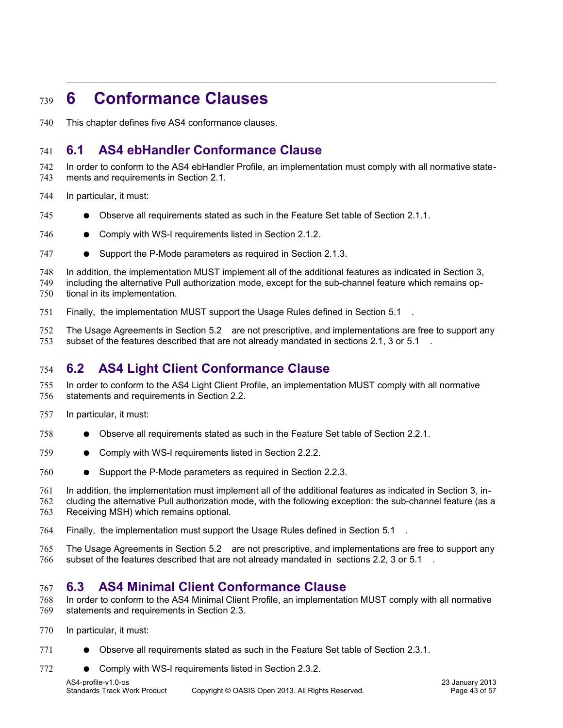# <span id="page-42-3"></span>**6 Conformance Clauses** 739

This chapter defines five AS4 conformance clauses. 740

## <span id="page-42-2"></span>**6.1 AS4 ebHandler Conformance Clause** 741

In order to conform to the AS4 ebHandler Profile, an implementation must comply with all normative statements and requirements in Section 2.1. 742 743

- In particular, it must: 744
- Observe all requirements stated as such in the Feature Set table of Section 2.1.1. 745
- Comply with WS-I requirements listed in Section 2.1.2. 746
- Support the P-Mode parameters as required in Section 2.1.3. 747
- In addition, the implementation MUST implement all of the additional features as indicated in Section 3, 748
- including the alternative Pull authorization mode, except for the sub-channel feature which remains optional in its implementation. 749 750
- Finally, the implementation MUST support the Usage Rules defined in Section [5.1 .](#page-32-1) 751
- The Usage Agreements in Section [5.2 a](#page-36-1)re not prescriptive, and implementations are free to support any subset of the features described that are not already mandated in sections 2.1, 3 or [5.1 .](#page-32-1) 752 753

## <span id="page-42-1"></span>**6.2 AS4 Light Client Conformance Clause** 754

- In order to conform to the AS4 Light Client Profile, an implementation MUST comply with all normative statements and requirements in Section 2.2. 755 756
- In particular, it must: 757
- Observe all requirements stated as such in the Feature Set table of Section 2.2.1. 758
- Comply with WS-I requirements listed in Section 2.2.2. 759
- Support the P-Mode parameters as required in Section 2.2.3. 760
- In addition, the implementation must implement all of the additional features as indicated in Section 3, in-761
- cluding the alternative Pull authorization mode, with the following exception: the sub-channel feature (as a Receiving MSH) which remains optional. 762 763
- Finally, the implementation must support the Usage Rules defined in Section [5.1 .](#page-32-1) 764
- The Usage Agreements in Section [5.2 a](#page-36-1)re not prescriptive, and implementations are free to support any subset of the features described that are not already mandated in sections 2.2, 3 or [5.1 .](#page-32-1) 765 766

## <span id="page-42-0"></span>**6.3 AS4 Minimal Client Conformance Clause** 767

- In order to conform to the AS4 Minimal Client Profile, an implementation MUST comply with all normative statements and requirements in Section 2.3. 768 769
- In particular, it must: 770
- Observe all requirements stated as such in the Feature Set table of Section 2.3.1. 771
- Comply with WS-I requirements listed in Section 2.3.2. 772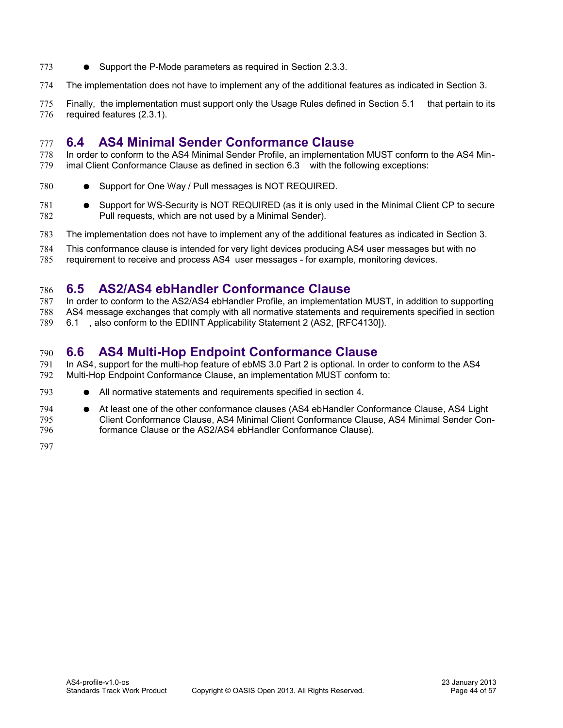- Support the P-Mode parameters as required in Section 2.3.3. 773
- The implementation does not have to implement any of the additional features as indicated in Section 3. 774
- Finally, the implementation must support only the Usage Rules defined in Section [5.1](#page-32-1) that pertain to its required features (2.3.1). 775 776

#### <span id="page-43-0"></span>**6.4 AS4 Minimal Sender Conformance Clause** 777

- In order to conform to the AS4 Minimal Sender Profile, an implementation MUST conform to the AS4 Minimal Client Conformance Clause as defined in section [6.3 w](#page-42-0)ith the following exceptions: 778 779
- Support for One Way / Pull messages is NOT REQUIRED. 780
- Support for WS-Security is NOT REQUIRED (as it is only used in the Minimal Client CP to secure Pull requests, which are not used by a Minimal Sender). 781 782
- The implementation does not have to implement any of the additional features as indicated in Section 3. 783
- This conformance clause is intended for very light devices producing AS4 user messages but with no 784
- requirement to receive and process AS4 user messages for example, monitoring devices. 785

#### <span id="page-43-2"></span>**6.5 AS2/AS4 ebHandler Conformance Clause** 786

In order to conform to the AS2/AS4 ebHandler Profile, an implementation MUST, in addition to supporting AS4 message exchanges that comply with all normative statements and requirements specified in section [6.1 ,](#page-42-2) also conform to the EDIINT Applicability Statement 2 (AS2, [\[RFC4130\]\)](#page-9-8). 787 788 789

#### <span id="page-43-1"></span>**6.6 AS4 Multi-Hop Endpoint Conformance Clause** 790

- In AS4, support for the multi-hop feature of ebMS 3.0 Part 2 is optional. In order to conform to the AS4 Multi-Hop Endpoint Conformance Clause, an implementation MUST conform to: 791 792
- All normative statements and requirements specified in section 4. 793
- At least one of the other conformance clauses [\(AS4 ebHandler Conformance Clause,](#page-42-2) AS4 Light [Client Conformance Clause,](#page-42-1) [AS4 Minimal Client Conformance Clause,](#page-42-0) [AS4 Minimal Sender Con](#page-43-0)[formance Clause](#page-43-0) or the [AS2/AS4 ebHandler Conformance Clause\)](#page-43-2). 794 795 796
- 797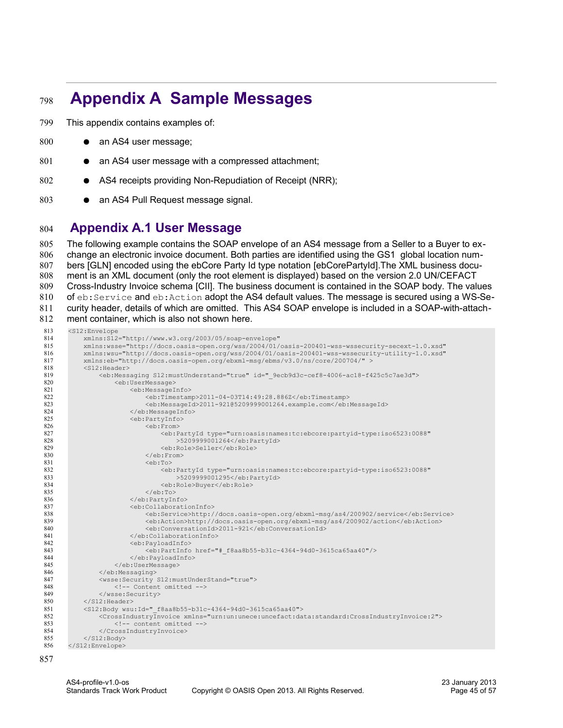# <span id="page-44-1"></span> **Appendix A Sample Messages** 798

This appendix contains examples of: 799

- an AS4 user message; 800
- an AS4 user message with a compressed attachment; 801
- AS4 receipts providing Non-Repudiation of Receipt (NRR); 802
- an AS4 Pull Request message signal. 803

#### <span id="page-44-0"></span>**Appendix A.1 User Message**  804

The following example contains the SOAP envelope of an AS4 message from a Seller to a Buyer to exchange an electronic invoice document. Both parties are identified using the GS1 global location numbers [\[GLN\]](#page-9-13) encoded using the ebCore Party Id type notation [\[ebCorePartyId\].](#page-9-12)The XML business document is an XML document (only the root element is displayed) based on the version 2.0 UN/CEFACT Cross-Industry Invoice schema [\[CII\].](#page-9-11) The business document is contained in the SOAP body. The values of eb:Service and eb:Action adopt the AS4 default values. The message is secured using a WS-Security header, details of which are omitted. This AS4 SOAP envelope is included in a SOAP-with-attachment container, which is also not shown here. <S12:Envelope 805 806 807 808 809 810 811 812 813

```
 xmlns:S12="http://www.w3.org/2003/05/soap-envelope"
        xmlns:wsse="http://docs.oasis-open.org/wss/2004/01/oasis-200401-wss-wssecurity-secext-1.0.xsd"
 xmlns:wsu="http://docs.oasis-open.org/wss/2004/01/oasis-200401-wss-wssecurity-utility-1.0.xsd" 
            xmlns:eb="http://docs.oasis-open.org/ebxml-msg/ebms/v3.0/ns/core/200704/" >
            <S12:Header>
                 <eb:Messaging S12:mustUnderstand="true" id="_9ecb9d3c-cef8-4006-ac18-f425c5c7ae3d">
                     <eb:UserMessage>
                          <eb:MessageInfo>
                              <eb:Timestamp>2011-04-03T14:49:28.886Z</eb:Timestamp>
                               <eb:MessageId>2011-921@5209999001264.example.com</eb:MessageId>
                          </eb:MessageInfo>
                          <eb:PartyInfo>
                               <eb:From>
                                   <eb:PartyId type="urn:oasis:names:tc:ebcore:partyid-type:iso6523:0088"
                                        >5209999001264</eb:PartyId>
                                   <eb:Role>Seller</eb:Role>
                              </eb:From>
                              <sub>eh</sub>:T<sub>o</sub></sub>
                                   <eb:PartyId type="urn:oasis:names:tc:ebcore:partyid-type:iso6523:0088"
                                        >5209999001295</eb:PartyId>
                                   <eb:Role>Buyer</eb:Role>
                             \langle/eb:To\rangle </eb:PartyInfo>
                          <eb:CollaborationInfo>
                               <eb:Service>http://docs.oasis-open.org/ebxml-msg/as4/200902/service</eb:Service>
                               <eb:Action>http://docs.oasis-open.org/ebxml-msg/as4/200902/action</eb:Action>
                               <eb:ConversationId>2011-921</eb:ConversationId>
                          </eb:CollaborationInfo>
                          <eb:PayloadInfo>
                               <eb:PartInfo href="#_f8aa8b55-b31c-4364-94d0-3615ca65aa40"/>
                          </eb:PayloadInfo>
                     </eb:UserMessage>
                </eb:Messaging>
                 <wsse:Security S12:mustUnderStand="true">
                     <!-- Content omitted -->
                 </wsse:Security>
            </S12:Header>
            <S12:Body wsu:Id="_f8aa8b55-b31c-4364-94d0-3615ca65aa40">
                <CrossIndustryInvoice xmlns="urn:un:unece:uncefact:data:standard:CrossIndustryInvoice:2">
                     <!-- content omitted -->
                 </CrossIndustryInvoice>
           \langle/S12:Body>
       </S12:Envelope>
814
815
816
817
818
819
820
821
822
823
824
825
826
827
828
829
830
831
832
833
834
835
836
837
838
839
840
841
842
843
844
845
846
847
848
849
850
851
852
853
854
855
856
```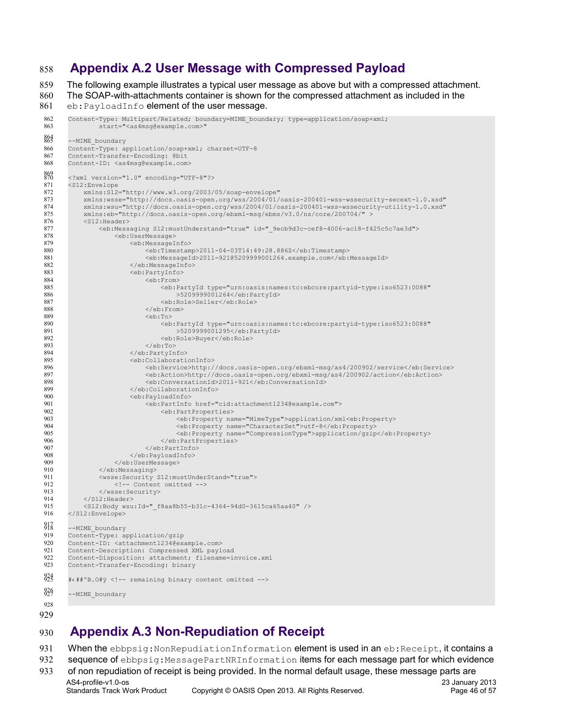#### <span id="page-45-1"></span>**Appendix A.2 User Message with Compressed Payload** 858

The following example illustrates a typical user message as above but with a compressed attachment. The SOAP-with-attachments container is shown for the compressed attachment as included in the 859 860

eb: PayloadInfo element of the user message. 861

```
Content-Type: Multipart/Related; boundary=MIME_boundary; type=application/soap+xml; 
               g@example.com>"
       --MIME boundary
       Content-Type: application/soap+xml; charset=UTF-8
       Content-Transfer-Encoding: 8bit
       Content-ID: <as4msg@example.com>
       <?xml version="1.0" encoding="UTF-8"?>
       <S12:Envelope 
            xmlns:S12="http://www.w3.org/2003/05/soap-envelope"
            xmlns:wsse="http://docs.oasis-open.org/wss/2004/01/oasis-200401-wss-wssecurity-secext-1.0.xsd"
            xmlns:wsu="http://docs.oasis-open.org/wss/2004/01/oasis-200401-wss-wssecurity-utility-1.0.xsd" 
            xmlns:eb="http://docs.oasis-open.org/ebxml-msg/ebms/v3.0/ns/core/200704/" >
            <S12:Header>
                 <eb:Messaging S12:mustUnderstand="true" id="_9ecb9d3c-cef8-4006-ac18-f425c5c7ae3d">
                    <eb:UserMessage>
                        <eb:MessageInfo>
                            <eb:Timestamp>2011-04-03T14:49:28.886Z</eb:Timestamp>
                             <eb:MessageId>2011-921@5209999001264.example.com</eb:MessageId>
                         </eb:MessageInfo>
                         <eb:PartyInfo>
                            <eb:From>
       \leqeb:PartyId type="urn:\circasis:names:tc:ebcore:partyid-type:iso6523:0088"
        >5209999001264</eb:PartyId>
                                 <eb:Role>Seller</eb:Role>
                            </eb:From>
                             <eb:To>
        <eb:PartyId type="urn:oasis:names:tc:ebcore:partyid-type:iso6523:0088"
 >5209999001295</eb:PartyId>
                                 <eb:Role>Buyer</eb:Role>
                            \langle/eb:To\rangle </eb:PartyInfo>
                         <eb:CollaborationInfo>
                             <eb:Service>http://docs.oasis-open.org/ebxml-msg/as4/200902/service</eb:Service>
                             <eb:Action>http://docs.oasis-open.org/ebxml-msg/as4/200902/action</eb:Action>
                             <eb:ConversationId>2011-921</eb:ConversationId>
                         </eb:CollaborationInfo>
                         <eb:PayloadInfo>
                             <eb:PartInfo href="cid:attachment1234@example.com">
                                 <eb:PartProperties>
                                     <eb:Property name="MimeType">application/xml<eb:Property>
                                    <eb:Property name="CharacterSet">utf-8</eb:Property>
                                     <eb:Property name="CompressionType">application/gzip</eb:Property>
                                 </eb:PartProperties>
                             </eb:PartInfo>
                        </eb:PayloadInfo>
                   </eb:UserMessage>
                </eb:Messaging>
                <wsse:Security S12:mustUnderStand="true">
                    <!-- Content omitted -->
                </wsse:Security>
           \langle/S12:Header>
            <S12:Body wsu:Id="_f8aa8b55-b31c-4364-94d0-3615ca65aa40" />
       </S12:Envelope>
       --MIME_boundary
       Content-Type: application/gzip
       Content-ID: <attachment1234@example.com>
       Content-Description: Compressed XML payload
       Content-Disposition: attachment; filename=invoice.xml
       Content-Transfer-Encoding: binary
       #‹##ºB.O#ÿ <!-- remaining binary content omitted -->
       --MIME_boundary
 862
 863
 865
 866
 867
 868
 869 870
 871
872
 873
874
875
876
877
878
 879
880
 881
882
 883
884
885
886
887
888
889
890
891
892
 893
894
895
896
897
898
899
900
 901
902
 903
904
 905
 906
 907
 908
 909
910
911
912
913
914
915
916
917 918
919
920
 921
922
923
924 925
839
 928
929
```
## <span id="page-45-0"></span>**Appendix A.3 Non-Repudiation of Receipt** 930

When the ebbpsig: NonRepudiationInformation element is used in an eb: Receipt, it contains a 931

sequence of ebbpsig:MessagePartNRInformation items for each message part for which evidence 932

of non repudiation of receipt is being provided. In the normal default usage, these message parts are AS4-profile-v1.0-os 23 January 2013 Standards Track Work Product Copyright © OASIS Open 2013. All Rights Reserved. Page 46 of 57 933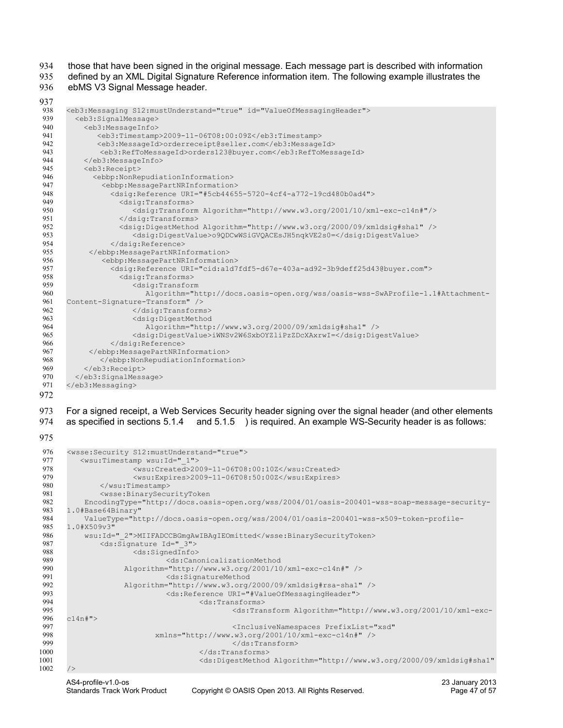those that have been signed in the original message. Each message part is described with information 934

defined by an XML Digital Signature Reference information item. The following example illustrates the ebMS V3 Signal Message header. 935 936

937

```
<eb3:Messaging S12:mustUnderstand="true" id="ValueOfMessagingHeader">
         <eb3:SignalMessage>
           <eb3:MessageInfo>
              <eb3:Timestamp>2009-11-06T08:00:09Z</eb3:Timestamp> 
              <eb3:MessageId>orderreceipt@seller.com</eb3:MessageId> 
              <eb3:RefToMessageId>orders123@buyer.com</eb3:RefToMessageId> 
           </eb3:MessageInfo>
           <eb3:Receipt>
             <ebbp:NonRepudiationInformation>
               <ebbp:MessagePartNRInformation>
                 <dsig:Reference URI="#5cb44655-5720-4cf4-a772-19cd480b0ad4">
                   <dsig:Transforms>
                       <dsig:Transform Algorithm="http://www.w3.org/2001/10/xml-exc-c14n#"/> 
                   </dsig:Transforms>
                   <dsig:DigestMethod Algorithm="http://www.w3.org/2000/09/xmldsig#sha1" />
                       <dsig:DigestValue>o9QDCwWSiGVQACEsJH5nqkVE2s0=</dsig:DigestValue> 
                 </dsig:Reference>
            </ebbp:MessagePartNRInformation>
               <ebbp:MessagePartNRInformation>
                 <dsig:Reference URI="cid:a1d7fdf5-d67e-403a-ad92-3b9deff25d43@buyer.com">
                    <dsig:Transforms>
                       <dsig:Transform 
                         Algorithm="http://docs.oasis-open.org/wss/oasis-wss-SwAProfile-1.1#Attachment-
      Content-Signature-Transform" /> 
                       </dsig:Transforms>
                       <dsig:DigestMethod 
                          Algorithm="http://www.w3.org/2000/09/xmldsig#sha1" /> 
                       <dsig:DigestValue>iWNSv2W6SxbOYZliPzZDcXAxrwI=</dsig:DigestValue>
                 </dsig:Reference>
            </ebbp:MessagePartNRInformation>
              </ebbp:NonRepudiationInformation>
           </eb3:Receipt>
         </eb3:SignalMessage>
      </eb3:Messaging>
938
939
940
941
942
943
944
945
946
947
948
949
950
951
952
953
954
955
956
957
958
959
960
961
962
963
964
965
966
967
968
969
970
971
972
```
For a signed receipt, a Web Services Security header signing over the signal header (and other elements as specified in sections [5.1.4](#page-34-2) and [5.1.5 \)](#page-34-1) is required. An example WS-Security header is as follows: 973 974

975

```
<wsse:Security S12:mustUnderstand="true"> 
          <wsu:Timestamp wsu:Id="_1">
                      <wsu:Created>2009-11-06T08:00:10Z</wsu:Created>
                      <wsu:Expires>2009-11-06T08:50:00Z</wsu:Expires>
              </wsu:Timestamp>
              <wsse:BinarySecurityToken 
           EncodingType="http://docs.oasis-open.org/wss/2004/01/oasis-200401-wss-soap-message-security-
      1.0#Base64Binary"
           ValueType="http://docs.oasis-open.org/wss/2004/01/oasis-200401-wss-x509-token-profile-
      1.0#X509v3" 
           wsu:Id="_2">MIIFADCCBGmgAwIBAgIEOmitted</wsse:BinarySecurityToken>
              <ds:Signature Id="_3">
                      <ds:SignedInfo>
                              <ds:CanonicalizationMethod 
                     Algorithm="http://www.w3.org/2001/10/xml-exc-c14n#" />
                              <ds:SignatureMethod 
                     Algorithm="http://www.w3.org/2000/09/xmldsig#rsa-sha1" />
                             <ds:Reference URI="#ValueOfMessagingHeader">
                                     <ds:Transforms>
                                             <ds:Transform Algorithm="http://www.w3.org/2001/10/xml-exc-
      c14n#">
                                             <InclusiveNamespaces PrefixList="xsd"
                            xmlns="http://www.w3.org/2001/10/xml-exc-c14n#" />
                                             </ds:Transform>
                                      </ds:Transforms>
                                      <ds:DigestMethod Algorithm="http://www.w3.org/2000/09/xmldsig#sha1"
      />
976
977
978
979
980
981
982
983
984
985
986
987
988
989
990
991
992
993
994
995
996
997
998
999
1000
1001
1002
```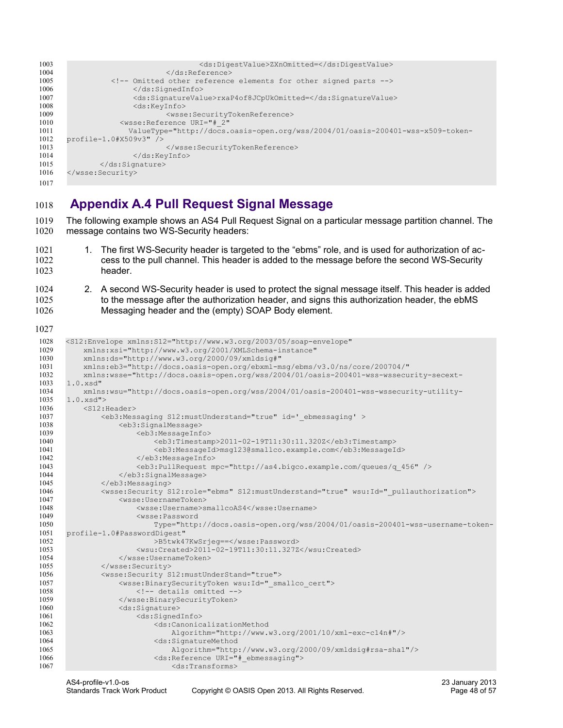```
<ds:DigestValue>ZXnOmitted=</ds:DigestValue>
                              </ds:Reference>
                  <!-- Omitted other reference elements for other signed parts -->
                      </ds:SignedInfo>
                      <ds:SignatureValue>rxaP4of8JCpUkOmitted=</ds:SignatureValue>
                      <ds:KeyInfo>
                              <wsse:SecurityTokenReference>
                    <wsse:Reference URI="#_2" 
                      ValueType="http://docs.oasis-open.org/wss/2004/01/oasis-200401-wss-x509-token-
      profile-1.0#X509v3" />
                              </wsse:SecurityTokenReference>
                      </ds:KeyInfo>
              </ds:Signature>
      </wsse:Security>
1003
1004
1005
1006
1007
1008
1009
1010
1011
1012
1013
1014
1015
1016
1017
```
## <span id="page-47-0"></span>**Appendix A.4 Pull Request Signal Message** 1018

The following example shows an AS4 Pull Request Signal on a particular message partition channel. The message contains two WS-Security headers: 1019 1020

- 1. The first WS-Security header is targeted to the "ebms" role, and is used for authorization of access to the pull channel. This header is added to the message before the second WS-Security header. 1021 1022 1023
- 2. A second WS-Security header is used to protect the signal message itself. This header is added to the message after the authorization header, and signs this authorization header, the ebMS Messaging header and the (empty) SOAP Body element. 1024 1025 1026

1027

```
<S12:Envelope xmlns:S12="http://www.w3.org/2003/05/soap-envelope"
           xmlns:xsi="http://www.w3.org/2001/XMLSchema-instance"
           xmlns:ds="http://www.w3.org/2000/09/xmldsig#"
           xmlns:eb3="http://docs.oasis-open.org/ebxml-msg/ebms/v3.0/ns/core/200704/"
           xmlns:wsse="http://docs.oasis-open.org/wss/2004/01/oasis-200401-wss-wssecurity-secext-
      1.0.xsd"
           xmlns:wsu="http://docs.oasis-open.org/wss/2004/01/oasis-200401-wss-wssecurity-utility-
      1.0.xsd">
           <S12:Header>
               <eb3:Messaging S12:mustUnderstand="true" id='_ebmessaging' >
                   <eb3:SignalMessage>
                        <eb3:MessageInfo>
                            <eb3:Timestamp>2011-02-19T11:30:11.320Z</eb3:Timestamp>
                            <eb3:MessageId>msg123@smallco.example.com</eb3:MessageId>
                        </eb3:MessageInfo>
                        <eb3:PullRequest mpc="http://as4.bigco.example.com/queues/q_456" /> 
                    </eb3:SignalMessage>
               </eb3:Messaging>
               <wsse:Security S12:role="ebms" S12:mustUnderstand="true" wsu:Id="_pullauthorization">
                    <wsse:UsernameToken>
                        <wsse:Username>smallcoAS4</wsse:Username>
                        <wsse:Password 
                            Type="http://docs.oasis-open.org/wss/2004/01/oasis-200401-wss-username-token-
      profile-1.0#PasswordDigest"
                            >B5twk47KwSrjeg==</wsse:Password>
                        <wsu:Created>2011-02-19T11:30:11.327Z</wsu:Created>
                    </wsse:UsernameToken>
               </wsse:Security>
                <wsse:Security S12:mustUnderStand="true">
                    <wsse:BinarySecurityToken wsu:Id="_smallco_cert">
                        <!-- details omitted -->
                    </wsse:BinarySecurityToken>
                    <ds:Signature>
                        <ds:SignedInfo>
                            <ds:CanonicalizationMethod 
                                Algorithm="http://www.w3.org/2001/10/xml-exc-c14n#"/>
                            <ds:SignatureMethod 
                                Algorithm="http://www.w3.org/2000/09/xmldsig#rsa-sha1"/>
                            <ds:Reference URI="#_ebmessaging">
                                <ds:Transforms>
1028
1029
1030
1031
1032
1033
1034
1035
1036
1037
1038
1039
1040
1041
1042
1043
1044
1045
1046
1047
1048
1049
1050
1051
1052
1053
1054
1055
1056
1057
1058
1059
1060
1061
1062
1063
1064
1065
1066
1067
```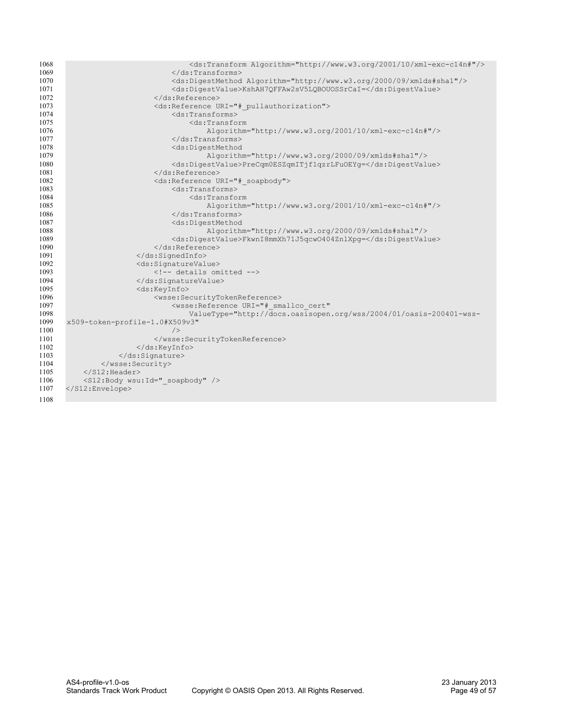| <ds:digestmethod algorithm="http://www.w3.org/2000/09/xmlds#shal"></ds:digestmethod> |
|--------------------------------------------------------------------------------------|
|                                                                                      |
|                                                                                      |
|                                                                                      |
|                                                                                      |
|                                                                                      |
|                                                                                      |
|                                                                                      |
|                                                                                      |
|                                                                                      |
|                                                                                      |
|                                                                                      |
|                                                                                      |
|                                                                                      |
|                                                                                      |
|                                                                                      |
|                                                                                      |
|                                                                                      |
|                                                                                      |
|                                                                                      |
|                                                                                      |
|                                                                                      |
|                                                                                      |
|                                                                                      |
|                                                                                      |
|                                                                                      |
|                                                                                      |
|                                                                                      |
|                                                                                      |
|                                                                                      |
| ValueType="http://docs.oasisopen.org/wss/2004/01/oasis-200401-wss-                   |
|                                                                                      |
|                                                                                      |
|                                                                                      |
|                                                                                      |
|                                                                                      |
|                                                                                      |
|                                                                                      |
|                                                                                      |
|                                                                                      |
|                                                                                      |
|                                                                                      |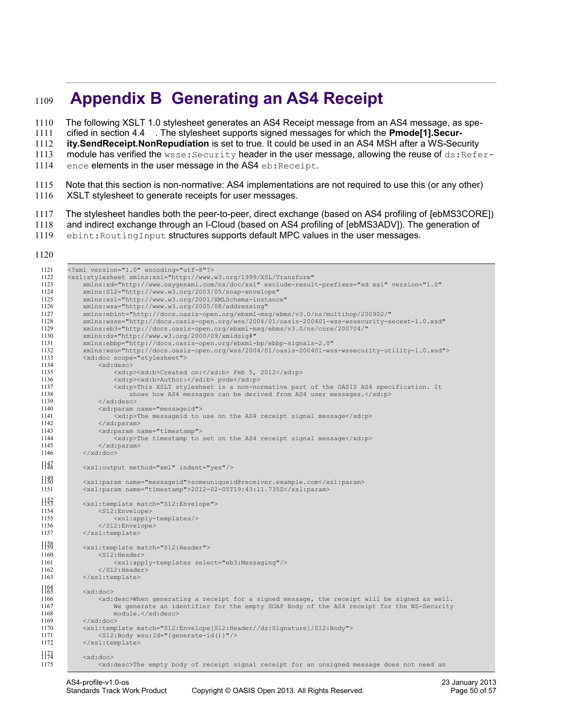# <span id="page-49-0"></span> **Appendix B Generating an AS4 Receipt**  1109

The following XSLT 1.0 stylesheet generates an AS4 Receipt message from an AS4 message, as specified in section [4.4 .](#page-29-0) The stylesheet supports signed messages for which the **Pmode[1].Secur-**1110 1111

**ity.SendReceipt.NonRepudiation** is set to true. It could be used in an AS4 MSH after a WS-Security 1112

module has verified the wsse: Security header in the user message, allowing the reuse of ds: Refer-1113

- ence elements in the user message in the AS4 eb: Receipt. 1114
- Note that this section is non-normative: AS4 implementations are not required to use this (or any other) XSLT stylesheet to generate receipts for user messages. 1115 1116
- The stylesheet handles both the peer-to-peer, direct exchange (based on AS4 profiling of [\[ebMS3CORE\]\)](#page-8-5) 1117
- and indirect exchange through an I-Cloud (based on AS4 profiling of [\[ebMS3ADV\]\)](#page-8-7). The generation of 1118
- ebint: RoutingInput structures supports default MPC values in the user messages. 1119
- 1120

| 1121<br>1122<br>1123 | xml version="1.0" encoding="utf-8"?<br><xsl:stylesheet <="" th="" xmlns:xsl="http://www.w3.org/1999/XSL/Transform"></xsl:stylesheet>                                                                           |  |  |  |  |  |  |
|----------------------|----------------------------------------------------------------------------------------------------------------------------------------------------------------------------------------------------------------|--|--|--|--|--|--|
| 1124<br>1125         | xmlns:xd="http://www.oxyqenxml.com/ns/doc/xsl" exclude-result-prefixes="xd xsi" version="1.0"<br>xmlns: S12="http://www.w3.org/2003/05/soap-envelope"<br>xmlns:xsi="http://www.w3.org/2001/XMLSchema-instance" |  |  |  |  |  |  |
| 1126                 | xmlns:wsa="http://www.w3.org/2005/08/addressing"                                                                                                                                                               |  |  |  |  |  |  |
| 1127                 | xmlns:ebint="http://docs.oasis-open.org/ebxml-msg/ebms/v3.0/ns/multihop/200902/"                                                                                                                               |  |  |  |  |  |  |
| 1128                 | xmlns:wsse="http://docs.oasis-open.org/wss/2004/01/oasis-200401-wss-wssecurity-secext-1.0.xsd"                                                                                                                 |  |  |  |  |  |  |
| 1129                 | xmlns:eb3="http://docs.oasis-open.org/ebxml-msg/ebms/v3.0/ns/core/200704/"                                                                                                                                     |  |  |  |  |  |  |
| 1130                 | xmlns:ds="http://www.w3.org/2000/09/xmldsig#"                                                                                                                                                                  |  |  |  |  |  |  |
| 1131<br>1132         | xmlns:ebbp="http://docs.oasis-open.org/ebxml-bp/ebbp-signals-2.0"                                                                                                                                              |  |  |  |  |  |  |
| 1133                 | xmlns:wsu="http://docs.oasis-open.org/wss/2004/01/oasis-200401-wss-wssecurity-utility-1.0.xsd"><br><xd:doc scope="stylesheet"></xd:doc>                                                                        |  |  |  |  |  |  |
| 1134                 | <xd:desc></xd:desc>                                                                                                                                                                                            |  |  |  |  |  |  |
| 1135                 | <xd:p><xd:b>Created on:</xd:b> Feb 5, 2012</xd:p>                                                                                                                                                              |  |  |  |  |  |  |
| 1136                 | <xd:p><xd:b>Author:</xd:b> pvde</xd:p>                                                                                                                                                                         |  |  |  |  |  |  |
| 1137                 | <xd:p>This XSLT stylesheet is a non-normative part of the OASIS AS4 specification. It</xd:p>                                                                                                                   |  |  |  |  |  |  |
| 1138                 | shows how AS4 messages can be derived from AS4 user messages.                                                                                                                                                  |  |  |  |  |  |  |
| 1139                 | $\langle xd:desc\rangle$                                                                                                                                                                                       |  |  |  |  |  |  |
| 1140                 | <xd:param name="messageid"></xd:param>                                                                                                                                                                         |  |  |  |  |  |  |
| 1141                 | $\langle xd;p \rangle$ The messageid to use on the AS4 receipt signal message $\langle xd;p \rangle$                                                                                                           |  |  |  |  |  |  |
| 1142<br>1143         | $\langle xd : \text{param} \rangle$                                                                                                                                                                            |  |  |  |  |  |  |
| 1144                 | <xd:param name="timestamp"><br/><math>\langle xd;p \rangle</math> The timestamp to set on the AS4 receipt signal message<math>\langle xd;p \rangle</math></xd:param>                                           |  |  |  |  |  |  |
| 1145                 | $\langle xd:param \rangle$                                                                                                                                                                                     |  |  |  |  |  |  |
| 1146                 | $\langle xd:doc \rangle$                                                                                                                                                                                       |  |  |  |  |  |  |
|                      |                                                                                                                                                                                                                |  |  |  |  |  |  |
| $H4\bar{8}$          | <xsl:output indent="yes" method="xml"></xsl:output>                                                                                                                                                            |  |  |  |  |  |  |
| 1138<br>1151         | <xsl:param name="messageid">someuniqueid@receiver.example.com</xsl:param><br><xsl:param name="timestamp">2012-02-05T19:43:11.735Z</xsl:param>                                                                  |  |  |  |  |  |  |
|                      |                                                                                                                                                                                                                |  |  |  |  |  |  |
| $H_{53}^2$           | <xsl:template match="S12:Envelope"></xsl:template>                                                                                                                                                             |  |  |  |  |  |  |
| 1154                 | <s12:envelope></s12:envelope>                                                                                                                                                                                  |  |  |  |  |  |  |
| 1155                 | <xsl:apply-templates></xsl:apply-templates>                                                                                                                                                                    |  |  |  |  |  |  |
| 1156                 |                                                                                                                                                                                                                |  |  |  |  |  |  |
| 1157                 | $\langle xsl:$ template>                                                                                                                                                                                       |  |  |  |  |  |  |
| 1158                 |                                                                                                                                                                                                                |  |  |  |  |  |  |
| 1160                 | <xsl:template match="S12:Header"><br/><math>&lt;</math>S12:Header&gt;</xsl:template>                                                                                                                           |  |  |  |  |  |  |
| 1161                 | <xsl:apply-templates select="eb3:Messaging"></xsl:apply-templates>                                                                                                                                             |  |  |  |  |  |  |
| 1162                 | $S12:Header>$                                                                                                                                                                                                  |  |  |  |  |  |  |
| 1163                 |                                                                                                                                                                                                                |  |  |  |  |  |  |
| 1163                 |                                                                                                                                                                                                                |  |  |  |  |  |  |
|                      | $<$ xd:doc $>$                                                                                                                                                                                                 |  |  |  |  |  |  |
| 1166<br>1167         | <xd:desc>When generating a receipt for a signed message, the receipt will be signed as well.<br/>We generate an identifier for the empty SOAP Body of the AS4 receipt for the WS-Security</xd:desc>            |  |  |  |  |  |  |
| 1168                 | module.                                                                                                                                                                                                        |  |  |  |  |  |  |
| 1169                 | $\langle xd:doc\rangle$                                                                                                                                                                                        |  |  |  |  |  |  |
| 1170                 | <xsl:template match="S12:Envelope[S12:Header//ds:Signature]/S12:Body"></xsl:template>                                                                                                                          |  |  |  |  |  |  |
| 1171                 | <s12:body wsu:id="{qenerate-id()}"></s12:body>                                                                                                                                                                 |  |  |  |  |  |  |
| 1172                 |                                                                                                                                                                                                                |  |  |  |  |  |  |
| 1173                 |                                                                                                                                                                                                                |  |  |  |  |  |  |
| 1175                 | $<$ xd:doc $>$                                                                                                                                                                                                 |  |  |  |  |  |  |
|                      | <xd:desc>The empty body of receipt signal receipt for an unsigned message does not need an</xd:desc>                                                                                                           |  |  |  |  |  |  |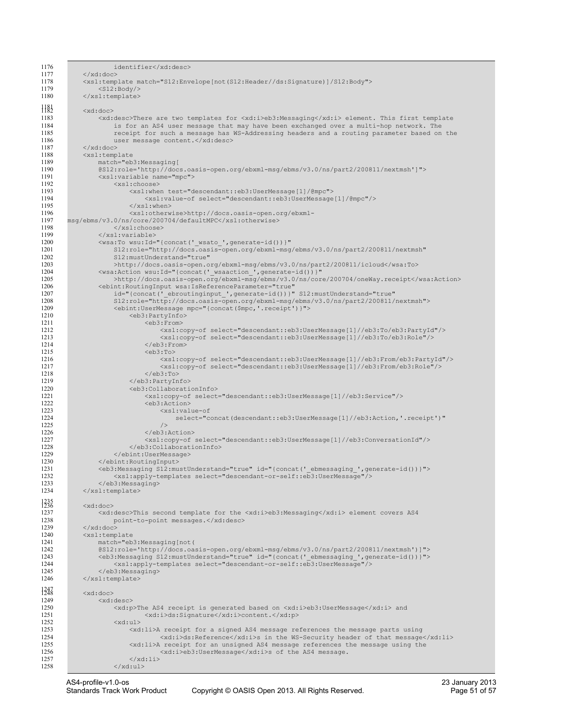| 1176              | identifier                                                                                                                                                                         |  |  |  |  |  |
|-------------------|------------------------------------------------------------------------------------------------------------------------------------------------------------------------------------|--|--|--|--|--|
| 1177              | $\langle xd:doc\rangle$                                                                                                                                                            |  |  |  |  |  |
| 1178<br>1179      | <xsl:template match="S12:Envelope[not(S12:Header//ds:Signature)]/S12:Body"></xsl:template>                                                                                         |  |  |  |  |  |
| 1180              | $<$ S12:Body/><br>                                                                                                                                                                 |  |  |  |  |  |
|                   |                                                                                                                                                                                    |  |  |  |  |  |
| }}{               | $<$ xd:doc>                                                                                                                                                                        |  |  |  |  |  |
| 1183              | <xd:desc>There are two templates for <xd:i>eb3:Messaging</xd:i> element. This first template</xd:desc>                                                                             |  |  |  |  |  |
| 1184<br>1185      | is for an AS4 user message that may have been exchanged over a multi-hop network. The<br>receipt for such a message has WS-Addressing headers and a routing parameter based on the |  |  |  |  |  |
| 1186              | user message content.                                                                                                                                                              |  |  |  |  |  |
| 1187              | $\langle xd:doc\rangle$                                                                                                                                                            |  |  |  |  |  |
| 1188              | $<$ xsl:template                                                                                                                                                                   |  |  |  |  |  |
| 1189              | match="eb3:Messaging[                                                                                                                                                              |  |  |  |  |  |
| 1190<br>1191      | @S12:role='http://docs.oasis-open.org/ebxml-msg/ebms/v3.0/ns/part2/200811/nextmsh']"><br><xsl:variable name="mpc"></xsl:variable>                                                  |  |  |  |  |  |
| 1192              | $<$ xsl:choose>                                                                                                                                                                    |  |  |  |  |  |
| 1193              | <xsl:when test="descendant::eb3:UserMessage[1]/@mpc"></xsl:when>                                                                                                                   |  |  |  |  |  |
| 1194              | <xsl:value-of select="descendant::eb3:UserMessage[1]/@mpc"></xsl:value-of>                                                                                                         |  |  |  |  |  |
| 1195<br>1196      | $\langle xsl;when\rangle$<br><xsl:otherwise>http://docs.oasis-open.org/ebxml-</xsl:otherwise>                                                                                      |  |  |  |  |  |
| 1197              | msq/ebms/v3.0/ns/core/200704/defaultMPC                                                                                                                                            |  |  |  |  |  |
| 1198              | $\langle x s1 : \text{choose} \rangle$                                                                                                                                             |  |  |  |  |  |
| 1199              |                                                                                                                                                                                    |  |  |  |  |  |
| 1200<br>1201      | <wsa:to <="" th="" wsu:id="{concat(' wsato ', generate-id()) }"></wsa:to>                                                                                                          |  |  |  |  |  |
| 1202              | S12:role="http://docs.oasis-open.org/ebxml-msg/ebms/v3.0/ns/part2/200811/nextmsh"<br>S12:mustUnderstand="true"                                                                     |  |  |  |  |  |
| 1203              | >http://docs.oasis-open.org/ebxml-msg/ebms/v3.0/ns/part2/200811/icloud                                                                                                             |  |  |  |  |  |
| 1204              | <wsa:action <="" th="" wsu:id="{concat(' wsaaction ', generate-id()) }"></wsa:action>                                                                                              |  |  |  |  |  |
| 1205              | >http://docs.oasis-open.org/ebxml-msg/ebms/v3.0/ns/core/200704/oneWay.receipt                                                                                                      |  |  |  |  |  |
| 1206<br>1207      | <bbint:routinginput <br="" wsa:isreferenceparameter="true">id="{concat(' ebroutinginput ', generate-id())}" S12:mustUnderstand="true"</bbint:routinginput>                         |  |  |  |  |  |
| 1208              | S12:role="http://docs.oasis-open.org/ebxml-msg/ebms/v3.0/ns/part2/200811/nextmsh">                                                                                                 |  |  |  |  |  |
| 1209              | <ebint:usermessage mpc="{concat(\$mpc,'.receipt')}"></ebint:usermessage>                                                                                                           |  |  |  |  |  |
| 1210              | <eb3:partyinfo><br/><eb3:from></eb3:from></eb3:partyinfo>                                                                                                                          |  |  |  |  |  |
| 1211<br>1212      | <xsl:copy-of select="descendant::eb3:UserMessage[1]//eb3:To/eb3:PartyId"></xsl:copy-of>                                                                                            |  |  |  |  |  |
| 1213              | <xsl:copy-of select="descendant::eb3:UserMessage[1]//eb3:To/eb3:Role"></xsl:copy-of>                                                                                               |  |  |  |  |  |
| 1214              | $\langle$ /eb3:From>                                                                                                                                                               |  |  |  |  |  |
| 1215<br>1216      | <eb3:to><br/><xsl:copy-of select="descendant::eb3:UserMessage[1]//eb3:From/eb3:PartyId"></xsl:copy-of></eb3:to>                                                                    |  |  |  |  |  |
| 1217              | <xsl:copy-of select="descendant::eb3:UserMessage[1]//eb3:From/eb3:Role"></xsl:copy-of>                                                                                             |  |  |  |  |  |
| 1218              | $\langle$ /eb3:To>                                                                                                                                                                 |  |  |  |  |  |
| 1219              |                                                                                                                                                                                    |  |  |  |  |  |
| 1220<br>1221      | <eb3:collaborationinfo><br/><xsl:copy-of select="descendant::eb3:UserMessage[1]//eb3:Service"></xsl:copy-of></eb3:collaborationinfo>                                               |  |  |  |  |  |
| 1222              | <eb3:action></eb3:action>                                                                                                                                                          |  |  |  |  |  |
| 1223              | <xsl:value-of< th=""></xsl:value-of<>                                                                                                                                              |  |  |  |  |  |
| 1224<br>1225      | select="concat(descendant::eb3:UserMessage[1]//eb3:Action, '.receipt')"<br>/                                                                                                       |  |  |  |  |  |
| 1226              |                                                                                                                                                                                    |  |  |  |  |  |
| 1227              | <xsl:copy-of select="descendant::eb3:UserMessage[1]//eb3:ConversationId"></xsl:copy-of>                                                                                            |  |  |  |  |  |
| 1228<br>1229      | <br>                                                                                                                                                                               |  |  |  |  |  |
| 1230              |                                                                                                                                                                                    |  |  |  |  |  |
| 1231              | <eb3:messaging id="{concat(' ebmessaging ', generate-id())}" s12:mustunderstand="true"></eb3:messaging>                                                                            |  |  |  |  |  |
| 1232              | <xsl:apply-templates select="descendant-or-self::eb3:UserMessage"></xsl:apply-templates>                                                                                           |  |  |  |  |  |
| 1233<br>1234      | <br>                                                                                                                                                                               |  |  |  |  |  |
|                   |                                                                                                                                                                                    |  |  |  |  |  |
| $\frac{235}{236}$ | $<$ xd:doc>                                                                                                                                                                        |  |  |  |  |  |
| 1237<br>1238      | <xd:desc>This second template for the <xd:i>eb3:Messaging</xd:i> element covers AS4<br/>point-to-point messages.</xd:desc>                                                         |  |  |  |  |  |
| 1239              | $\langle xd:doc\rangle$                                                                                                                                                            |  |  |  |  |  |
| 1240              | <xsl:template< th=""></xsl:template<>                                                                                                                                              |  |  |  |  |  |
| 1241<br>1242      | match="eb3:Messaging[not(<br>@S12:role='http://docs.oasis-open.org/ebxml-msg/ebms/v3.0/ns/part2/200811/nextmsh')]">                                                                |  |  |  |  |  |
| 1243              | <eb3:messaging id="{concat(' ebmessaging ', generate-id())}" s12:mustunderstand="true"></eb3:messaging>                                                                            |  |  |  |  |  |
| 1244              | <xsl:apply-templates select="descendant-or-self::eb3:UserMessage"></xsl:apply-templates>                                                                                           |  |  |  |  |  |
| 1245<br>1246      | $\langle$ /eb3:Messaging><br>                                                                                                                                                      |  |  |  |  |  |
|                   |                                                                                                                                                                                    |  |  |  |  |  |
| 1347              | $<$ xd:doc>                                                                                                                                                                        |  |  |  |  |  |
| 1249              | $<$ xd:desc $>$                                                                                                                                                                    |  |  |  |  |  |
| 1250<br>1251      | <xd:p>The AS4 receipt is generated based on <xd:i>eb3:UserMessage</xd:i> and<br/><xd:i>ds:Signature</xd:i>content.</xd:p>                                                          |  |  |  |  |  |
| 1252              | $<$ xd:ul>                                                                                                                                                                         |  |  |  |  |  |
| 1253              | <xd:li>A receipt for a signed AS4 message references the message parts using</xd:li>                                                                                               |  |  |  |  |  |
| 1254<br>1255      | <xd:i>ds:Reference</xd:i> s in the WS-Security header of that message<br><xd:li>A receipt for an unsigned AS4 message references the message using the</xd:li>                     |  |  |  |  |  |
| 1256              | <xd:i>eb3:UserMessaqe</xd:i> s of the AS4 messaqe.                                                                                                                                 |  |  |  |  |  |
| 1257              | $\langle xd:1i\rangle$                                                                                                                                                             |  |  |  |  |  |
| 1258              | $\langle xd:u1\rangle$                                                                                                                                                             |  |  |  |  |  |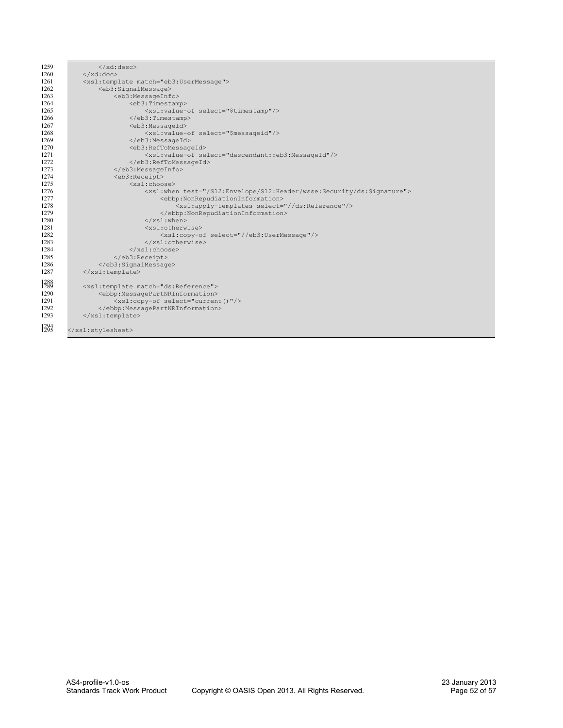| 1259               | $\langle xd:desc\rangle$                                                         |  |  |  |  |
|--------------------|----------------------------------------------------------------------------------|--|--|--|--|
| 1260               | $\langle xd:doc\rangle$                                                          |  |  |  |  |
| 1261               | <xsl:template match="eb3:UserMessage"></xsl:template>                            |  |  |  |  |
| 1262               | <eb3:signalmessage></eb3:signalmessage>                                          |  |  |  |  |
| 1263               | <eb3:messageinfo></eb3:messageinfo>                                              |  |  |  |  |
| 1264               | <eb3:timestamp></eb3:timestamp>                                                  |  |  |  |  |
| 1265               | <xsl:value-of select="\$timestamp"></xsl:value-of>                               |  |  |  |  |
| 1266               | $\langle$ /eb3:Timestamp>                                                        |  |  |  |  |
| 1267               | <eb3:messageid></eb3:messageid>                                                  |  |  |  |  |
| 1268               | <xsl:value-of select="\$messageid"></xsl:value-of>                               |  |  |  |  |
| 1269               |                                                                                  |  |  |  |  |
| 1270               | <eb3:reftomessageid></eb3:reftomessageid>                                        |  |  |  |  |
| 1271               | <xsl:value-of select="descendant::eb3:MessageId"></xsl:value-of>                 |  |  |  |  |
| 1272               |                                                                                  |  |  |  |  |
| 1273               |                                                                                  |  |  |  |  |
| 1274               | <eb3:receipt></eb3:receipt>                                                      |  |  |  |  |
| 1275               | $<$ xsl:choose $>$                                                               |  |  |  |  |
| 1276               | <xsl:when test="/S12:Envelope/S12:Header/wsse:Security/ds:Signature"></xsl:when> |  |  |  |  |
| 1277               | <ebbp:nonrepudiationinformation></ebbp:nonrepudiationinformation>                |  |  |  |  |
| 1278               | <xsl:apply-templates select="//ds:Reference"></xsl:apply-templates>              |  |  |  |  |
| 1279               |                                                                                  |  |  |  |  |
| 1280               | $\langle xsl:when\rangle$                                                        |  |  |  |  |
| 1281               | <xsl:otherwise></xsl:otherwise>                                                  |  |  |  |  |
| 1282               | <xsl:copy-of select="//eb3:UserMessage"></xsl:copy-of>                           |  |  |  |  |
| 1283               |                                                                                  |  |  |  |  |
| 1284               | $\langle xsl:choose\rangle$                                                      |  |  |  |  |
| 1285               |                                                                                  |  |  |  |  |
| 1286               |                                                                                  |  |  |  |  |
| 1287               |                                                                                  |  |  |  |  |
| 1288               |                                                                                  |  |  |  |  |
|                    | <xsl:template match="ds:Reference"></xsl:template>                               |  |  |  |  |
| 1290               | <ebbp:messagepartnrinformation></ebbp:messagepartnrinformation>                  |  |  |  |  |
| 1291               | <xsl:copy-of select="current()"></xsl:copy-of>                                   |  |  |  |  |
| 1292               |                                                                                  |  |  |  |  |
| 1293               |                                                                                  |  |  |  |  |
| $\frac{1294}{295}$ |                                                                                  |  |  |  |  |
|                    |                                                                                  |  |  |  |  |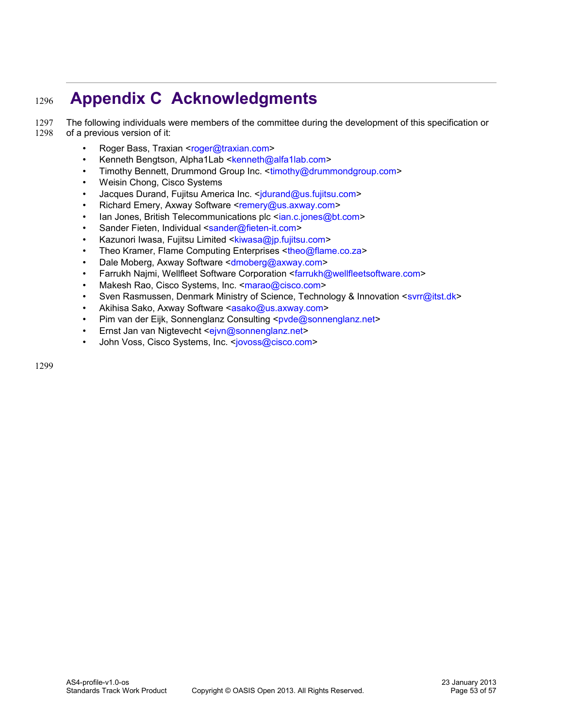# **Appendix C Acknowledgments** 1296

The following individuals were members of the committee during the development of this specification or of a previous version of it: 1297 1298

- <span id="page-52-0"></span>Roger Bass, Traxian [<roger@traxian.com>](mailto:roger@traxian.com)
- Kenneth Bengtson, Alpha1Lab [<kenneth@alfa1lab.com>](mailto:kenneth@alfa1lab.com)
- Timothy Bennett, Drummond Group Inc. [<timothy@drummondgroup.com>](mailto:timothy@drummondgroup.com)
- Weisin Chong, Cisco Systems
- Jacques Durand, Fujitsu America Inc. <idurand@us.fujitsu.com>
- Richard Emery, Axway Software [<remery@us.axway.com>](mailto:remery@us.axway.com)
- lan Jones, British Telecommunications plc [<ian.c.jones@bt.com>](mailto:ian.c.jones@bt.com)
- Sander Fieten, Individual [<sander@fieten-it.com>](mailto:sander@fieten-it.com)
- Kazunori Iwasa, Fujitsu Limited [<kiwasa@jp.fujitsu.com>](mailto:kiwasa@jp.fujitsu.com)
- Theo Kramer, Flame Computing Enterprises [<theo@flame.co.za>](mailto:theo@flame.co.za)
- Dale Moberg, Axway Software [<dmoberg@axway.com>](mailto:dmoberg@axway.com)
- Farrukh Najmi, Wellfleet Software Corporation [<farrukh@wellfleetsoftware.com>](mailto:farrukh@wellfleetsoftware.com)
- Makesh Rao, Cisco Systems, Inc. [<marao@cisco.com>](mailto:marao@cisco.com)
- Sven Rasmussen, Denmark Ministry of Science, Technology & Innovation [<svrr@itst.dk>](mailto:svrr@itst.dk)
- Akihisa Sako, Axway Software [<asako@us.axway.com>](mailto:asako@us.axway.com)
- Pim van der Eijk, Sonnenglanz Consulting [<pvde@sonnenglanz.net>](mailto:pvde@sonnenglanz.net)
- Ernst Jan van Nigtevecht [<ejvn@sonnenglanz.net>](mailto:ejvn@sonnenglanz.net)
- John Voss, Cisco Systems, Inc. [<jovoss@cisco.com>](mailto:jovoss@cisco.com)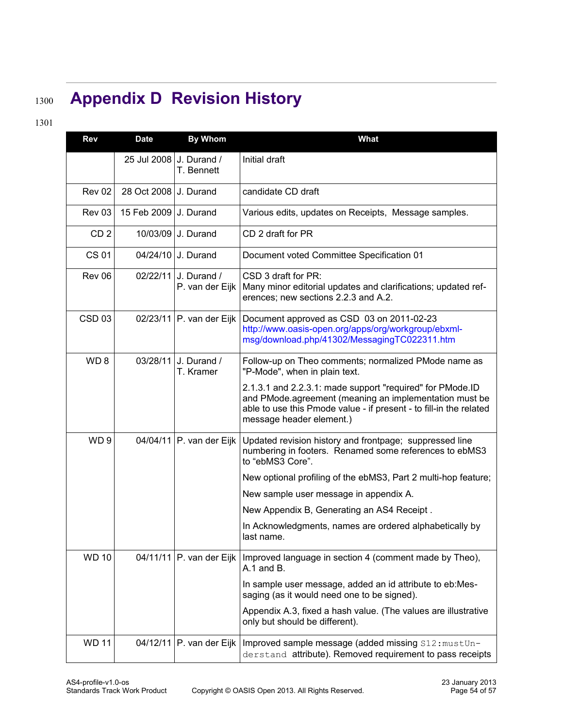# **Appendix D Revision History** 1300

# 1301

<span id="page-53-0"></span>

| Rev               | <b>Date</b> | <b>By Whom</b>                 | <b>What</b>                                                                                                                                                                                                           |
|-------------------|-------------|--------------------------------|-----------------------------------------------------------------------------------------------------------------------------------------------------------------------------------------------------------------------|
|                   | 25 Jul 2008 | J. Durand /<br>T. Bennett      | Initial draft                                                                                                                                                                                                         |
| <b>Rev 02</b>     | 28 Oct 2008 | J. Durand                      | candidate CD draft                                                                                                                                                                                                    |
| Rev 03            | 15 Feb 2009 | J. Durand                      | Various edits, updates on Receipts, Message samples.                                                                                                                                                                  |
| CD <sub>2</sub>   |             | 10/03/09 J. Durand             | CD 2 draft for PR                                                                                                                                                                                                     |
| <b>CS 01</b>      |             | 04/24/10 J. Durand             | Document voted Committee Specification 01                                                                                                                                                                             |
| Rev 06            | 02/22/11    | J. Durand /<br>P. van der Eijk | CSD 3 draft for PR:<br>Many minor editorial updates and clarifications; updated ref-<br>erences; new sections 2.2.3 and A.2.                                                                                          |
| CSD <sub>03</sub> | 02/23/11    | P. van der Eijk                | Document approved as CSD 03 on 2011-02-23<br>http://www.oasis-open.org/apps/org/workgroup/ebxml-<br>msg/download.php/41302/MessagingTC022311.htm                                                                      |
| WD <sub>8</sub>   | 03/28/11    | J. Durand /<br>T. Kramer       | Follow-up on Theo comments; normalized PMode name as<br>"P-Mode", when in plain text.                                                                                                                                 |
|                   |             |                                | 2.1.3.1 and 2.2.3.1: made support "required" for PMode.ID<br>and PMode.agreement (meaning an implementation must be<br>able to use this Pmode value - if present - to fill-in the related<br>message header element.) |
| WD <sub>9</sub>   |             | 04/04/11 P. van der Eijk       | Updated revision history and frontpage; suppressed line<br>numbering in footers. Renamed some references to ebMS3<br>to "ebMS3 Core".                                                                                 |
|                   |             |                                | New optional profiling of the ebMS3, Part 2 multi-hop feature;                                                                                                                                                        |
|                   |             |                                | New sample user message in appendix A.                                                                                                                                                                                |
|                   |             |                                | New Appendix B, Generating an AS4 Receipt.                                                                                                                                                                            |
|                   |             |                                | In Acknowledgments, names are ordered alphabetically by<br>last name.                                                                                                                                                 |
| <b>WD 10</b>      | 04/11/11    | P. van der Eijk                | Improved language in section 4 (comment made by Theo),<br>A.1 and B.                                                                                                                                                  |
|                   |             |                                | In sample user message, added an id attribute to eb:Mes-<br>saging (as it would need one to be signed).                                                                                                               |
|                   |             |                                | Appendix A.3, fixed a hash value. (The values are illustrative<br>only but should be different).                                                                                                                      |
| <b>WD 11</b>      | 04/12/11    | P. van der Eijk                | Improved sample message (added missing S12: mustUn-<br>derstand attribute). Removed requirement to pass receipts                                                                                                      |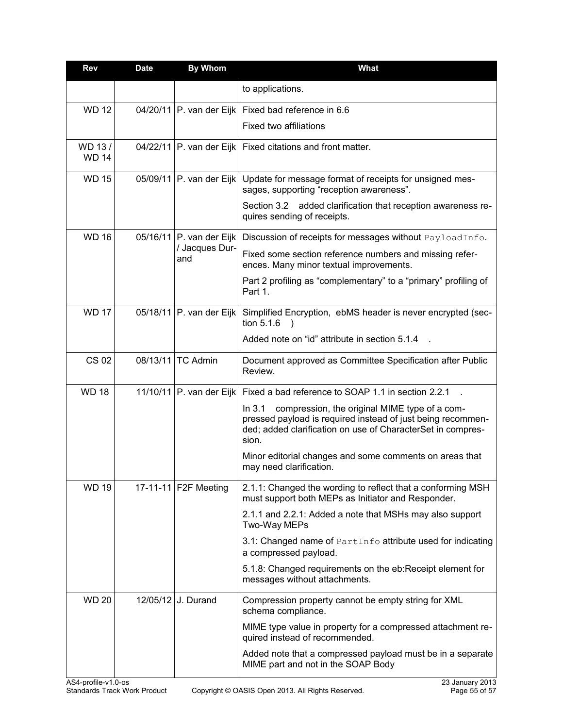| <b>Rev</b>                                                     | <b>Date</b> | <b>By Whom</b>                                    | <b>What</b>                                                                                                                                                                                    |
|----------------------------------------------------------------|-------------|---------------------------------------------------|------------------------------------------------------------------------------------------------------------------------------------------------------------------------------------------------|
|                                                                |             |                                                   | to applications.                                                                                                                                                                               |
| <b>WD12</b>                                                    |             | 04/20/11 P. van der Eijk                          | Fixed bad reference in 6.6                                                                                                                                                                     |
|                                                                |             |                                                   | Fixed two affiliations                                                                                                                                                                         |
| WD 13/<br><b>WD 14</b>                                         |             | 04/22/11 P. van der Eijk                          | Fixed citations and front matter.                                                                                                                                                              |
| <b>WD 15</b>                                                   |             | 05/09/11 P. van der Eijk                          | Update for message format of receipts for unsigned mes-<br>sages, supporting "reception awareness".                                                                                            |
|                                                                |             |                                                   | Section 3.2 added clarification that reception awareness re-<br>quires sending of receipts.                                                                                                    |
| <b>WD 16</b>                                                   |             | 05/16/11 P. van der Eijk<br>/ Jacques Dur-<br>and | Discussion of receipts for messages without PayloadInfo.                                                                                                                                       |
|                                                                |             |                                                   | Fixed some section reference numbers and missing refer-<br>ences. Many minor textual improvements.                                                                                             |
|                                                                |             |                                                   | Part 2 profiling as "complementary" to a "primary" profiling of<br>Part 1.                                                                                                                     |
| <b>WD 17</b>                                                   |             | 05/18/11 P. van der Eijk                          | Simplified Encryption, ebMS header is never encrypted (sec-<br>tion 5.1.6                                                                                                                      |
|                                                                |             |                                                   | Added note on "id" attribute in section 5.1.4                                                                                                                                                  |
| <b>CS 02</b>                                                   | 08/13/11    | <b>TC Admin</b>                                   | Document approved as Committee Specification after Public<br>Review.                                                                                                                           |
| <b>WD18</b>                                                    |             | 11/10/11 P. van der Eijk                          | Fixed a bad reference to SOAP 1.1 in section 2.2.1                                                                                                                                             |
|                                                                |             |                                                   | In 3.1<br>compression, the original MIME type of a com-<br>pressed payload is required instead of just being recommen-<br>ded; added clarification on use of CharacterSet in compres-<br>sion. |
|                                                                |             |                                                   | Minor editorial changes and some comments on areas that<br>may need clarification.                                                                                                             |
| <b>WD 19</b>                                                   |             | 17-11-11 F2F Meeting                              | 2.1.1: Changed the wording to reflect that a conforming MSH<br>must support both MEPs as Initiator and Responder.                                                                              |
|                                                                |             |                                                   | 2.1.1 and 2.2.1: Added a note that MSHs may also support<br>Two-Way MEPs                                                                                                                       |
|                                                                |             |                                                   | 3.1: Changed name of PartInfo attribute used for indicating<br>a compressed payload.                                                                                                           |
|                                                                |             |                                                   | 5.1.8: Changed requirements on the eb: Receipt element for<br>messages without attachments.                                                                                                    |
| <b>WD 20</b>                                                   |             | 12/05/12 J. Durand                                | Compression property cannot be empty string for XML<br>schema compliance.                                                                                                                      |
|                                                                |             |                                                   | MIME type value in property for a compressed attachment re-<br>quired instead of recommended.                                                                                                  |
|                                                                |             |                                                   | Added note that a compressed payload must be in a separate<br>MIME part and not in the SOAP Body                                                                                               |
| $\triangle$ S <sub>1-profile</sub> $\angle$ <sub>11</sub> 0-pc |             |                                                   | 23 January 2013                                                                                                                                                                                |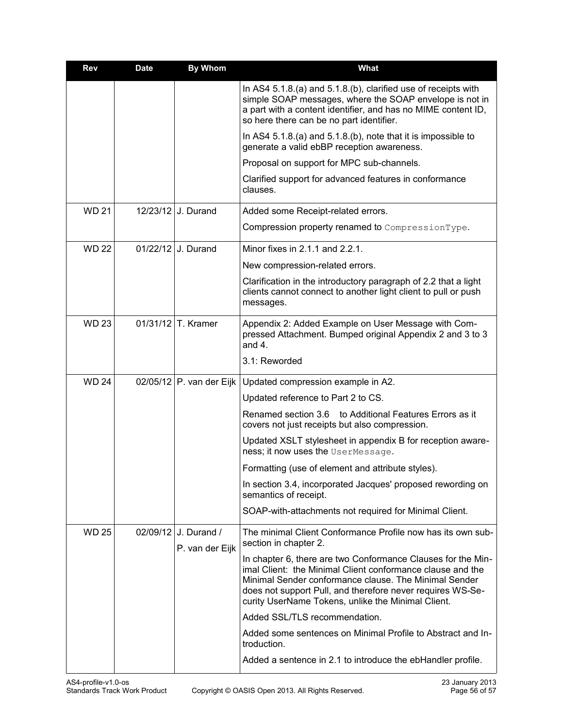| <b>Rev</b>   | <b>Date</b> | <b>By Whom</b>                          | What                                                                                                                                                                                                                                                                                                    |
|--------------|-------------|-----------------------------------------|---------------------------------------------------------------------------------------------------------------------------------------------------------------------------------------------------------------------------------------------------------------------------------------------------------|
|              |             |                                         | In AS4 5.1.8.(a) and 5.1.8.(b), clarified use of receipts with<br>simple SOAP messages, where the SOAP envelope is not in<br>a part with a content identifier, and has no MIME content ID,<br>so here there can be no part identifier.                                                                  |
|              |             |                                         | In AS4 $5.1.8(a)$ and $5.1.8(b)$ , note that it is impossible to<br>generate a valid ebBP reception awareness.                                                                                                                                                                                          |
|              |             |                                         | Proposal on support for MPC sub-channels.                                                                                                                                                                                                                                                               |
|              |             |                                         | Clarified support for advanced features in conformance<br>clauses.                                                                                                                                                                                                                                      |
| <b>WD 21</b> |             | 12/23/12 J. Durand                      | Added some Receipt-related errors.                                                                                                                                                                                                                                                                      |
|              |             |                                         | Compression property renamed to CompressionType.                                                                                                                                                                                                                                                        |
| <b>WD 22</b> |             | 01/22/12 J. Durand                      | Minor fixes in 2.1.1 and 2.2.1.                                                                                                                                                                                                                                                                         |
|              |             |                                         | New compression-related errors.                                                                                                                                                                                                                                                                         |
|              |             |                                         | Clarification in the introductory paragraph of 2.2 that a light<br>clients cannot connect to another light client to pull or push<br>messages.                                                                                                                                                          |
| <b>WD 23</b> |             | $01/31/12$ T. Kramer                    | Appendix 2: Added Example on User Message with Com-<br>pressed Attachment. Bumped original Appendix 2 and 3 to 3<br>and $4.$                                                                                                                                                                            |
|              |             |                                         | 3.1: Reworded                                                                                                                                                                                                                                                                                           |
| <b>WD 24</b> |             | 02/05/12 P. van der Eijk                | Updated compression example in A2.                                                                                                                                                                                                                                                                      |
|              |             |                                         | Updated reference to Part 2 to CS.                                                                                                                                                                                                                                                                      |
|              |             |                                         | Renamed section 3.6<br>to Additional Features Errors as it<br>covers not just receipts but also compression.                                                                                                                                                                                            |
|              |             |                                         | Updated XSLT stylesheet in appendix B for reception aware-<br>ness; it now uses the UserMessage.                                                                                                                                                                                                        |
|              |             |                                         | Formatting (use of element and attribute styles).                                                                                                                                                                                                                                                       |
|              |             |                                         | In section 3.4, incorporated Jacques' proposed rewording on<br>semantics of receipt.                                                                                                                                                                                                                    |
|              |             |                                         | SOAP-with-attachments not required for Minimal Client.                                                                                                                                                                                                                                                  |
| <b>WD 25</b> |             | 02/09/12 J. Durand /<br>P. van der Eijk | The minimal Client Conformance Profile now has its own sub-<br>section in chapter 2.                                                                                                                                                                                                                    |
|              |             |                                         | In chapter 6, there are two Conformance Clauses for the Min-<br>imal Client: the Minimal Client conformance clause and the<br>Minimal Sender conformance clause. The Minimal Sender<br>does not support Pull, and therefore never requires WS-Se-<br>curity UserName Tokens, unlike the Minimal Client. |
|              |             |                                         | Added SSL/TLS recommendation.                                                                                                                                                                                                                                                                           |
|              |             |                                         | Added some sentences on Minimal Profile to Abstract and In-<br>troduction.                                                                                                                                                                                                                              |
|              |             |                                         | Added a sentence in 2.1 to introduce the ebHandler profile.                                                                                                                                                                                                                                             |